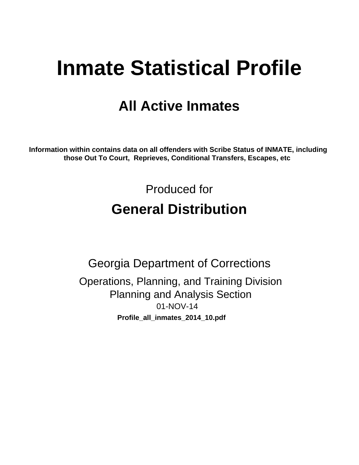# **Inmate Statistical Profile**

# **All Active Inmates**

Information within contains data on all offenders with Scribe Status of INMATE, including those Out To Court, Reprieves, Conditional Transfers, Escapes, etc

> Produced for **General Distribution**

**Georgia Department of Corrections** Operations, Planning, and Training Division **Planning and Analysis Section** 01-NOV-14 Profile\_all\_inmates\_2014\_10.pdf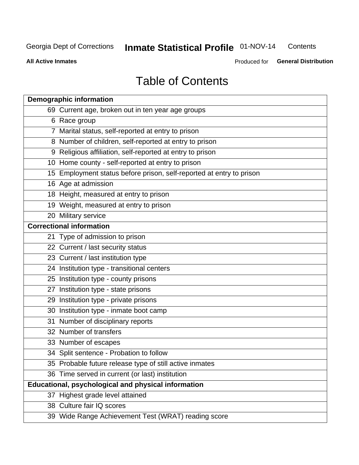#### Inmate Statistical Profile 01-NOV-14 Contents

**All Active Inmates** 

Produced for General Distribution

# **Table of Contents**

| <b>Demographic information</b>                                       |
|----------------------------------------------------------------------|
| 69 Current age, broken out in ten year age groups                    |
| 6 Race group                                                         |
| 7 Marital status, self-reported at entry to prison                   |
| 8 Number of children, self-reported at entry to prison               |
| 9 Religious affiliation, self-reported at entry to prison            |
| 10 Home county - self-reported at entry to prison                    |
| 15 Employment status before prison, self-reported at entry to prison |
| 16 Age at admission                                                  |
| 18 Height, measured at entry to prison                               |
| 19 Weight, measured at entry to prison                               |
| 20 Military service                                                  |
| <b>Correctional information</b>                                      |
| 21 Type of admission to prison                                       |
| 22 Current / last security status                                    |
| 23 Current / last institution type                                   |
| 24 Institution type - transitional centers                           |
| 25 Institution type - county prisons                                 |
| 27 Institution type - state prisons                                  |
| 29 Institution type - private prisons                                |
| 30 Institution type - inmate boot camp                               |
| 31 Number of disciplinary reports                                    |
| 32 Number of transfers                                               |
| 33 Number of escapes                                                 |
| 34 Split sentence - Probation to follow                              |
| 35 Probable future release type of still active inmates              |
| 36 Time served in current (or last) institution                      |
| <b>Educational, psychological and physical information</b>           |
| 37 Highest grade level attained                                      |
| 38 Culture fair IQ scores                                            |
| 39 Wide Range Achievement Test (WRAT) reading score                  |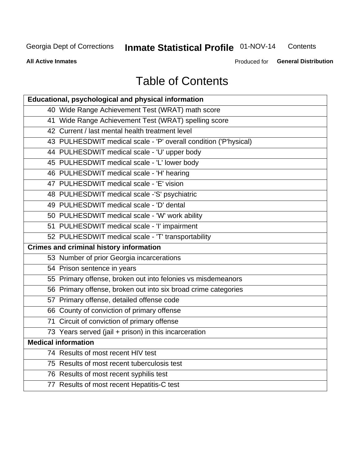# Inmate Statistical Profile 01-NOV-14

Contents

**All Active Inmates** 

Produced for General Distribution

# **Table of Contents**

| Educational, psychological and physical information              |
|------------------------------------------------------------------|
| 40 Wide Range Achievement Test (WRAT) math score                 |
| 41 Wide Range Achievement Test (WRAT) spelling score             |
| 42 Current / last mental health treatment level                  |
| 43 PULHESDWIT medical scale - 'P' overall condition ('P'hysical) |
| 44 PULHESDWIT medical scale - 'U' upper body                     |
| 45 PULHESDWIT medical scale - 'L' lower body                     |
| 46 PULHESDWIT medical scale - 'H' hearing                        |
| 47 PULHESDWIT medical scale - 'E' vision                         |
| 48 PULHESDWIT medical scale -'S' psychiatric                     |
| 49 PULHESDWIT medical scale - 'D' dental                         |
| 50 PULHESDWIT medical scale - 'W' work ability                   |
| 51 PULHESDWIT medical scale - 'I' impairment                     |
| 52 PULHESDWIT medical scale - 'T' transportability               |
|                                                                  |
| <b>Crimes and criminal history information</b>                   |
| 53 Number of prior Georgia incarcerations                        |
| 54 Prison sentence in years                                      |
| 55 Primary offense, broken out into felonies vs misdemeanors     |
| 56 Primary offense, broken out into six broad crime categories   |
| 57 Primary offense, detailed offense code                        |
| 66 County of conviction of primary offense                       |
| 71 Circuit of conviction of primary offense                      |
| 73 Years served (jail + prison) in this incarceration            |
| <b>Medical information</b>                                       |
| 74 Results of most recent HIV test                               |
| 75 Results of most recent tuberculosis test                      |
| 76 Results of most recent syphilis test                          |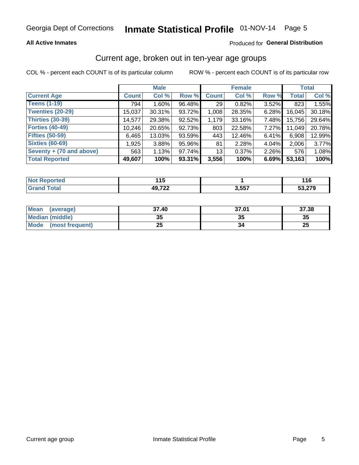### **All Active Inmates**

### Produced for General Distribution

## Current age, broken out in ten-year age groups

COL % - percent each COUNT is of its particular column

|                          | <b>Male</b>  |          |        | <b>Female</b>   |        |       | <b>Total</b> |        |
|--------------------------|--------------|----------|--------|-----------------|--------|-------|--------------|--------|
| <b>Current Age</b>       | <b>Count</b> | Col %    | Row %  | <b>Count</b>    | Col %  | Row % | <b>Total</b> | Col %  |
| <b>Teens (1-19)</b>      | 794          | $1.60\%$ | 96.48% | 29              | 0.82%  | 3.52% | 823          | 1.55%  |
| <b>Twenties (20-29)</b>  | 15,037       | 30.31%   | 93.72% | 1,008           | 28.35% | 6.28% | 16,045       | 30.18% |
| Thirties (30-39)         | 14,577       | 29.38%   | 92.52% | 1,179           | 33.16% | 7.48% | 15,756       | 29.64% |
| <b>Forties (40-49)</b>   | 10,246       | 20.65%   | 92.73% | 803             | 22.58% | 7.27% | 11,049       | 20.78% |
| <b>Fifties (50-59)</b>   | 6,465        | 13.03%   | 93.59% | 443             | 12.46% | 6.41% | 6,908        | 12.99% |
| <b>Sixties (60-69)</b>   | 1,925        | 3.88%    | 95.96% | 81              | 2.28%  | 4.04% | 2,006        | 3.77%  |
| Seventy + (70 and above) | 563          | 1.13%    | 97.74% | 13 <sub>1</sub> | 0.37%  | 2.26% | 576          | 1.08%  |
| <b>Total Reported</b>    | 49,607       | 100%     | 93.31% | 3,556           | 100%   | 6.69% | 53,163       | 100%   |

| orted<br><b>NOT REPO</b> | . I J  |       | .   |
|--------------------------|--------|-------|-----|
| Total                    | 10 722 | 3,557 | 070 |

| <b>Mean</b><br>(average)       | 37.40     | 37.01 | 37.38    |
|--------------------------------|-----------|-------|----------|
| Median (middle)                | -25<br>vu | JJ    | 35       |
| <b>Mode</b><br>(most frequent) | つら<br>∠J  |       | つじ<br>ZJ |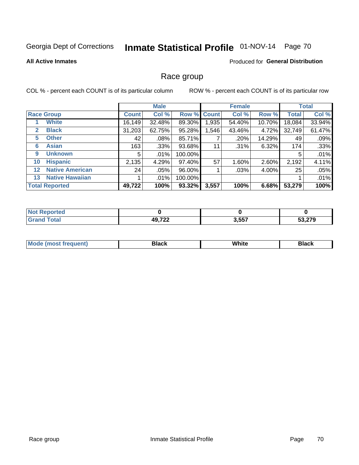# Inmate Statistical Profile 01-NOV-14 Page 70

### **All Active Inmates**

### Produced for General Distribution

### Race group

COL % - percent each COUNT is of its particular column

|                   |                        | <b>Male</b>  |         |             | <b>Female</b> |        |        | <b>Total</b> |        |
|-------------------|------------------------|--------------|---------|-------------|---------------|--------|--------|--------------|--------|
|                   | <b>Race Group</b>      | <b>Count</b> | Col %   | Row % Count |               | Col %  | Row %  | <b>Total</b> | Col %  |
|                   | <b>White</b>           | 16,149       | 32.48%  | 89.30%      | 1,935         | 54.40% | 10.70% | 18,084       | 33.94% |
| 2                 | <b>Black</b>           | 31,203       | 62.75%  | 95.28%      | .546          | 43.46% | 4.72%  | 32,749       | 61.47% |
| 5                 | <b>Other</b>           | 42           | $.08\%$ | 85.71%      |               | .20%   | 14.29% | 49           | .09%   |
| 6                 | <b>Asian</b>           | 163          | $.33\%$ | 93.68%      | 11            | .31%   | 6.32%  | 174          | .33%   |
| 9                 | <b>Unknown</b>         | 5            | $.01\%$ | 100.00%     |               |        |        | 5            | .01%   |
| 10                | <b>Hispanic</b>        | 2,135        | 4.29%   | 97.40%      | 57            | 1.60%  | 2.60%  | 2,192        | 4.11%  |
| $12 \overline{ }$ | <b>Native American</b> | 24           | .05%    | 96.00%      |               | .03%   | 4.00%  | 25           | .05%   |
| 13                | <b>Native Hawaiian</b> |              | $.01\%$ | 100.00%     |               |        |        |              | .01%   |
|                   | <b>Total Reported</b>  | 49,722       | 100%    | 93.32%      | 3,557         | 100%   | 6.68%  | 53,279       | 100%   |

| <b>Not Reported</b>          |        |       |        |
|------------------------------|--------|-------|--------|
| <b>Total</b><br><b>Grand</b> | 49,722 | 3,557 | 53,279 |

| <b>Mode</b><br>---<br>most frequent) | Black | White | <b>Black</b> |
|--------------------------------------|-------|-------|--------------|
|                                      |       |       |              |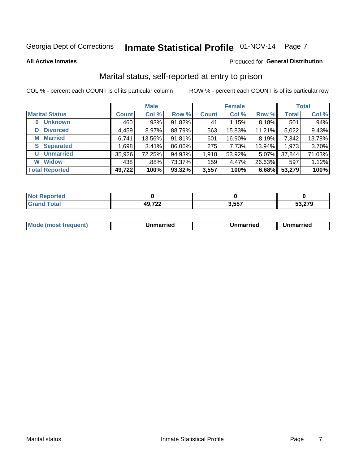# Inmate Statistical Profile 01-NOV-14 Page 7

#### **All Active Inmates**

#### Produced for General Distribution

# Marital status, self-reported at entry to prison

COL % - percent each COUNT is of its particular column

|                            | <b>Male</b>  |        |        |              | <b>Female</b> | <b>Total</b> |              |        |
|----------------------------|--------------|--------|--------|--------------|---------------|--------------|--------------|--------|
| <b>Marital Status</b>      | <b>Count</b> | Col %  | Row %  | <b>Count</b> | Col %         | Row %        | <b>Total</b> | Col %  |
| <b>Unknown</b><br>$\bf{0}$ | 460          | .93%   | 91.82% | 41           | 1.15%         | 8.18%        | 501          | .94%   |
| <b>Divorced</b><br>D       | 4,459        | 8.97%  | 88.79% | 563          | 15.83%        | 11.21%       | 5,022        | 9.43%  |
| <b>Married</b><br>M        | 6,741        | 13.56% | 91.81% | 601          | 16.90%        | 8.19%        | 7,342        | 13.78% |
| <b>S</b> Separated         | 1,698        | 3.41%  | 86.06% | 275          | 7.73%         | 13.94%       | 1,973        | 3.70%  |
| <b>Unmarried</b><br>U      | 35,926       | 72.25% | 94.93% | 1,918        | 53.92%        | 5.07%        | 37,844       | 71.03% |
| <b>Widow</b><br>W          | 438          | .88%   | 73.37% | 159          | 4.47%         | 26.63%       | 597          | 1.12%  |
| <b>Total Reported</b>      | 49,722       | 100%   | 93.32% | 3,557        | 100%          | 6.68%        | 53,279       | 100%   |

| <b>Not Repo</b><br>⊸orted |             |                 |        |
|---------------------------|-------------|-----------------|--------|
| <b>Total</b>              | ממד ה<br>49 | 2557<br>. טעוני | 53,279 |

|--|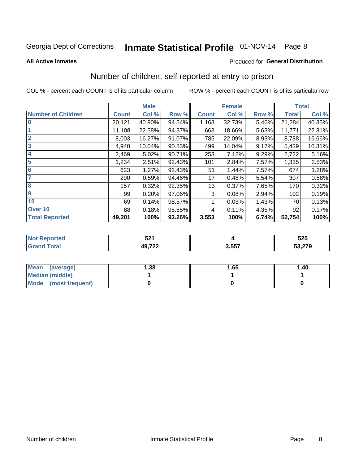# Inmate Statistical Profile 01-NOV-14 Page 8

#### **All Active Inmates**

#### Produced for General Distribution

# Number of children, self reported at entry to prison

COL % - percent each COUNT is of its particular column

|                           |              | <b>Male</b> |        |              | <b>Female</b> |       |              | <b>Total</b> |
|---------------------------|--------------|-------------|--------|--------------|---------------|-------|--------------|--------------|
| <b>Number of Children</b> | <b>Count</b> | Col %       | Row %  | <b>Count</b> | Col %         | Row % | <b>Total</b> | Col %        |
| $\bf{0}$                  | 20,121       | 40.90%      | 94.54% | 1,163        | 32.73%        | 5.46% | 21,284       | 40.35%       |
|                           | 11,108       | 22.58%      | 94.37% | 663          | 18.66%        | 5.63% | 11,771       | 22.31%       |
| $\overline{2}$            | 8,003        | 16.27%      | 91.07% | 785          | 22.09%        | 8.93% | 8,788        | 16.66%       |
| 3                         | 4,940        | 10.04%      | 90.83% | 499          | 14.04%        | 9.17% | 5,439        | 10.31%       |
| 4                         | 2,469        | 5.02%       | 90.71% | 253          | 7.12%         | 9.29% | 2,722        | 5.16%        |
| 5                         | 1,234        | 2.51%       | 92.43% | 101          | 2.84%         | 7.57% | 1,335        | 2.53%        |
| 6                         | 623          | 1.27%       | 92.43% | 51           | 1.44%         | 7.57% | 674          | 1.28%        |
| 7                         | 290          | 0.59%       | 94.46% | 17           | 0.48%         | 5.54% | 307          | 0.58%        |
| 8                         | 157          | 0.32%       | 92.35% | 13           | 0.37%         | 7.65% | 170          | 0.32%        |
| 9                         | 99           | 0.20%       | 97.06% | 3            | 0.08%         | 2.94% | 102          | 0.19%        |
| 10                        | 69           | 0.14%       | 98.57% |              | 0.03%         | 1.43% | 70           | 0.13%        |
| Over 10                   | 88           | 0.18%       | 95.65% | 4            | 0.11%         | 4.35% | 92           | 0.17%        |
| <b>Total Reported</b>     | 49,201       | 100%        | 93.26% | 3,553        | 100%          | 6.74% | 52,754       | 100%         |

| En,<br>JZ 1   |         | 525    |
|---------------|---------|--------|
| 10.700<br>--- | EE7<br> | 53,279 |

| Mean<br>(average)       | 1.38 | 1.65 | 1.40 |
|-------------------------|------|------|------|
| <b>Median (middle)</b>  |      |      |      |
| Mode<br>(most frequent) |      |      |      |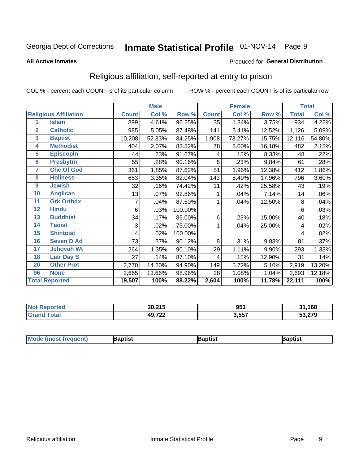# Inmate Statistical Profile 01-NOV-14 Page 9

#### **All Active Inmates**

#### Produced for General Distribution

# Religious affiliation, self-reported at entry to prison

COL % - percent each COUNT is of its particular column

|                 |                              |              | <b>Male</b> |         |              | <b>Female</b> |        |              | <b>Total</b> |
|-----------------|------------------------------|--------------|-------------|---------|--------------|---------------|--------|--------------|--------------|
|                 | <b>Religious Affiliation</b> | <b>Count</b> | Col %       | Row %   | <b>Count</b> | Col %         | Row %  | <b>Total</b> | Col %        |
| 1               | <b>Islam</b>                 | 899          | 4.61%       | 96.25%  | 35           | 1.34%         | 3.75%  | 934          | 4.22%        |
| $\overline{2}$  | <b>Catholic</b>              | 985          | 5.05%       | 87.48%  | 141          | 5.41%         | 12.52% | 1,126        | 5.09%        |
| $\mathbf{3}$    | <b>Baptist</b>               | 10,208       | 52.33%      | 84.25%  | 1,908        | 73.27%        | 15.75% | 12,116       | 54.80%       |
| 4               | <b>Methodist</b>             | 404          | 2.07%       | 83.82%  | 78           | 3.00%         | 16.18% | 482          | 2.18%        |
| $\overline{5}$  | <b>EpiscopIn</b>             | 44           | .23%        | 91.67%  | 4            | .15%          | 8.33%  | 48           | .22%         |
| $6\overline{6}$ | <b>Presbytrn</b>             | 55           | .28%        | 90.16%  | 6            | .23%          | 9.84%  | 61           | .28%         |
| 7               | <b>Chc Of God</b>            | 361          | 1.85%       | 87.62%  | 51           | 1.96%         | 12.38% | 412          | 1.86%        |
| 8               | <b>Holiness</b>              | 653          | 3.35%       | 82.04%  | 143          | 5.49%         | 17.96% | 796          | 3.60%        |
| 9               | <b>Jewish</b>                | 32           | .16%        | 74.42%  | 11           | .42%          | 25.58% | 43           | .19%         |
| 10              | <b>Anglican</b>              | 13           | .07%        | 92.86%  | 1            | .04%          | 7.14%  | 14           | .06%         |
| 11              | <b>Grk Orthdx</b>            | 7            | .04%        | 87.50%  | 1            | .04%          | 12.50% | 8            | .04%         |
| 12              | <b>Hindu</b>                 | 6            | .03%        | 100.00% |              |               |        | 6            | .03%         |
| 13              | <b>Buddhist</b>              | 34           | .17%        | 85.00%  | 6            | .23%          | 15.00% | 40           | .18%         |
| 14              | <b>Taoist</b>                | 3            | .02%        | 75.00%  | 1            | .04%          | 25.00% | 4            | .02%         |
| 15              | <b>Shintoist</b>             | 4            | .02%        | 100.00% |              |               |        | 4            | .02%         |
| 16              | <b>Seven D Ad</b>            | 73           | .37%        | 90.12%  | 8            | .31%          | 9.88%  | 81           | .37%         |
| $\overline{17}$ | <b>Jehovah Wt</b>            | 264          | 1.35%       | 90.10%  | 29           | 1.11%         | 9.90%  | 293          | 1.33%        |
| 18              | <b>Latr Day S</b>            | 27           | .14%        | 87.10%  | 4            | .15%          | 12.90% | 31           | .14%         |
| 20              | <b>Other Prot</b>            | 2,770        | 14.20%      | 94.90%  | 149          | 5.72%         | 5.10%  | 2,919        | 13.20%       |
| 96              | <b>None</b>                  | 2,665        | 13.66%      | 98.96%  | 28           | 1.08%         | 1.04%  | 2,693        | 12.18%       |
|                 | <b>Total Reported</b>        | 19,507       | 100%        | 88.22%  | 2,604        | 100%          | 11.78% | 22,111       | 100%         |

| 30,215 | 953   | 168    |
|--------|-------|--------|
| 49,722 | 3,557 | 53,279 |

| <b>Mo</b><br>equenti | aptist | aptıst | Baptist |
|----------------------|--------|--------|---------|
|                      |        |        |         |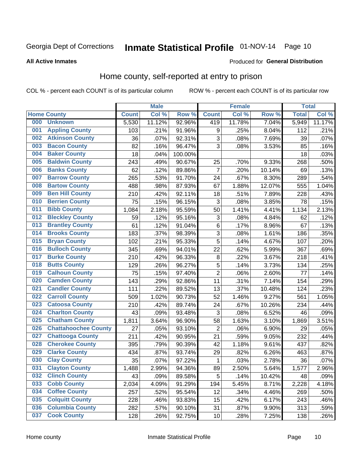# Inmate Statistical Profile 01-NOV-14 Page 10

#### **All Active Inmates**

### Produced for General Distribution

### Home county, self-reported at entry to prison

COL % - percent each COUNT is of its particular column

|     |                             |              | <b>Male</b> |         |                | <b>Female</b> |        | <b>Total</b> |        |
|-----|-----------------------------|--------------|-------------|---------|----------------|---------------|--------|--------------|--------|
|     | <b>Home County</b>          | <b>Count</b> | Col %       | Row %   | <b>Count</b>   | Col %         | Row %  | <b>Total</b> | Col %  |
| 000 | <b>Unknown</b>              | 5,530        | 11.12%      | 92.96%  | 419            | 11.78%        | 7.04%  | 5,949        | 11.17% |
| 001 | <b>Appling County</b>       | 103          | .21%        | 91.96%  | 9              | .25%          | 8.04%  | 112          | .21%   |
| 002 | <b>Atkinson County</b>      | 36           | .07%        | 92.31%  | 3              | .08%          | 7.69%  | 39           | .07%   |
| 003 | <b>Bacon County</b>         | 82           | .16%        | 96.47%  | 3              | .08%          | 3.53%  | 85           | .16%   |
| 004 | <b>Baker County</b>         | 18           | .04%        | 100.00% |                |               |        | 18           | .03%   |
| 005 | <b>Baldwin County</b>       | 243          | .49%        | 90.67%  | 25             | .70%          | 9.33%  | 268          | .50%   |
| 006 | <b>Banks County</b>         | 62           | .12%        | 89.86%  | $\overline{7}$ | .20%          | 10.14% | 69           | .13%   |
| 007 | <b>Barrow County</b>        | 265          | .53%        | 91.70%  | 24             | .67%          | 8.30%  | 289          | .54%   |
| 008 | <b>Bartow County</b>        | 488          | .98%        | 87.93%  | 67             | 1.88%         | 12.07% | 555          | 1.04%  |
| 009 | <b>Ben Hill County</b>      | 210          | .42%        | 92.11%  | 18             | .51%          | 7.89%  | 228          | .43%   |
| 010 | <b>Berrien County</b>       | 75           | .15%        | 96.15%  | $\mathbf{3}$   | .08%          | 3.85%  | 78           | .15%   |
| 011 | <b>Bibb County</b>          | 1,084        | 2.18%       | 95.59%  | 50             | 1.41%         | 4.41%  | 1,134        | 2.13%  |
| 012 | <b>Bleckley County</b>      | 59           | .12%        | 95.16%  | 3              | .08%          | 4.84%  | 62           | .12%   |
| 013 | <b>Brantley County</b>      | 61           | .12%        | 91.04%  | $\,6$          | .17%          | 8.96%  | 67           | .13%   |
| 014 | <b>Brooks County</b>        | 183          | .37%        | 98.39%  | $\overline{3}$ | .08%          | 1.61%  | 186          | .35%   |
| 015 | <b>Bryan County</b>         | 102          | .21%        | 95.33%  | 5              | .14%          | 4.67%  | 107          | .20%   |
| 016 | <b>Bulloch County</b>       | 345          | .69%        | 94.01%  | 22             | .62%          | 5.99%  | 367          | .69%   |
| 017 | <b>Burke County</b>         | 210          | .42%        | 96.33%  | $\bf 8$        | .22%          | 3.67%  | 218          | .41%   |
| 018 | <b>Butts County</b>         | 129          | .26%        | 96.27%  | 5              | .14%          | 3.73%  | 134          | .25%   |
| 019 | <b>Calhoun County</b>       | 75           | .15%        | 97.40%  | $\overline{2}$ | .06%          | 2.60%  | 77           | .14%   |
| 020 | <b>Camden County</b>        | 143          | .29%        | 92.86%  | 11             | .31%          | 7.14%  | 154          | .29%   |
| 021 | <b>Candler County</b>       | 111          | .22%        | 89.52%  | 13             | .37%          | 10.48% | 124          | .23%   |
| 022 | <b>Carroll County</b>       | 509          | 1.02%       | 90.73%  | 52             | 1.46%         | 9.27%  | 561          | 1.05%  |
| 023 | <b>Catoosa County</b>       | 210          | .42%        | 89.74%  | 24             | .67%          | 10.26% | 234          | .44%   |
| 024 | <b>Charlton County</b>      | 43           | .09%        | 93.48%  | 3              | .08%          | 6.52%  | 46           | .09%   |
| 025 | <b>Chatham County</b>       | 1,811        | 3.64%       | 96.90%  | 58             | 1.63%         | 3.10%  | 1,869        | 3.51%  |
| 026 | <b>Chattahoochee County</b> | 27           | .05%        | 93.10%  | $\overline{2}$ | .06%          | 6.90%  | 29           | .05%   |
| 027 | <b>Chattooga County</b>     | 211          | .42%        | 90.95%  | 21             | .59%          | 9.05%  | 232          | .44%   |
| 028 | <b>Cherokee County</b>      | 395          | .79%        | 90.39%  | 42             | 1.18%         | 9.61%  | 437          | .82%   |
| 029 | <b>Clarke County</b>        | 434          | .87%        | 93.74%  | 29             | .82%          | 6.26%  | 463          | .87%   |
| 030 | <b>Clay County</b>          | 35           | .07%        | 97.22%  | $\mathbf{1}$   | .03%          | 2.78%  | 36           | .07%   |
| 031 | <b>Clayton County</b>       | 1,488        | 2.99%       | 94.36%  | 89             | 2.50%         | 5.64%  | 1,577        | 2.96%  |
| 032 | <b>Clinch County</b>        | 43           | .09%        | 89.58%  | 5              | .14%          | 10.42% | 48           | .09%   |
| 033 | <b>Cobb County</b>          | 2,034        | 4.09%       | 91.29%  | 194            | 5.45%         | 8.71%  | 2,228        | 4.18%  |
| 034 | <b>Coffee County</b>        | 257          | .52%        | 95.54%  | 12             | .34%          | 4.46%  | 269          | .50%   |
| 035 | <b>Colquitt County</b>      | 228          | .46%        | 93.83%  | 15             | .42%          | 6.17%  | 243          | .46%   |
| 036 | <b>Columbia County</b>      | 282          | .57%        | 90.10%  | 31             | .87%          | 9.90%  | 313          | .59%   |
| 037 | <b>Cook County</b>          | 128          | .26%        | 92.75%  | 10             | .28%          | 7.25%  | 138          | .26%   |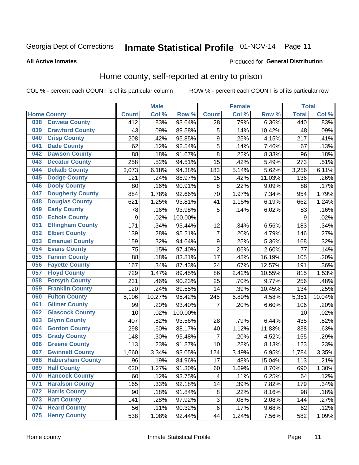# Inmate Statistical Profile 01-NOV-14 Page 11

**All Active Inmates** 

### **Produced for General Distribution**

### Home county, self-reported at entry to prison

COL % - percent each COUNT is of its particular column

|     |                         |                  | <b>Male</b> |                  |                  | <b>Female</b>      |        | <b>Total</b> |        |
|-----|-------------------------|------------------|-------------|------------------|------------------|--------------------|--------|--------------|--------|
|     | <b>Home County</b>      | <b>Count</b>     | Col%        | Row <sup>%</sup> | <b>Count</b>     | Col %              | Row %  | <b>Total</b> | Col %  |
| 038 | <b>Coweta County</b>    | 412              | .83%        | 93.64%           | 28               | .79%               | 6.36%  | 440          | .83%   |
| 039 | <b>Crawford County</b>  | 43               | .09%        | 89.58%           | 5                | .14%               | 10.42% | 48           | .09%   |
| 040 | <b>Crisp County</b>     | 208              | .42%        | 95.85%           | $\boldsymbol{9}$ | .25%               | 4.15%  | 217          | .41%   |
| 041 | <b>Dade County</b>      | 62               | .12%        | 92.54%           | 5                | .14%               | 7.46%  | 67           | .13%   |
| 042 | <b>Dawson County</b>    | 88               | .18%        | 91.67%           | 8                | $\overline{.}22\%$ | 8.33%  | 96           | .18%   |
| 043 | <b>Decatur County</b>   | 258              | .52%        | 94.51%           | 15               | .42%               | 5.49%  | 273          | .51%   |
| 044 | <b>Dekalb County</b>    | 3,073            | 6.18%       | 94.38%           | 183              | 5.14%              | 5.62%  | 3,256        | 6.11%  |
| 045 | <b>Dodge County</b>     | 121              | .24%        | 88.97%           | 15               | .42%               | 11.03% | 136          | .26%   |
| 046 | <b>Dooly County</b>     | 80               | .16%        | 90.91%           | 8                | 22%                | 9.09%  | 88           | .17%   |
| 047 | <b>Dougherty County</b> | 884              | 1.78%       | 92.66%           | 70               | 1.97%              | 7.34%  | 954          | 1.79%  |
| 048 | <b>Douglas County</b>   | 621              | 1.25%       | 93.81%           | 41               | 1.15%              | 6.19%  | 662          | 1.24%  |
| 049 | <b>Early County</b>     | 78               | .16%        | 93.98%           | 5                | .14%               | 6.02%  | 83           | .16%   |
| 050 | <b>Echols County</b>    | $\boldsymbol{9}$ | .02%        | 100.00%          |                  |                    |        | 9            | .02%   |
| 051 | <b>Effingham County</b> | 171              | .34%        | 93.44%           | 12               | .34%               | 6.56%  | 183          | .34%   |
| 052 | <b>Elbert County</b>    | 139              | .28%        | 95.21%           | $\overline{7}$   | .20%               | 4.79%  | 146          | .27%   |
| 053 | <b>Emanuel County</b>   | 159              | .32%        | 94.64%           | 9                | .25%               | 5.36%  | 168          | .32%   |
| 054 | <b>Evans County</b>     | 75               | .15%        | 97.40%           | $\mathbf 2$      | .06%               | 2.60%  | 77           | .14%   |
| 055 | <b>Fannin County</b>    | 88               | .18%        | 83.81%           | 17               | .48%               | 16.19% | 105          | .20%   |
| 056 | <b>Fayette County</b>   | 167              | .34%        | 87.43%           | 24               | .67%               | 12.57% | 191          | .36%   |
| 057 | <b>Floyd County</b>     | 729              | 1.47%       | 89.45%           | 86               | 2.42%              | 10.55% | 815          | 1.53%  |
| 058 | <b>Forsyth County</b>   | 231              | .46%        | 90.23%           | 25               | .70%               | 9.77%  | 256          | .48%   |
| 059 | <b>Franklin County</b>  | 120              | .24%        | 89.55%           | 14               | .39%               | 10.45% | 134          | .25%   |
| 060 | <b>Fulton County</b>    | 5,106            | 10.27%      | 95.42%           | 245              | 6.89%              | 4.58%  | 5,351        | 10.04% |
| 061 | <b>Gilmer County</b>    | 99               | .20%        | 93.40%           | 7                | .20%               | 6.60%  | 106          | .20%   |
| 062 | <b>Glascock County</b>  | 10               | .02%        | 100.00%          |                  |                    |        | 10           | .02%   |
| 063 | <b>Glynn County</b>     | 407              | .82%        | 93.56%           | 28               | .79%               | 6.44%  | 435          | .82%   |
| 064 | <b>Gordon County</b>    | 298              | .60%        | 88.17%           | 40               | 1.12%              | 11.83% | 338          | .63%   |
| 065 | <b>Grady County</b>     | 148              | .30%        | 95.48%           | $\overline{7}$   | .20%               | 4.52%  | 155          | .29%   |
| 066 | <b>Greene County</b>    | 113              | .23%        | 91.87%           | 10               | .28%               | 8.13%  | 123          | .23%   |
| 067 | <b>Gwinnett County</b>  | 1,660            | 3.34%       | 93.05%           | 124              | 3.49%              | 6.95%  | 1,784        | 3.35%  |
| 068 | <b>Habersham County</b> | 96               | .19%        | 84.96%           | 17               | .48%               | 15.04% | 113          | .21%   |
| 069 | <b>Hall County</b>      | 630              | 1.27%       | 91.30%           | 60               | 1.69%              | 8.70%  | 690          | 1.30%  |
| 070 | <b>Hancock County</b>   | 60               | .12%        | 93.75%           | 4                | .11%               | 6.25%  | 64           | .12%   |
| 071 | <b>Haralson County</b>  | 165              | .33%        | 92.18%           | 14               | .39%               | 7.82%  | 179          | .34%   |
| 072 | <b>Harris County</b>    | 90               | .18%        | 91.84%           | $\bf 8$          | .22%               | 8.16%  | 98           | .18%   |
| 073 | <b>Hart County</b>      | 141              | .28%        | 97.92%           | 3                | .08%               | 2.08%  | 144          | .27%   |
| 074 | <b>Heard County</b>     | 56               | .11%        | 90.32%           | 6                | .17%               | 9.68%  | 62           | .12%   |
| 075 | <b>Henry County</b>     | 538              | 1.08%       | 92.44%           | 44               | 1.24%              | 7.56%  | 582          | 1.09%  |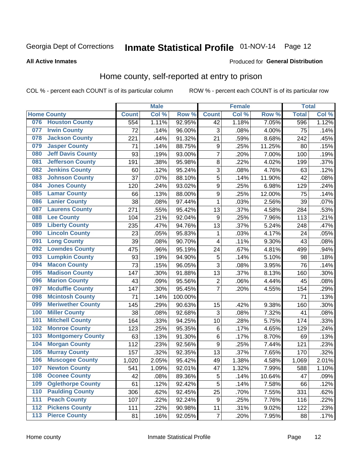# Inmate Statistical Profile 01-NOV-14 Page 12

#### **All Active Inmates**

#### Produced for General Distribution

### Home county, self-reported at entry to prison

COL % - percent each COUNT is of its particular column

|     |                          |              | <b>Male</b> |                  |                  | <b>Female</b> |        | <b>Total</b> |       |
|-----|--------------------------|--------------|-------------|------------------|------------------|---------------|--------|--------------|-------|
|     | <b>Home County</b>       | <b>Count</b> | Col %       | Row <sup>%</sup> | <b>Count</b>     | Col %         | Row %  | <b>Total</b> | Col % |
|     | 076 Houston County       | 554          | 1.11%       | 92.95%           | 42               | 1.18%         | 7.05%  | 596          | 1.12% |
| 077 | <b>Irwin County</b>      | 72           | .14%        | 96.00%           | 3                | .08%          | 4.00%  | 75           | .14%  |
| 078 | <b>Jackson County</b>    | 221          | .44%        | 91.32%           | 21               | .59%          | 8.68%  | 242          | .45%  |
| 079 | <b>Jasper County</b>     | 71           | .14%        | 88.75%           | $\boldsymbol{9}$ | .25%          | 11.25% | 80           | .15%  |
| 080 | <b>Jeff Davis County</b> | 93           | .19%        | 93.00%           | $\overline{7}$   | .20%          | 7.00%  | 100          | .19%  |
| 081 | <b>Jefferson County</b>  | 191          | .38%        | 95.98%           | 8                | .22%          | 4.02%  | 199          | .37%  |
| 082 | <b>Jenkins County</b>    | 60           | .12%        | 95.24%           | 3                | .08%          | 4.76%  | 63           | .12%  |
| 083 | <b>Johnson County</b>    | 37           | .07%        | 88.10%           | 5                | .14%          | 11.90% | 42           | .08%  |
| 084 | <b>Jones County</b>      | 120          | .24%        | 93.02%           | $\boldsymbol{9}$ | .25%          | 6.98%  | 129          | .24%  |
| 085 | <b>Lamar County</b>      | 66           | .13%        | 88.00%           | $\boldsymbol{9}$ | .25%          | 12.00% | 75           | .14%  |
| 086 | <b>Lanier County</b>     | 38           | .08%        | 97.44%           | 1                | .03%          | 2.56%  | 39           | .07%  |
| 087 | <b>Laurens County</b>    | 271          | .55%        | 95.42%           | 13               | .37%          | 4.58%  | 284          | .53%  |
| 088 | <b>Lee County</b>        | 104          | .21%        | 92.04%           | $\boldsymbol{9}$ | .25%          | 7.96%  | 113          | .21%  |
| 089 | <b>Liberty County</b>    | 235          | .47%        | 94.76%           | 13               | .37%          | 5.24%  | 248          | .47%  |
| 090 | <b>Lincoln County</b>    | 23           | .05%        | 95.83%           | 1                | .03%          | 4.17%  | 24           | .05%  |
| 091 | <b>Long County</b>       | 39           | .08%        | 90.70%           | 4                | .11%          | 9.30%  | 43           | .08%  |
| 092 | <b>Lowndes County</b>    | 475          | .96%        | 95.19%           | 24               | .67%          | 4.81%  | 499          | .94%  |
| 093 | <b>Lumpkin County</b>    | 93           | .19%        | 94.90%           | 5                | .14%          | 5.10%  | 98           | .18%  |
| 094 | <b>Macon County</b>      | 73           | .15%        | 96.05%           | 3                | .08%          | 3.95%  | 76           | .14%  |
| 095 | <b>Madison County</b>    | 147          | .30%        | 91.88%           | 13               | .37%          | 8.13%  | 160          | .30%  |
| 096 | <b>Marion County</b>     | 43           | .09%        | 95.56%           | $\overline{2}$   | .06%          | 4.44%  | 45           | .08%  |
| 097 | <b>Mcduffie County</b>   | 147          | .30%        | 95.45%           | $\overline{7}$   | .20%          | 4.55%  | 154          | .29%  |
| 098 | <b>Mcintosh County</b>   | 71           | .14%        | 100.00%          |                  |               |        | 71           | .13%  |
| 099 | <b>Meriwether County</b> | 145          | .29%        | 90.63%           | 15               | .42%          | 9.38%  | 160          | .30%  |
| 100 | <b>Miller County</b>     | 38           | .08%        | 92.68%           | 3                | .08%          | 7.32%  | 41           | .08%  |
| 101 | <b>Mitchell County</b>   | 164          | .33%        | 94.25%           | 10               | .28%          | 5.75%  | 174          | .33%  |
| 102 | <b>Monroe County</b>     | 123          | .25%        | 95.35%           | $\,6$            | .17%          | 4.65%  | 129          | .24%  |
| 103 | <b>Montgomery County</b> | 63           | .13%        | 91.30%           | $\,6$            | .17%          | 8.70%  | 69           | .13%  |
| 104 | <b>Morgan County</b>     | 112          | .23%        | 92.56%           | $\boldsymbol{9}$ | .25%          | 7.44%  | 121          | .23%  |
| 105 | <b>Murray County</b>     | 157          | .32%        | 92.35%           | 13               | .37%          | 7.65%  | 170          | .32%  |
| 106 | <b>Muscogee County</b>   | 1,020        | 2.05%       | 95.42%           | 49               | 1.38%         | 4.58%  | 1,069        | 2.01% |
| 107 | <b>Newton County</b>     | 541          | 1.09%       | 92.01%           | 47               | 1.32%         | 7.99%  | 588          | 1.10% |
| 108 | <b>Oconee County</b>     | 42           | .08%        | 89.36%           | 5                | .14%          | 10.64% | 47           | .09%  |
| 109 | <b>Oglethorpe County</b> | 61           | .12%        | 92.42%           | 5                | .14%          | 7.58%  | 66           | .12%  |
| 110 | <b>Paulding County</b>   | 306          | .62%        | 92.45%           | 25               | .70%          | 7.55%  | 331          | .62%  |
| 111 | <b>Peach County</b>      | 107          | .22%        | 92.24%           | $\boldsymbol{9}$ | .25%          | 7.76%  | 116          | .22%  |
| 112 | <b>Pickens County</b>    | 111          | .22%        | 90.98%           | 11               | .31%          | 9.02%  | 122          | .23%  |
| 113 | <b>Pierce County</b>     | 81           | .16%        | 92.05%           | $\overline{7}$   | .20%          | 7.95%  | 88           | .17%  |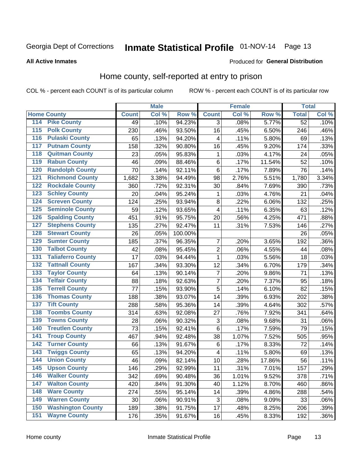# Inmate Statistical Profile 01-NOV-14 Page 13

#### **All Active Inmates**

#### Produced for General Distribution

### Home county, self-reported at entry to prison

COL % - percent each COUNT is of its particular column

|                  |                          |              | <b>Male</b> |         |                         | <b>Female</b> |        | <b>Total</b> |       |
|------------------|--------------------------|--------------|-------------|---------|-------------------------|---------------|--------|--------------|-------|
|                  | <b>Home County</b>       | <b>Count</b> | Col %       | Row %   | <b>Count</b>            | Col %         | Row %  | <b>Total</b> | Col % |
| 114              | <b>Pike County</b>       | 49           | .10%        | 94.23%  | 3                       | .08%          | 5.77%  | 52           | .10%  |
| $\overline{115}$ | <b>Polk County</b>       | 230          | .46%        | 93.50%  | 16                      | .45%          | 6.50%  | 246          | .46%  |
| 116              | <b>Pulaski County</b>    | 65           | .13%        | 94.20%  | 4                       | .11%          | 5.80%  | 69           | .13%  |
| 117              | <b>Putnam County</b>     | 158          | .32%        | 90.80%  | 16                      | .45%          | 9.20%  | 174          | .33%  |
| 118              | <b>Quitman County</b>    | 23           | .05%        | 95.83%  | 1                       | .03%          | 4.17%  | 24           | .05%  |
| 119              | <b>Rabun County</b>      | 46           | .09%        | 88.46%  | $\,6$                   | .17%          | 11.54% | 52           | .10%  |
| 120              | <b>Randolph County</b>   | 70           | .14%        | 92.11%  | $\,6$                   | .17%          | 7.89%  | 76           | .14%  |
| 121              | <b>Richmond County</b>   | 1,682        | 3.38%       | 94.49%  | 98                      | 2.76%         | 5.51%  | 1,780        | 3.34% |
| 122              | <b>Rockdale County</b>   | 360          | .72%        | 92.31%  | 30                      | .84%          | 7.69%  | 390          | .73%  |
| 123              | <b>Schley County</b>     | 20           | .04%        | 95.24%  | 1                       | .03%          | 4.76%  | 21           | .04%  |
| 124              | <b>Screven County</b>    | 124          | .25%        | 93.94%  | $\bf 8$                 | .22%          | 6.06%  | 132          | .25%  |
| 125              | <b>Seminole County</b>   | 59           | .12%        | 93.65%  | $\overline{\mathbf{4}}$ | .11%          | 6.35%  | 63           | .12%  |
| 126              | <b>Spalding County</b>   | 451          | .91%        | 95.75%  | 20                      | .56%          | 4.25%  | 471          | .88%  |
| 127              | <b>Stephens County</b>   | 135          | .27%        | 92.47%  | 11                      | .31%          | 7.53%  | 146          | .27%  |
| 128              | <b>Stewart County</b>    | 26           | .05%        | 100.00% |                         |               |        | 26           | .05%  |
| 129              | <b>Sumter County</b>     | 185          | .37%        | 96.35%  | $\overline{7}$          | .20%          | 3.65%  | 192          | .36%  |
| 130              | <b>Talbot County</b>     | 42           | .08%        | 95.45%  | $\overline{2}$          | .06%          | 4.55%  | 44           | .08%  |
| 131              | <b>Taliaferro County</b> | 17           | .03%        | 94.44%  | $\mathbf{1}$            | .03%          | 5.56%  | 18           | .03%  |
| 132              | <b>Tattnall County</b>   | 167          | .34%        | 93.30%  | 12                      | .34%          | 6.70%  | 179          | .34%  |
| 133              | <b>Taylor County</b>     | 64           | .13%        | 90.14%  | $\overline{7}$          | .20%          | 9.86%  | 71           | .13%  |
| 134              | <b>Telfair County</b>    | 88           | .18%        | 92.63%  | $\overline{7}$          | .20%          | 7.37%  | 95           | .18%  |
| 135              | <b>Terrell County</b>    | 77           | .15%        | 93.90%  | 5                       | .14%          | 6.10%  | 82           | .15%  |
| 136              | <b>Thomas County</b>     | 188          | .38%        | 93.07%  | 14                      | .39%          | 6.93%  | 202          | .38%  |
| 137              | <b>Tift County</b>       | 288          | .58%        | 95.36%  | 14                      | .39%          | 4.64%  | 302          | .57%  |
| 138              | <b>Toombs County</b>     | 314          | .63%        | 92.08%  | 27                      | .76%          | 7.92%  | 341          | .64%  |
| 139              | <b>Towns County</b>      | 28           | .06%        | 90.32%  | 3                       | .08%          | 9.68%  | 31           | .06%  |
| 140              | <b>Treutlen County</b>   | 73           | .15%        | 92.41%  | $\,6$                   | .17%          | 7.59%  | 79           | .15%  |
| 141              | <b>Troup County</b>      | 467          | .94%        | 92.48%  | 38                      | 1.07%         | 7.52%  | 505          | .95%  |
| $\overline{142}$ | <b>Turner County</b>     | 66           | .13%        | 91.67%  | 6                       | .17%          | 8.33%  | 72           | .14%  |
| 143              | <b>Twiggs County</b>     | 65           | .13%        | 94.20%  | $\overline{\mathbf{4}}$ | .11%          | 5.80%  | 69           | .13%  |
| 144              | <b>Union County</b>      | 46           | .09%        | 82.14%  | 10                      | .28%          | 17.86% | 56           | .11%  |
| 145              | <b>Upson County</b>      | 146          | .29%        | 92.99%  | 11                      | .31%          | 7.01%  | 157          | .29%  |
| 146              | <b>Walker County</b>     | 342          | .69%        | 90.48%  | 36                      | 1.01%         | 9.52%  | 378          | .71%  |
| 147              | <b>Walton County</b>     | 420          | .84%        | 91.30%  | 40                      | 1.12%         | 8.70%  | 460          | .86%  |
| 148              | <b>Ware County</b>       | 274          | .55%        | 95.14%  | 14                      | .39%          | 4.86%  | 288          | .54%  |
| 149              | <b>Warren County</b>     | 30           | .06%        | 90.91%  | 3                       | .08%          | 9.09%  | 33           | .06%  |
| 150              | <b>Washington County</b> | 189          | .38%        | 91.75%  | 17                      | .48%          | 8.25%  | 206          | .39%  |
| 151              | <b>Wayne County</b>      | 176          | .35%        | 91.67%  | 16                      | .45%          | 8.33%  | 192          | .36%  |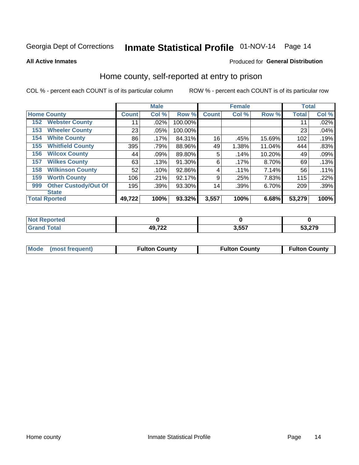# Inmate Statistical Profile 01-NOV-14 Page 14

**All Active Inmates** 

### Produced for General Distribution

### Home county, self-reported at entry to prison

COL % - percent each COUNT is of its particular column

|     |                             |              | <b>Male</b> |         |              | <b>Female</b> |           | <b>Total</b> |       |
|-----|-----------------------------|--------------|-------------|---------|--------------|---------------|-----------|--------------|-------|
|     | <b>Home County</b>          | <b>Count</b> | Col %       | Row %   | <b>Count</b> | Col %         | Row %     | <b>Total</b> | Col % |
| 152 | <b>Webster County</b>       | 11           | .02%        | 100.00% |              |               |           | 11           | .02%  |
| 153 | <b>Wheeler County</b>       | 23           | $.05\%$     | 100.00% |              |               |           | 23           | .04%  |
| 154 | <b>White County</b>         | 86           | $.17\%$     | 84.31%  | 16           | .45%          | 15.69%    | 102          | .19%  |
| 155 | <b>Whitfield County</b>     | 395          | .79%        | 88.96%  | 49           | 1.38%         | 11.04%    | 444          | .83%  |
| 156 | <b>Wilcox County</b>        | 44           | .09%        | 89.80%  | 5            | .14%          | $10.20\%$ | 49           | .09%  |
| 157 | <b>Wilkes County</b>        | 63           | .13%        | 91.30%  | 6            | .17%          | 8.70%     | 69           | .13%  |
| 158 | <b>Wilkinson County</b>     | 52           | .10%        | 92.86%  | 4            | .11%          | 7.14%     | 56           | .11%  |
| 159 | <b>Worth County</b>         | 106          | .21%        | 92.17%  | 9            | .25%          | 7.83%     | 115          | .22%  |
| 999 | <b>Other Custody/Out Of</b> | 195          | .39%        | 93.30%  | 14           | .39%          | 6.70%     | 209          | .39%  |
|     | <b>State</b>                |              |             |         |              |               |           |              |       |
|     | <b>Total Rported</b>        | 49,722       | 100%        | 93.32%  | 3,557        | 100%          | 6.68%     | 53,279       | 100%  |

| ાલવ |                     |                 |        |
|-----|---------------------|-----------------|--------|
|     | 49722<br>175 L<br>™ | 2F <sub>5</sub> | 53.279 |

|  | Mode (most frequent) | <b>Fulton County</b> | <b>Fulton County</b> | <b>Fulton County</b> |
|--|----------------------|----------------------|----------------------|----------------------|
|--|----------------------|----------------------|----------------------|----------------------|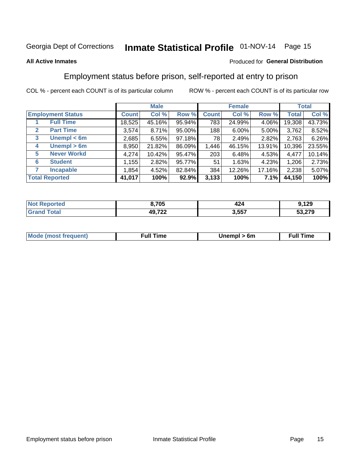# Inmate Statistical Profile 01-NOV-14 Page 15

### **All Active Inmates**

### Produced for General Distribution

# Employment status before prison, self-reported at entry to prison

COL % - percent each COUNT is of its particular column

|                                  | <b>Male</b>  |        |        | <b>Female</b> |          |        | <b>Total</b> |        |
|----------------------------------|--------------|--------|--------|---------------|----------|--------|--------------|--------|
| <b>Employment Status</b>         | <b>Count</b> | Col %  | Row %  | <b>Count</b>  | Col %    | Row %  | Total        | Col %  |
| <b>Full Time</b>                 | 18,525       | 45.16% | 95.94% | 783           | 24.99%   | 4.06%  | 19,308       | 43.73% |
| <b>Part Time</b><br>$\mathbf{2}$ | 3,574        | 8.71%  | 95.00% | 188           | $6.00\%$ | 5.00%  | 3,762        | 8.52%  |
| Unempl $<$ 6m<br>3               | 2,685        | 6.55%  | 97.18% | 78            | 2.49%    | 2.82%  | 2,763        | 6.26%  |
| Unempl > 6m<br>4                 | 8,950        | 21.82% | 86.09% | 1,446         | 46.15%   | 13.91% | 10,396       | 23.55% |
| <b>Never Workd</b><br>5          | 4,274        | 10.42% | 95.47% | 203           | 6.48%    | 4.53%  | 4,477        | 10.14% |
| <b>Student</b><br>6              | 1,155        | 2.82%  | 95.77% | 51            | 1.63%    | 4.23%  | 1,206        | 2.73%  |
| <b>Incapable</b>                 | 1,854        | 4.52%  | 82.84% | 384           | 12.26%   | 17.16% | 2,238        | 5.07%  |
| <b>Total Reported</b>            | 41,017       | 100%   | 92.9%  | 3,133         | 100%     | 7.1%   | 44,150       | 100%   |

| тес.<br>NO | 8,705                | 424   | 129    |
|------------|----------------------|-------|--------|
| int        | AOZ22<br>1 L L<br>т. | 3,557 | 53,279 |

| <b>Moo.</b><br><b>THOST</b> | the contract of the contract of the contract of the contract of the contract of the contract of the contract of the contract of the contract of the contract of the contract of the contract of the contract of the contract o | 6m | ıme |
|-----------------------------|--------------------------------------------------------------------------------------------------------------------------------------------------------------------------------------------------------------------------------|----|-----|
|                             |                                                                                                                                                                                                                                |    |     |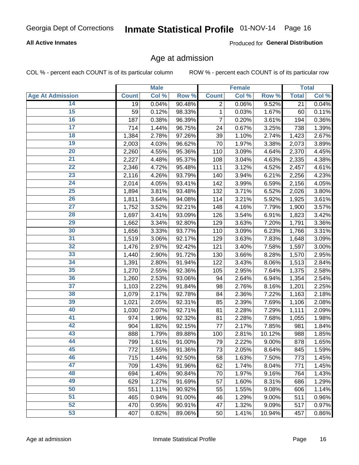### **All Active Inmates**

Produced for General Distribution

### Age at admission

COL % - percent each COUNT is of its particular column

|                         |              | <b>Male</b> |        |                 | <b>Female</b> |        |              | <b>Total</b> |
|-------------------------|--------------|-------------|--------|-----------------|---------------|--------|--------------|--------------|
| <b>Age At Admission</b> | <b>Count</b> | Col %       | Row %  | <b>Count</b>    | Col %         | Row %  | <b>Total</b> | Col %        |
| 14                      | 19           | 0.04%       | 90.48% | 2               | 0.06%         | 9.52%  | 21           | 0.04%        |
| 15                      | 59           | 0.12%       | 98.33% | $\mathbf{1}$    | 0.03%         | 1.67%  | 60           | 0.11%        |
| 16                      | 187          | 0.38%       | 96.39% | 7               | 0.20%         | 3.61%  | 194          | 0.36%        |
| $\overline{17}$         | 714          | 1.44%       | 96.75% | 24              | 0.67%         | 3.25%  | 738          | 1.39%        |
| $\overline{18}$         | 1,384        | 2.78%       | 97.26% | 39              | 1.10%         | 2.74%  | 1,423        | 2.67%        |
| 19                      | 2,003        | 4.03%       | 96.62% | $\overline{70}$ | 1.97%         | 3.38%  | 2,073        | 3.89%        |
| $\overline{20}$         | 2,260        | 4.55%       | 95.36% | 110             | 3.09%         | 4.64%  | 2,370        | 4.45%        |
| $\overline{21}$         | 2,227        | 4.48%       | 95.37% | 108             | 3.04%         | 4.63%  | 2,335        | 4.38%        |
| $\overline{22}$         | 2,346        | 4.72%       | 95.48% | 111             | 3.12%         | 4.52%  | 2,457        | 4.61%        |
| 23                      | 2,116        | 4.26%       | 93.79% | 140             | 3.94%         | 6.21%  | 2,256        | 4.23%        |
| $\overline{24}$         | 2,014        | 4.05%       | 93.41% | 142             | 3.99%         | 6.59%  | 2,156        | 4.05%        |
| 25                      | 1,894        | 3.81%       | 93.48% | 132             | 3.71%         | 6.52%  | 2,026        | 3.80%        |
| $\overline{26}$         | 1,811        | 3.64%       | 94.08% | 114             | 3.21%         | 5.92%  | 1,925        | 3.61%        |
| $\overline{27}$         | 1,752        | 3.52%       | 92.21% | 148             | 4.16%         | 7.79%  | 1,900        | 3.57%        |
| 28                      | 1,697        | 3.41%       | 93.09% | 126             | 3.54%         | 6.91%  | 1,823        | 3.42%        |
| 29                      | 1,662        | 3.34%       | 92.80% | 129             | 3.63%         | 7.20%  | 1,791        | 3.36%        |
| 30                      | 1,656        | 3.33%       | 93.77% | 110             | 3.09%         | 6.23%  | 1,766        | 3.31%        |
| $\overline{31}$         | 1,519        | 3.06%       | 92.17% | 129             | 3.63%         | 7.83%  | 1,648        | 3.09%        |
| 32                      | 1,476        | 2.97%       | 92.42% | 121             | 3.40%         | 7.58%  | 1,597        | 3.00%        |
| 33                      | 1,440        | 2.90%       | 91.72% | 130             | 3.66%         | 8.28%  | 1,570        | 2.95%        |
| 34                      | 1,391        | 2.80%       | 91.94% | 122             | 3.43%         | 8.06%  | 1,513        | 2.84%        |
| 35                      | 1,270        | 2.55%       | 92.36% | 105             | 2.95%         | 7.64%  | 1,375        | 2.58%        |
| 36                      | 1,260        | 2.53%       | 93.06% | 94              | 2.64%         | 6.94%  | 1,354        | 2.54%        |
| $\overline{37}$         | 1,103        | 2.22%       | 91.84% | 98              | 2.76%         | 8.16%  | 1,201        | 2.25%        |
| 38                      | 1,079        | 2.17%       | 92.78% | 84              | 2.36%         | 7.22%  | 1,163        | 2.18%        |
| 39                      | 1,021        | 2.05%       | 92.31% | 85              | 2.39%         | 7.69%  | 1,106        | 2.08%        |
| 40                      | 1,030        | 2.07%       | 92.71% | 81              | 2.28%         | 7.29%  | 1,111        | 2.09%        |
| 41                      | 974          | 1.96%       | 92.32% | 81              | 2.28%         | 7.68%  | 1,055        | 1.98%        |
| 42                      | 904          | 1.82%       | 92.15% | 77              | 2.17%         | 7.85%  | 981          | 1.84%        |
| 43                      | 888          | 1.79%       | 89.88% | 100             | 2.81%         | 10.12% | 988          | 1.85%        |
| 44                      | 799          | 1.61%       | 91.00% | 79              | 2.22%         | 9.00%  | 878          | 1.65%        |
| 45                      | 772          | 1.55%       | 91.36% | 73              | 2.05%         | 8.64%  | 845          | 1.59%        |
| 46                      | 715          | 1.44%       | 92.50% | 58              | 1.63%         | 7.50%  | 773          | 1.45%        |
| 47                      | 709          | 1.43%       | 91.96% | 62              | 1.74%         | 8.04%  | 771          | 1.45%        |
| 48                      | 694          | 1.40%       | 90.84% | 70              | 1.97%         | 9.16%  | 764          | 1.43%        |
| 49                      | 629          | 1.27%       | 91.69% | 57              | 1.60%         | 8.31%  | 686          | 1.29%        |
| 50                      | 551          | 1.11%       | 90.92% | 55              | 1.55%         | 9.08%  | 606          | 1.14%        |
| 51                      | 465          | 0.94%       | 91.00% | 46              | 1.29%         | 9.00%  | 511          | 0.96%        |
| 52                      | 470          | 0.95%       | 90.91% | 47              | 1.32%         | 9.09%  | 517          | 0.97%        |
| 53                      | 407          | 0.82%       | 89.06% | 50              | 1.41%         | 10.94% | 457          | 0.86%        |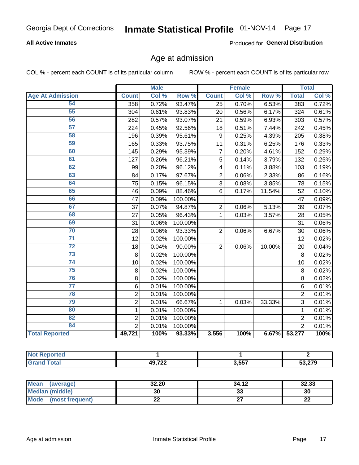### **All Active Inmates**

Produced for General Distribution

# Age at admission

COL % - percent each COUNT is of its particular column

|                         |                | <b>Male</b> |         |                | <b>Female</b> |        |                | <b>Total</b> |
|-------------------------|----------------|-------------|---------|----------------|---------------|--------|----------------|--------------|
| <b>Age At Admission</b> | <b>Count</b>   | Col %       | Row %   | <b>Count</b>   | Col %         | Row %  | <b>Total</b>   | Col %        |
| 54                      | 358            | 0.72%       | 93.47%  | 25             | 0.70%         | 6.53%  | 383            | 0.72%        |
| 55                      | 304            | 0.61%       | 93.83%  | 20             | 0.56%         | 6.17%  | 324            | 0.61%        |
| 56                      | 282            | 0.57%       | 93.07%  | 21             | 0.59%         | 6.93%  | 303            | 0.57%        |
| $\overline{57}$         | 224            | 0.45%       | 92.56%  | 18             | 0.51%         | 7.44%  | 242            | 0.45%        |
| 58                      | 196            | 0.39%       | 95.61%  | 9              | 0.25%         | 4.39%  | 205            | 0.38%        |
| 59                      | 165            | 0.33%       | 93.75%  | 11             | 0.31%         | 6.25%  | 176            | 0.33%        |
| 60                      | 145            | 0.29%       | 95.39%  | $\overline{7}$ | 0.20%         | 4.61%  | 152            | 0.29%        |
| 61                      | 127            | 0.26%       | 96.21%  | 5              | 0.14%         | 3.79%  | 132            | 0.25%        |
| 62                      | 99             | 0.20%       | 96.12%  | 4              | 0.11%         | 3.88%  | 103            | 0.19%        |
| 63                      | 84             | 0.17%       | 97.67%  | $\overline{2}$ | 0.06%         | 2.33%  | 86             | 0.16%        |
| 64                      | 75             | 0.15%       | 96.15%  | $\overline{3}$ | 0.08%         | 3.85%  | 78             | 0.15%        |
| 65                      | 46             | 0.09%       | 88.46%  | 6              | 0.17%         | 11.54% | 52             | 0.10%        |
| 66                      | 47             | 0.09%       | 100.00% |                |               |        | 47             | 0.09%        |
| 67                      | 37             | 0.07%       | 94.87%  | $\overline{2}$ | 0.06%         | 5.13%  | 39             | 0.07%        |
| 68                      | 27             | 0.05%       | 96.43%  | $\mathbf 1$    | 0.03%         | 3.57%  | 28             | 0.05%        |
| 69                      | 31             | 0.06%       | 100.00% |                |               |        | 31             | 0.06%        |
| 70                      | 28             | 0.06%       | 93.33%  | $\overline{2}$ | 0.06%         | 6.67%  | 30             | 0.06%        |
| $\overline{71}$         | 12             | 0.02%       | 100.00% |                |               |        | 12             | 0.02%        |
| $\overline{72}$         | 18             | 0.04%       | 90.00%  | $\overline{2}$ | 0.06%         | 10.00% | 20             | 0.04%        |
| $\overline{73}$         | 8              | 0.02%       | 100.00% |                |               |        | 8              | 0.02%        |
| $\overline{74}$         | 10             | 0.02%       | 100.00% |                |               |        | 10             | 0.02%        |
| 75                      | 8              | 0.02%       | 100.00% |                |               |        | 8              | 0.02%        |
| 76                      | 8              | 0.02%       | 100.00% |                |               |        | 8              | 0.02%        |
| $\overline{77}$         | 6              | 0.01%       | 100.00% |                |               |        | 6              | 0.01%        |
| 78                      | $\overline{2}$ | 0.01%       | 100.00% |                |               |        | $\overline{2}$ | 0.01%        |
| 79                      | $\overline{2}$ | 0.01%       | 66.67%  | 1              | 0.03%         | 33.33% | $\overline{3}$ | 0.01%        |
| 80                      | $\mathbf{1}$   | 0.01%       | 100.00% |                |               |        | $\mathbf{1}$   | 0.01%        |
| 82                      | $\overline{2}$ | 0.01%       | 100.00% |                |               |        | $\overline{2}$ | 0.01%        |
| 84                      | $\overline{2}$ | 0.01%       | 100.00% |                |               |        | $\overline{2}$ | 0.01%        |
| <b>Total Reported</b>   | 49,721         | 100%        | 93.33%  | 3,556          | 100%          | 6.67%  | 53,277         | 100%         |

| Reported<br><b>NOT</b> |              |       |     |
|------------------------|--------------|-------|-----|
| <b>c</b> otal          | <b>49722</b> | 3,557 | הדה |

| Mean (average)          | 32.20       | 34.12 | 32.33    |
|-------------------------|-------------|-------|----------|
| <b>Median (middle)</b>  | 30          | აა    | 30       |
| Mode<br>(most frequent) | <u>. . </u> |       | ጣጣ<br>LL |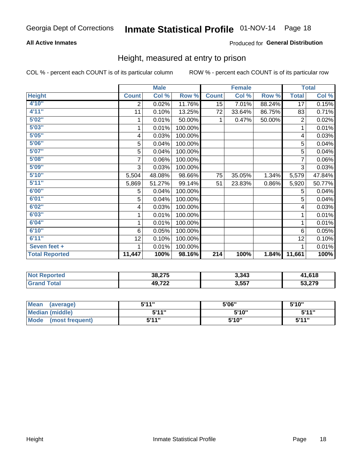### **All Active Inmates**

### Produced for General Distribution

### Height, measured at entry to prison

COL % - percent each COUNT is of its particular column

|                       |                | <b>Male</b> |         |              | <b>Female</b> |        |                | <b>Total</b> |
|-----------------------|----------------|-------------|---------|--------------|---------------|--------|----------------|--------------|
| <b>Height</b>         | <b>Count</b>   | Col %       | Row %   | <b>Count</b> | Col %         | Row %  | <b>Total</b>   | Col %        |
| 4'10''                | $\overline{2}$ | 0.02%       | 11.76%  | 15           | 7.01%         | 88.24% | 17             | 0.15%        |
| 4'11''                | 11             | 0.10%       | 13.25%  | 72           | 33.64%        | 86.75% | 83             | 0.71%        |
| 5'02"                 |                | 0.01%       | 50.00%  |              | 0.47%         | 50.00% | $\overline{c}$ | 0.02%        |
| 5'03''                | 1              | 0.01%       | 100.00% |              |               |        | 1              | 0.01%        |
| 5'05''                | 4              | 0.03%       | 100.00% |              |               |        | 4              | 0.03%        |
| 5'06''                | 5              | 0.04%       | 100.00% |              |               |        | 5              | 0.04%        |
| 5'07''                | 5              | 0.04%       | 100.00% |              |               |        | 5              | 0.04%        |
| 5'08''                | $\overline{7}$ | 0.06%       | 100.00% |              |               |        | $\overline{7}$ | 0.06%        |
| 5'09''                | 3              | 0.03%       | 100.00% |              |               |        | 3              | 0.03%        |
| 5'10''                | 5,504          | 48.08%      | 98.66%  | 75           | 35.05%        | 1.34%  | 5,579          | 47.84%       |
| 5'11''                | 5,869          | 51.27%      | 99.14%  | 51           | 23.83%        | 0.86%  | 5,920          | 50.77%       |
| 6'00''                | 5              | 0.04%       | 100.00% |              |               |        | 5              | 0.04%        |
| 6'01''                | 5              | 0.04%       | 100.00% |              |               |        | 5              | 0.04%        |
| 6'02''                | 4              | 0.03%       | 100.00% |              |               |        | 4              | 0.03%        |
| 6'03''                | 1              | 0.01%       | 100.00% |              |               |        | 1              | 0.01%        |
| 6'04''                | 1              | 0.01%       | 100.00% |              |               |        | 1              | 0.01%        |
| 6'10''                | 6              | 0.05%       | 100.00% |              |               |        | 6              | 0.05%        |
| 6'11''                | 12             | 0.10%       | 100.00% |              |               |        | 12             | 0.10%        |
| Seven feet +          |                | 0.01%       | 100.00% |              |               |        |                | 0.01%        |
| <b>Total Reported</b> | 11,447         | 100%        | 98.16%  | 214          | 100%          | 1.84%  | 11,661         | 100%         |

| <b>NOT</b><br>Reported | 38,275      | 3,343 | 14 G40<br>. סויט |
|------------------------|-------------|-------|------------------|
|                        | 10.722<br>. | 3,557 | 53,279           |

| <b>Mean</b><br>(average) | 544"  | 5'06"  | 5'10" |
|--------------------------|-------|--------|-------|
| Median (middle)          | 5'11" | 5'10"  | 5'11" |
| Mode<br>(most frequent)  | 5'11" | 5'10'' | 5'11" |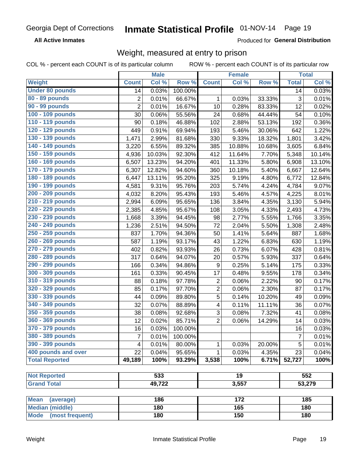**All Active Inmates** 

Produced for General Distribution

# Weight, measured at entry to prison

COL % - percent each COUNT is of its particular column

|                          |                | <b>Male</b>      |         |                         | <b>Female</b>   |        |                | <b>Total</b> |
|--------------------------|----------------|------------------|---------|-------------------------|-----------------|--------|----------------|--------------|
| Weight                   | <b>Count</b>   | Col %            | Row %   | <b>Count</b>            | Col %           | Row %  | <b>Total</b>   | Col %        |
| <b>Under 80 pounds</b>   | 14             | 0.03%            | 100.00% |                         |                 |        | 14             | 0.03%        |
| 80 - 89 pounds           | $\overline{c}$ | 0.01%            | 66.67%  | 1                       | 0.03%           | 33.33% | 3              | 0.01%        |
| 90 - 99 pounds           | $\overline{2}$ | 0.01%            | 16.67%  | 10                      | 0.28%           | 83.33% | 12             | 0.02%        |
| 100 - 109 pounds         | 30             | 0.06%            | 55.56%  | 24                      | 0.68%           | 44.44% | 54             | 0.10%        |
| 110 - 119 pounds         | 90             | 0.18%            | 46.88%  | 102                     | 2.88%           | 53.13% | 192            | 0.36%        |
| 120 - 129 pounds         | 449            | 0.91%            | 69.94%  | 193                     | 5.46%           | 30.06% | 642            | 1.22%        |
| 130 - 139 pounds         | 1,471          | 2.99%            | 81.68%  | 330                     | 9.33%           | 18.32% | 1,801          | 3.42%        |
| 140 - 149 pounds         | 3,220          | 6.55%            | 89.32%  | 385                     | 10.88%          | 10.68% | 3,605          | 6.84%        |
| 150 - 159 pounds         | 4,936          | 10.03%           | 92.30%  | 412                     | 11.64%          | 7.70%  | 5,348          | 10.14%       |
| 160 - 169 pounds         | 6,507          | 13.23%           | 94.20%  | 401                     | 11.33%          | 5.80%  | 6,908          | 13.10%       |
| 170 - 179 pounds         | 6,307          | 12.82%           | 94.60%  | 360                     | 10.18%          | 5.40%  | 6,667          | 12.64%       |
| 180 - 189 pounds         | 6,447          | 13.11%           | 95.20%  | 325                     | 9.19%           | 4.80%  | 6,772          | 12.84%       |
| 190 - 199 pounds         | 4,581          | 9.31%            | 95.76%  | 203                     | 5.74%           | 4.24%  | 4,784          | 9.07%        |
| 200 - 209 pounds         | 4,032          | 8.20%            | 95.43%  | 193                     | 5.46%           | 4.57%  | 4,225          | 8.01%        |
| 210 - 219 pounds         | 2,994          | 6.09%            | 95.65%  | 136                     | 3.84%           | 4.35%  | 3,130          | 5.94%        |
| 220 - 229 pounds         | 2,385          | 4.85%            | 95.67%  | 108                     | 3.05%           | 4.33%  | 2,493          | 4.73%        |
| 230 - 239 pounds         | 1,668          | 3.39%            | 94.45%  | 98                      | 2.77%           | 5.55%  | 1,766          | 3.35%        |
| 240 - 249 pounds         | 1,236          | 2.51%            | 94.50%  | 72                      | 2.04%           | 5.50%  | 1,308          | 2.48%        |
| 250 - 259 pounds         | 837            | 1.70%            | 94.36%  | 50                      | 1.41%           | 5.64%  | 887            | 1.68%        |
| 260 - 269 pounds         | 587            | 1.19%            | 93.17%  | 43                      | 1.22%           | 6.83%  | 630            | 1.19%        |
| 270 - 279 pounds         | 402            | 0.82%            | 93.93%  | 26                      | 0.73%           | 6.07%  | 428            | 0.81%        |
| 280 - 289 pounds         | 317            | 0.64%            | 94.07%  | 20                      | 0.57%           | 5.93%  | 337            | 0.64%        |
| 290 - 299 pounds         | 166            | 0.34%            | 94.86%  | 9                       | 0.25%           | 5.14%  | 175            | 0.33%        |
| 300 - 309 pounds         | 161            | 0.33%            | 90.45%  | 17                      | 0.48%           | 9.55%  | 178            | 0.34%        |
| 310 - 319 pounds         | 88             | 0.18%            | 97.78%  | $\overline{c}$          | 0.06%           | 2.22%  | 90             | 0.17%        |
| 320 - 329 pounds         | 85             | 0.17%            | 97.70%  | $\overline{\mathbf{c}}$ | 0.06%           | 2.30%  | 87             | 0.17%        |
| 330 - 339 pounds         | 44             | 0.09%            | 89.80%  | 5                       | 0.14%           | 10.20% | 49             | 0.09%        |
| 340 - 349 pounds         | 32             | 0.07%            | 88.89%  | $\overline{\mathbf{4}}$ | 0.11%           | 11.11% | 36             | 0.07%        |
| 350 - 359 pounds         | 38             | 0.08%            | 92.68%  | $\mathbf{3}$            | 0.08%           | 7.32%  | 41             | 0.08%        |
| 360 - 369 pounds         | 12             | 0.02%            | 85.71%  | $\overline{2}$          | 0.06%           | 14.29% | 14             | 0.03%        |
| 370 - 379 pounds         | 16             | 0.03%            | 100.00% |                         |                 |        | 16             | 0.03%        |
| 380 - 389 pounds         | 7              | 0.01%            | 100.00% |                         |                 |        | $\overline{7}$ | 0.01%        |
| 390 - 399 pounds         | 4              | 0.01%            | 80.00%  | 1                       | 0.03%           | 20.00% | 5              | 0.01%        |
| 400 pounds and over      | 22             | 0.04%            | 95.65%  | 1                       | 0.03%           | 4.35%  | 23             | 0.04%        |
| <b>Total Reported</b>    | 49,189         | 100%             | 93.29%  | 3,538                   | 100%            | 6.71%  | 52,727         | 100%         |
|                          |                |                  |         |                         |                 |        |                |              |
| <b>Not Reported</b>      |                | $\overline{533}$ |         |                         | $\overline{19}$ |        |                | 552          |
| <b>Grand Total</b>       |                | 49,722           |         |                         | 3,557           |        |                | 53,279       |
|                          |                |                  |         |                         |                 |        |                |              |
| <b>Mean</b><br>(average) |                | 186              |         |                         | 172             |        |                | 185          |
| <b>Median (middle)</b>   |                | 180              |         |                         | 165             |        |                | 180          |
| Mode (most frequent)     |                | 180              |         |                         | 150             |        |                | 180          |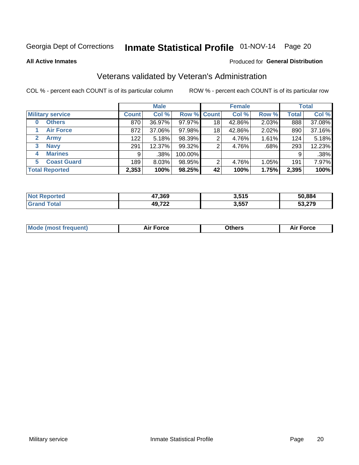# Inmate Statistical Profile 01-NOV-14 Page 20

**All Active Inmates** 

#### Produced for General Distribution

# Veterans validated by Veteran's Administration

COL % - percent each COUNT is of its particular column

|                          | <b>Male</b>  |        |         | <b>Female</b>      |        |       | <b>Total</b> |        |
|--------------------------|--------------|--------|---------|--------------------|--------|-------|--------------|--------|
| <b>Military service</b>  | <b>Count</b> | Col %  |         | <b>Row % Count</b> | Col %  | Row % | <b>Total</b> | Col %  |
| <b>Others</b><br>0       | 870          | 36.97% | 97.97%  | 18                 | 42.86% | 2.03% | 888          | 37.08% |
| <b>Air Force</b>         | 872          | 37.06% | 97.98%  | 18                 | 42.86% | 2.02% | 890          | 37.16% |
| <b>Army</b><br>2         | 122          | 5.18%  | 98.39%  | 2                  | 4.76%  | 1.61% | 124          | 5.18%  |
| <b>Navy</b><br>3         | 291          | 12.37% | 99.32%  | 2                  | 4.76%  | .68%  | 293          | 12.23% |
| <b>Marines</b><br>4      | 9            | .38%   | 100.00% |                    |        |       | 9            | .38%   |
| <b>Coast Guard</b><br>5. | 189          | 8.03%  | 98.95%  | 2                  | 4.76%  | 1.05% | 191          | 7.97%  |
| <b>Total Reported</b>    | 2,353        | 100%   | 98.25%  | 42                 | 100%   | 1.75% | 2,395        | 100%   |

| 'ted<br>N | 47,369 | 3,515 | 50.884           |
|-----------|--------|-------|------------------|
|           | 49,722 | 3,557 | מדה הי<br>53.Z1Y |

|  |  | <b>Mode (most frequent)</b> | <b>Force</b><br>Aır | วthers | orce |
|--|--|-----------------------------|---------------------|--------|------|
|--|--|-----------------------------|---------------------|--------|------|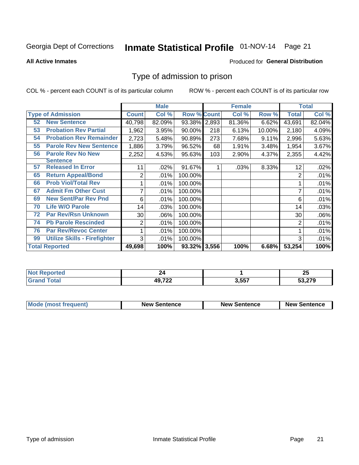# Inmate Statistical Profile 01-NOV-14 Page 21

#### **All Active Inmates**

#### Produced for General Distribution

### Type of admission to prison

COL % - percent each COUNT is of its particular column

|                       |                                     |              | <b>Male</b> |                    |     | <b>Female</b> |        |              | <b>Total</b> |
|-----------------------|-------------------------------------|--------------|-------------|--------------------|-----|---------------|--------|--------------|--------------|
|                       | <b>Type of Admission</b>            | <b>Count</b> | Col %       | <b>Row % Count</b> |     | Col %         | Row %  | <b>Total</b> | Col %        |
| 52                    | <b>New Sentence</b>                 | 40,798       | 82.09%      | 93.38% 2,893       |     | 81.36%        | 6.62%  | 43,691       | 82.04%       |
| 53                    | <b>Probation Rev Partial</b>        | 1,962        | 3.95%       | 90.00%             | 218 | 6.13%         | 10.00% | 2,180        | 4.09%        |
| 54                    | <b>Probation Rev Remainder</b>      | 2,723        | 5.48%       | 90.89%             | 273 | 7.68%         | 9.11%  | 2,996        | 5.63%        |
| 55                    | <b>Parole Rev New Sentence</b>      | 1,886        | 3.79%       | 96.52%             | 68  | 1.91%         | 3.48%  | 1,954        | 3.67%        |
| 56                    | <b>Parole Rev No New</b>            | 2,252        | 4.53%       | 95.63%             | 103 | 2.90%         | 4.37%  | 2,355        | 4.42%        |
|                       | Sentence                            |              |             |                    |     |               |        |              |              |
| 57                    | <b>Released In Error</b>            | 11           | .02%        | 91.67%             |     | .03%          | 8.33%  | 12           | .02%         |
| 65                    | <b>Return Appeal/Bond</b>           | 2            | .01%        | 100.00%            |     |               |        | 2            | .01%         |
| 66                    | <b>Prob Viol/Total Rev</b>          | 1            | .01%        | 100.00%            |     |               |        |              | .01%         |
| 67                    | <b>Admit Fm Other Cust</b>          | 7            | .01%        | 100.00%            |     |               |        | 7            | .01%         |
| 69                    | <b>New Sent/Par Rev Pnd</b>         | 6            | .01%        | 100.00%            |     |               |        | 6            | .01%         |
| 70                    | <b>Life W/O Parole</b>              | 14           | .03%        | 100.00%            |     |               |        | 14           | .03%         |
| 72                    | <b>Par Rev/Rsn Unknown</b>          | $30$         | .06%        | 100.00%            |     |               |        | 30           | .06%         |
| 74                    | <b>Pb Parole Rescinded</b>          | 2            | .01%        | 100.00%            |     |               |        | 2            | .01%         |
| 76                    | <b>Par Rev/Revoc Center</b>         | 1            | .01%        | 100.00%            |     |               |        |              | $.01\%$      |
| 99                    | <b>Utilize Skills - Firefighter</b> | 3            | .01%        | 100.00%            |     |               |        | 3            | .01%         |
| <b>Total Reported</b> |                                     | 49,698       | 100%        | 93.32% 3,556       |     | 100%          | 6.68%  | 53,254       | 100%         |

| N<br>те с |                                           |       | י ה<br>ΔJ |
|-----------|-------------------------------------------|-------|-----------|
|           | <b>AQ 722</b><br>$-1$ . The set of $\sim$ | 3,557 | E20270    |

| <b>Mode (most frequent)</b> | <b>New Sentence</b> | <b>New Sentence</b> | <b>New Sentence</b> |
|-----------------------------|---------------------|---------------------|---------------------|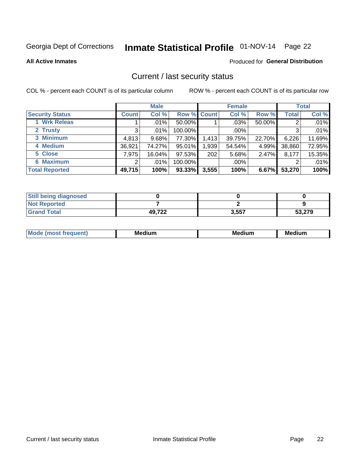# Inmate Statistical Profile 01-NOV-14 Page 22

**All Active Inmates** 

#### Produced for General Distribution

### Current / last security status

COL % - percent each COUNT is of its particular column

|                        |              | <b>Male</b> |             |       | <b>Female</b> |        |              | <b>Total</b> |
|------------------------|--------------|-------------|-------------|-------|---------------|--------|--------------|--------------|
| <b>Security Status</b> | <b>Count</b> | Col %       | Row % Count |       | Col %         | Row %  | <b>Total</b> | Col %        |
| <b>Wrk Releas</b>      |              | .01%        | 50.00%      |       | $.03\%$       | 50.00% | 2            | .01%         |
| 2 Trusty               | 3            | .01%        | 100.00%     |       | .00%          |        | 3            | .01%         |
| 3 Minimum              | 4,813        | 9.68%       | 77.30%      | 1,413 | 39.75%        | 22.70% | 6,226        | 11.69%       |
| 4 Medium               | 36,921       | 74.27%      | 95.01%      | 1,939 | 54.54%        | 4.99%  | 38,860       | 72.95%       |
| 5 Close                | 7,975        | 16.04%      | 97.53%      | 202   | 5.68%         | 2.47%  | 8,177        | 15.35%       |
| <b>6 Maximum</b>       | 2            | .01%        | 100.00%     |       | .00%          |        | 2            | .01%         |
| <b>Total Reported</b>  | 49,715       | 100%        | 93.33%      | 3,555 | 100%          | 6.67%  | 53,270       | 100%         |

| <b>Still being diagnosed</b> |        |       |        |
|------------------------------|--------|-------|--------|
| <b>Not Reported</b>          |        |       |        |
| <b>Grand Total</b>           | 49,722 | 3,557 | 53,279 |

| <b>Mo</b><br>ети | M<br>. .<br>dium | M٢<br>. | <br><b>Medium</b> |
|------------------|------------------|---------|-------------------|
|                  |                  |         |                   |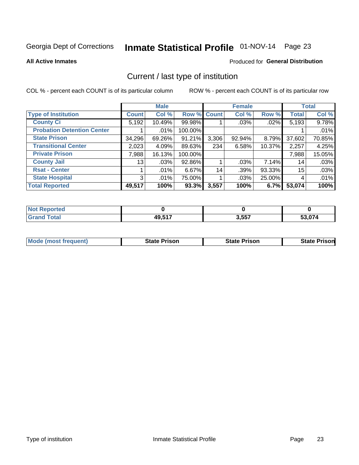# Inmate Statistical Profile 01-NOV-14 Page 23

**All Active Inmates** 

### Produced for General Distribution

# Current / last type of institution

COL % - percent each COUNT is of its particular column

|                                   |                | <b>Male</b> |             |       | <b>Female</b> |        |              | <b>Total</b> |
|-----------------------------------|----------------|-------------|-------------|-------|---------------|--------|--------------|--------------|
| <b>Type of Institution</b>        | <b>Count</b>   | Col %       | Row % Count |       | Col %         | Row %  | <b>Total</b> | Col %        |
| <b>County Ci</b>                  | 5,192          | 10.49%      | 99.98%      |       | .03%          | .02%   | 5,193        | 9.78%        |
| <b>Probation Detention Center</b> |                | .01%        | 100.00%     |       |               |        |              | .01%         |
| <b>State Prison</b>               | 34,296         | 69.26%      | $91.21\%$   | 3,306 | 92.94%        | 8.79%  | 37,602       | 70.85%       |
| <b>Transitional Center</b>        | 2,023          | 4.09%       | 89.63%      | 234   | 6.58%         | 10.37% | 2,257        | 4.25%        |
| <b>Private Prison</b>             | 7,988          | 16.13%      | 100.00%     |       |               |        | 7,988        | 15.05%       |
| <b>County Jail</b>                | 13             | .03%        | 92.86%      |       | .03%          | 7.14%  | 14           | .03%         |
| <b>Rsat - Center</b>              |                | .01%        | 6.67%       | 14    | .39%          | 93.33% | 15           | .03%         |
| <b>State Hospital</b>             | 3 <sup>1</sup> | .01%        | 75.00%      |       | .03%          | 25.00% | 4            | .01%         |
| <b>Total Reported</b>             | 49,517         | 100%        | 93.3%       | 3,557 | 100%          | 6.7%   | 53,074       | 100%         |

| oorted<br><b>NOT</b> |        |       |                       |
|----------------------|--------|-------|-----------------------|
| `otal<br>Gr2         | 49,517 | 3,557 | EA A71<br>.U74<br>ЭJ. |

| Mode (most frequent) | <b>State Prison</b> | <b>State Prison</b> | <b>State Prisonl</b> |
|----------------------|---------------------|---------------------|----------------------|
|                      |                     |                     |                      |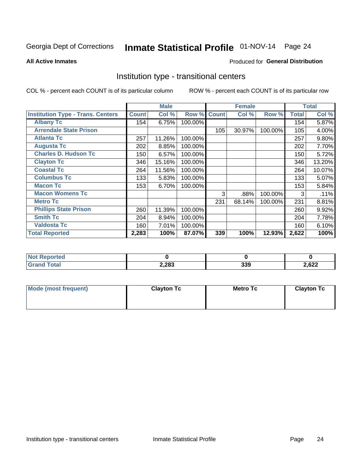# Inmate Statistical Profile 01-NOV-14 Page 24

#### **All Active Inmates**

#### Produced for General Distribution

### Institution type - transitional centers

COL % - percent each COUNT is of its particular column

|                                          |              | <b>Male</b> |         |              | <b>Female</b> |         |              | <b>Total</b> |
|------------------------------------------|--------------|-------------|---------|--------------|---------------|---------|--------------|--------------|
| <b>Institution Type - Trans. Centers</b> | <b>Count</b> | Col %       | Row %   | <b>Count</b> | Col %         | Row %   | <b>Total</b> | Col %        |
| <b>Albany Tc</b>                         | 154          | 6.75%       | 100.00% |              |               |         | 154          | 5.87%        |
| <b>Arrendale State Prison</b>            |              |             |         | 105          | 30.97%        | 100.00% | 105          | 4.00%        |
| <b>Atlanta Tc</b>                        | 257          | 11.26%      | 100.00% |              |               |         | 257          | 9.80%        |
| <b>Augusta Tc</b>                        | 202          | 8.85%       | 100.00% |              |               |         | 202          | 7.70%        |
| <b>Charles D. Hudson Tc</b>              | 150          | 6.57%       | 100.00% |              |               |         | 150          | 5.72%        |
| <b>Clayton Tc</b>                        | 346          | 15.16%      | 100.00% |              |               |         | 346          | 13.20%       |
| <b>Coastal Tc</b>                        | 264          | 11.56%      | 100.00% |              |               |         | 264          | 10.07%       |
| <b>Columbus Tc</b>                       | 133          | 5.83%       | 100.00% |              |               |         | 133          | 5.07%        |
| <b>Macon Tc</b>                          | 153          | 6.70%       | 100.00% |              |               |         | 153          | 5.84%        |
| <b>Macon Womens Tc</b>                   |              |             |         | 3            | .88%          | 100.00% | 3            | .11%         |
| <b>Metro Tc</b>                          |              |             |         | 231          | 68.14%        | 100.00% | 231          | 8.81%        |
| <b>Phillips State Prison</b>             | 260          | 11.39%      | 100.00% |              |               |         | 260          | 9.92%        |
| <b>Smith Tc</b>                          | 204          | 8.94%       | 100.00% |              |               |         | 204          | 7.78%        |
| <b>Valdosta Tc</b>                       | 160          | 7.01%       | 100.00% |              |               |         | 160          | 6.10%        |
| <b>Total Reported</b>                    | 2,283        | 100%        | 87.07%  | 339          | 100%          | 12.93%  | 2,622        | 100%         |

| orted      |       |            |       |
|------------|-------|------------|-------|
| <b>ota</b> | 2,283 | ລລດ<br>ວວວ | 2,622 |

| Mode (most frequent) | <b>Clayton Tc</b> | <b>Metro Tc</b> | <b>Clayton Tc</b> |
|----------------------|-------------------|-----------------|-------------------|
|                      |                   |                 |                   |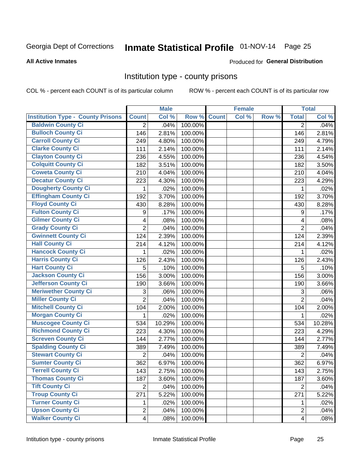# Inmate Statistical Profile 01-NOV-14 Page 25

#### **All Active Inmates**

#### Produced for General Distribution

### Institution type - county prisons

COL % - percent each COUNT is of its particular column

|                                          |                         | <b>Male</b> |         |              | <b>Female</b> |       |                         | <b>Total</b> |
|------------------------------------------|-------------------------|-------------|---------|--------------|---------------|-------|-------------------------|--------------|
| <b>Institution Type - County Prisons</b> | <b>Count</b>            | Col %       | Row %   | <b>Count</b> | Col %         | Row % | <b>Total</b>            | Col %        |
| <b>Baldwin County Ci</b>                 | $\overline{2}$          | .04%        | 100.00% |              |               |       | $\overline{2}$          | .04%         |
| <b>Bulloch County Ci</b>                 | 146                     | 2.81%       | 100.00% |              |               |       | 146                     | 2.81%        |
| <b>Carroll County Ci</b>                 | 249                     | 4.80%       | 100.00% |              |               |       | 249                     | 4.79%        |
| <b>Clarke County Ci</b>                  | 111                     | 2.14%       | 100.00% |              |               |       | 111                     | 2.14%        |
| <b>Clayton County Ci</b>                 | 236                     | 4.55%       | 100.00% |              |               |       | 236                     | 4.54%        |
| <b>Colquitt County Ci</b>                | 182                     | 3.51%       | 100.00% |              |               |       | 182                     | 3.50%        |
| <b>Coweta County Ci</b>                  | 210                     | 4.04%       | 100.00% |              |               |       | 210                     | 4.04%        |
| <b>Decatur County Ci</b>                 | 223                     | 4.30%       | 100.00% |              |               |       | 223                     | 4.29%        |
| <b>Dougherty County Ci</b>               | 1                       | .02%        | 100.00% |              |               |       | 1                       | .02%         |
| <b>Effingham County Ci</b>               | 192                     | 3.70%       | 100.00% |              |               |       | 192                     | 3.70%        |
| <b>Floyd County Ci</b>                   | 430                     | 8.28%       | 100.00% |              |               |       | 430                     | 8.28%        |
| <b>Fulton County Ci</b>                  | 9                       | .17%        | 100.00% |              |               |       | 9                       | .17%         |
| <b>Gilmer County Ci</b>                  | 4                       | .08%        | 100.00% |              |               |       | $\overline{4}$          | .08%         |
| <b>Grady County Ci</b>                   | $\overline{2}$          | .04%        | 100.00% |              |               |       | $\overline{2}$          | .04%         |
| <b>Gwinnett County Ci</b>                | 124                     | 2.39%       | 100.00% |              |               |       | 124                     | 2.39%        |
| <b>Hall County Ci</b>                    | 214                     | 4.12%       | 100.00% |              |               |       | 214                     | 4.12%        |
| <b>Hancock County Ci</b>                 | 1                       | .02%        | 100.00% |              |               |       | 1                       | .02%         |
| <b>Harris County Ci</b>                  | 126                     | 2.43%       | 100.00% |              |               |       | 126                     | 2.43%        |
| <b>Hart County Ci</b>                    | 5                       | .10%        | 100.00% |              |               |       | 5                       | .10%         |
| <b>Jackson County Ci</b>                 | 156                     | 3.00%       | 100.00% |              |               |       | 156                     | 3.00%        |
| Jefferson County Ci                      | 190                     | 3.66%       | 100.00% |              |               |       | 190                     | 3.66%        |
| <b>Meriwether County Ci</b>              | 3                       | .06%        | 100.00% |              |               |       | 3                       | .06%         |
| <b>Miller County Ci</b>                  | $\overline{2}$          | .04%        | 100.00% |              |               |       | $\overline{2}$          | .04%         |
| <b>Mitchell County Ci</b>                | 104                     | 2.00%       | 100.00% |              |               |       | 104                     | 2.00%        |
| <b>Morgan County Ci</b>                  | 1                       | .02%        | 100.00% |              |               |       | 1                       | .02%         |
| <b>Muscogee County Ci</b>                | 534                     | 10.29%      | 100.00% |              |               |       | 534                     | 10.28%       |
| <b>Richmond County Ci</b>                | 223                     | 4.30%       | 100.00% |              |               |       | 223                     | 4.29%        |
| <b>Screven County Ci</b>                 | 144                     | 2.77%       | 100.00% |              |               |       | 144                     | 2.77%        |
| <b>Spalding County Ci</b>                | 389                     | 7.49%       | 100.00% |              |               |       | 389                     | 7.49%        |
| <b>Stewart County Ci</b>                 | $\overline{2}$          | .04%        | 100.00% |              |               |       | $\overline{2}$          | .04%         |
| <b>Sumter County Ci</b>                  | 362                     | 6.97%       | 100.00% |              |               |       | 362                     | 6.97%        |
| <b>Terrell County Ci</b>                 | 143                     | 2.75%       | 100.00% |              |               |       | 143                     | 2.75%        |
| <b>Thomas County Ci</b>                  | 187                     | 3.60%       | 100.00% |              |               |       | 187                     | 3.60%        |
| <b>Tift County Ci</b>                    | $\overline{2}$          | .04%        | 100.00% |              |               |       | $\overline{2}$          | .04%         |
| <b>Troup County Ci</b>                   | 271                     | 5.22%       | 100.00% |              |               |       | 271                     | 5.22%        |
| <b>Turner County Ci</b>                  | 1                       | .02%        | 100.00% |              |               |       | 1                       | .02%         |
| <b>Upson County Ci</b>                   | $\overline{2}$          | .04%        | 100.00% |              |               |       | $\overline{2}$          | .04%         |
| <b>Walker County Ci</b>                  | $\overline{\mathbf{4}}$ | .08%        | 100.00% |              |               |       | $\overline{\mathbf{4}}$ | .08%         |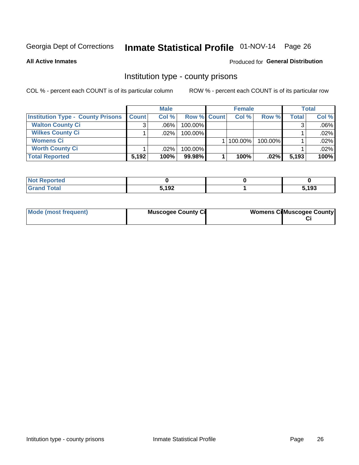# Inmate Statistical Profile 01-NOV-14 Page 26

**All Active Inmates** 

#### Produced for General Distribution

### Institution type - county prisons

COL % - percent each COUNT is of its particular column

|                                          |              | <b>Male</b> |                    | <b>Female</b> |              |         | Total        |         |
|------------------------------------------|--------------|-------------|--------------------|---------------|--------------|---------|--------------|---------|
| <b>Institution Type - County Prisons</b> | <b>Count</b> | Col%        | <b>Row % Count</b> |               | Col%         | Row %   | <b>Total</b> | Col %   |
| <b>Walton County Ci</b>                  | 3            | $.06\%$     | 100.00%            |               |              |         |              | $.06\%$ |
| <b>Wilkes County Ci</b>                  |              | $.02\%$     | 100.00%            |               |              |         |              | .02%    |
| <b>Womens Ci</b>                         |              |             |                    |               | $ 100.00\% $ | 100.00% |              | .02%    |
| <b>Worth County Ci</b>                   |              | $.02\%$     | 100.00%            |               |              |         |              | .02%    |
| <b>Total Reported</b>                    | 5,192        | 100%        | 99.98%             |               | 100%         | .02%    | 5,193        | 100%    |

| portea<br>N. |       |       |
|--------------|-------|-------|
| _____        | 5,192 | ;,193 |

| Mode (most frequent) | <b>Muscogee County Ci</b> | <b>Womens Ci</b> Muscogee County |
|----------------------|---------------------------|----------------------------------|
|                      |                           |                                  |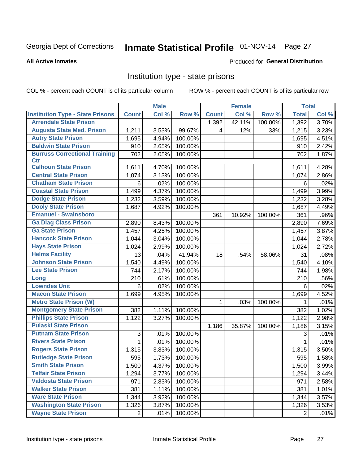# Inmate Statistical Profile 01-NOV-14 Page 27

#### **All Active Inmates**

#### Produced for General Distribution

### Institution type - state prisons

COL % - percent each COUNT is of its particular column

|                                         |                | <b>Male</b> |         |              | <b>Female</b> |         | <b>Total</b> |       |
|-----------------------------------------|----------------|-------------|---------|--------------|---------------|---------|--------------|-------|
| <b>Institution Type - State Prisons</b> | <b>Count</b>   | Col %       | Row %   | <b>Count</b> | Col %         | Row %   | <b>Total</b> | Col % |
| <b>Arrendale State Prison</b>           |                |             |         | 1,392        | 42.11%        | 100.00% | 1,392        | 3.70% |
| <b>Augusta State Med. Prison</b>        | 1,211          | 3.53%       | 99.67%  | 4            | .12%          | .33%    | 1,215        | 3.23% |
| <b>Autry State Prison</b>               | 1,695          | 4.94%       | 100.00% |              |               |         | 1,695        | 4.51% |
| <b>Baldwin State Prison</b>             | 910            | 2.65%       | 100.00% |              |               |         | 910          | 2.42% |
| <b>Burruss Correctional Training</b>    | 702            | 2.05%       | 100.00% |              |               |         | 702          | 1.87% |
| <b>Ctr</b>                              |                |             |         |              |               |         |              |       |
| <b>Calhoun State Prison</b>             | 1,611          | 4.70%       | 100.00% |              |               |         | 1,611        | 4.28% |
| <b>Central State Prison</b>             | 1,074          | 3.13%       | 100.00% |              |               |         | 1,074        | 2.86% |
| <b>Chatham State Prison</b>             | 6              | .02%        | 100.00% |              |               |         | 6            | .02%  |
| <b>Coastal State Prison</b>             | 1,499          | 4.37%       | 100.00% |              |               |         | 1,499        | 3.99% |
| <b>Dodge State Prison</b>               | 1,232          | 3.59%       | 100.00% |              |               |         | 1,232        | 3.28% |
| <b>Dooly State Prison</b>               | 1,687          | 4.92%       | 100.00% |              |               |         | 1,687        | 4.49% |
| <b>Emanuel - Swainsboro</b>             |                |             |         | 361          | 10.92%        | 100.00% | 361          | .96%  |
| <b>Ga Diag Class Prison</b>             | 2,890          | 8.43%       | 100.00% |              |               |         | 2,890        | 7.69% |
| <b>Ga State Prison</b>                  | 1,457          | 4.25%       | 100.00% |              |               |         | 1,457        | 3.87% |
| <b>Hancock State Prison</b>             | 1,044          | 3.04%       | 100.00% |              |               |         | 1,044        | 2.78% |
| <b>Hays State Prison</b>                | 1,024          | 2.99%       | 100.00% |              |               |         | 1,024        | 2.72% |
| <b>Helms Facility</b>                   | 13             | .04%        | 41.94%  | 18           | .54%          | 58.06%  | 31           | .08%  |
| <b>Johnson State Prison</b>             | 1,540          | 4.49%       | 100.00% |              |               |         | 1,540        | 4.10% |
| <b>Lee State Prison</b>                 | 744            | 2.17%       | 100.00% |              |               |         | 744          | 1.98% |
| Long                                    | 210            | .61%        | 100.00% |              |               |         | 210          | .56%  |
| <b>Lowndes Unit</b>                     | 6              | .02%        | 100.00% |              |               |         | 6            | .02%  |
| <b>Macon State Prison</b>               | 1,699          | 4.95%       | 100.00% |              |               |         | 1,699        | 4.52% |
| <b>Metro State Prison (W)</b>           |                |             |         | 1            | .03%          | 100.00% | 1            | .01%  |
| <b>Montgomery State Prison</b>          | 382            | 1.11%       | 100.00% |              |               |         | 382          | 1.02% |
| <b>Phillips State Prison</b>            | 1,122          | 3.27%       | 100.00% |              |               |         | 1,122        | 2.98% |
| <b>Pulaski State Prison</b>             |                |             |         | 1,186        | 35.87%        | 100.00% | 1,186        | 3.15% |
| <b>Putnam State Prison</b>              | 3              | .01%        | 100.00% |              |               |         | 3            | .01%  |
| <b>Rivers State Prison</b>              | $\mathbf{1}$   | .01%        | 100.00% |              |               |         | 1            | .01%  |
| <b>Rogers State Prison</b>              | 1,315          | 3.83%       | 100.00% |              |               |         | 1,315        | 3.50% |
| <b>Rutledge State Prison</b>            | 595            | 1.73%       | 100.00% |              |               |         | 595          | 1.58% |
| <b>Smith State Prison</b>               | 1,500          | 4.37%       | 100.00% |              |               |         | 1,500        | 3.99% |
| <b>Telfair State Prison</b>             | 1,294          | 3.77%       | 100.00% |              |               |         | 1,294        | 3.44% |
| <b>Valdosta State Prison</b>            | 971            | 2.83%       | 100.00% |              |               |         | 971          | 2.58% |
| <b>Walker State Prison</b>              | 381            | 1.11%       | 100.00% |              |               |         | 381          | 1.01% |
| <b>Ware State Prison</b>                | 1,344          | 3.92%       | 100.00% |              |               |         | 1,344        | 3.57% |
| <b>Washington State Prison</b>          | 1,326          | 3.87%       | 100.00% |              |               |         | 1,326        | 3.53% |
| <b>Wayne State Prison</b>               | $\overline{2}$ | .01%        | 100.00% |              |               |         | 2            | .01%  |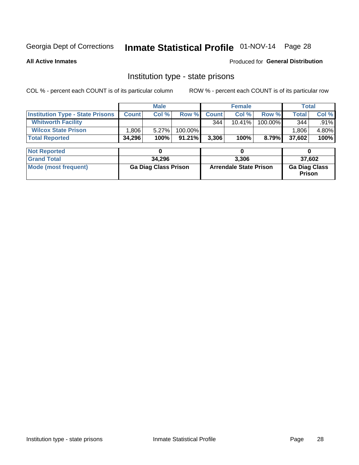# Inmate Statistical Profile 01-NOV-14 Page 28

**All Active Inmates** 

#### Produced for General Distribution

### Institution type - state prisons

COL % - percent each COUNT is of its particular column

|                                         |                             | <b>Male</b> |         |                               | <b>Female</b> |         |                                | <b>Total</b> |  |
|-----------------------------------------|-----------------------------|-------------|---------|-------------------------------|---------------|---------|--------------------------------|--------------|--|
| <b>Institution Type - State Prisons</b> | <b>Count</b>                | Col %       | Row %   | <b>Count</b>                  | Col %         | Row %   | Total                          | Col %        |  |
| <b>Whitworth Facility</b>               |                             |             |         | 344                           | $10.41\%$     | 100.00% | 344                            | $.91\%$      |  |
| <b>Wilcox State Prison</b>              | 1,806                       | 5.27%       | 100.00% |                               |               |         | 1,806                          | 4.80%        |  |
| <b>Total Reported</b>                   | 34,296                      | 100%        | 91.21%  | 3,306                         | 100%          | 8.79%   | 37,602                         | 100%         |  |
| <b>Not Reported</b>                     |                             | 0           |         |                               | 0             |         |                                | 0            |  |
| <b>Grand Total</b>                      |                             | 34,296      |         | 3,306                         |               |         | 37,602                         |              |  |
| <b>Mode (most frequent)</b>             | <b>Ga Diag Class Prison</b> |             |         | <b>Arrendale State Prison</b> |               |         | <b>Ga Diag Class</b><br>Prison |              |  |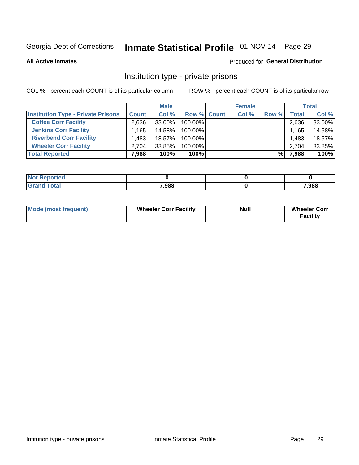# Inmate Statistical Profile 01-NOV-14 Page 29

**All Active Inmates** 

#### Produced for General Distribution

### Institution type - private prisons

COL % - percent each COUNT is of its particular column

|                                           | <b>Male</b>  |           |                    | <b>Female</b> |       |       | <b>Total</b> |        |
|-------------------------------------------|--------------|-----------|--------------------|---------------|-------|-------|--------------|--------|
| <b>Institution Type - Private Prisons</b> | <b>Count</b> | Col %     | <b>Row % Count</b> |               | Col % | Row % | Total        | Col %  |
| <b>Coffee Corr Facility</b>               | 2.636        | $33.00\%$ | 100.00%            |               |       |       | 2,636        | 33.00% |
| <b>Jenkins Corr Facility</b>              | $.165+$      | 14.58%    | $100.00\%$         |               |       |       | 1,165        | 14.58% |
| <b>Riverbend Corr Facility</b>            | .483         | 18.57%    | $100.00\%$         |               |       |       | 1,483        | 18.57% |
| <b>Wheeler Corr Facility</b>              | 2.704        | 33.85%    | 100.00%            |               |       |       | 2,704        | 33.85% |
| <b>Total Reported</b>                     | 7,988        | 100%      | 100%               |               |       | %     | 7,988        | 100%   |

| <b>Reported</b><br>∵NΩì. |       |       |
|--------------------------|-------|-------|
| <b>otal</b>              | 7,988 | 7,988 |

| <b>Mode (most frequent)</b> | <b>Wheeler Corr Facility</b> | <b>Null</b> | <b>Wheeler Corr</b><br><b>Facility</b> |
|-----------------------------|------------------------------|-------------|----------------------------------------|
|-----------------------------|------------------------------|-------------|----------------------------------------|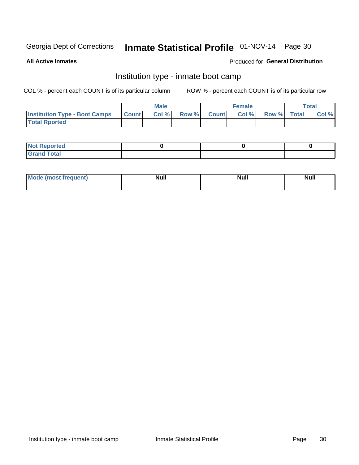# Inmate Statistical Profile 01-NOV-14 Page 30

**All Active Inmates** 

### Produced for General Distribution

# Institution type - inmate boot camp

COL % - percent each COUNT is of its particular column

|                                      | <b>Male</b>  |       |  | <b>Female</b> |  |                   | <b>Total</b> |       |
|--------------------------------------|--------------|-------|--|---------------|--|-------------------|--------------|-------|
| <b>Institution Type - Boot Camps</b> | <b>Count</b> | Col % |  | Row % Count   |  | Col % Row % Total |              | Col % |
| <b>Total Rported</b>                 |              |       |  |               |  |                   |              |       |

| <b>Not Reported</b>            |  |  |
|--------------------------------|--|--|
| <b>Total</b><br>C <sub>r</sub> |  |  |

| Mod<br>uamo | Nul.<br>$- - - - - -$ | <b>Null</b> | . .<br>uu.<br>------ |
|-------------|-----------------------|-------------|----------------------|
|             |                       |             |                      |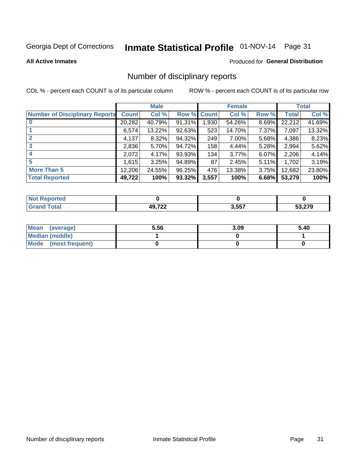# Inmate Statistical Profile 01-NOV-14 Page 31

**All Active Inmates** 

### **Produced for General Distribution**

### Number of disciplinary reports

COL % - percent each COUNT is of its particular column

|                                       |              | <b>Male</b> |             |       | <b>Female</b> |       |        | <b>Total</b> |
|---------------------------------------|--------------|-------------|-------------|-------|---------------|-------|--------|--------------|
| <b>Number of Disciplinary Reports</b> | <b>Count</b> | Col %       | Row % Count |       | Col %         | Row % | Total  | Col %        |
| $\bf{0}$                              | 20,282       | 40.79%      | 91.31%      | 1,930 | 54.26%        | 8.69% | 22,212 | 41.69%       |
|                                       | 6,574        | 13.22%      | 92.63%      | 523   | 14.70%        | 7.37% | 7,097  | 13.32%       |
| $\mathbf{2}$                          | 4,137        | 8.32%       | 94.32%      | 249   | 7.00%         | 5.68% | 4,386  | 8.23%        |
| 3                                     | 2,836        | 5.70%       | 94.72%      | 158   | 4.44%         | 5.28% | 2,994  | 5.62%        |
|                                       | 2,072        | 4.17%       | 93.93%      | 134   | 3.77%         | 6.07% | 2,206  | 4.14%        |
| 5                                     | 1,615        | 3.25%       | 94.89%      | 87    | 2.45%         | 5.11% | 1,702  | 3.19%        |
| <b>More Than 5</b>                    | 12,206       | 24.55%      | 96.25%      | 476   | 13.38%        | 3.75% | 12,682 | 23.80%       |
| <b>Total Reported</b>                 | 49,722       | 100%        | 93.32%      | 3,557 | 100%          | 6.68% | 53,279 | 100%         |

| prted<br>NO       |           |       |           |
|-------------------|-----------|-------|-----------|
| <sup>-</sup> otar | AOZ22<br> | 3,557 | 0.70<br>. |

| Mean (average)         | 5.56 | 3.09 | 5.40 |
|------------------------|------|------|------|
| <b>Median (middle)</b> |      |      |      |
| Mode (most frequent)   |      |      |      |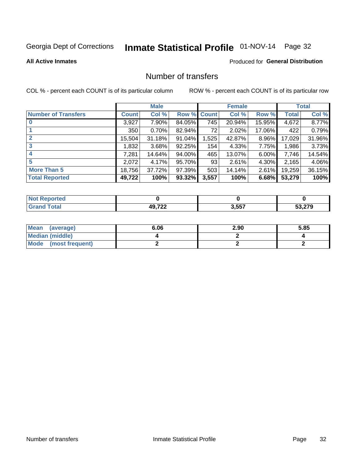# Inmate Statistical Profile 01-NOV-14 Page 32

#### **All Active Inmates**

### **Produced for General Distribution**

# Number of transfers

COL % - percent each COUNT is of its particular column

|                            | <b>Male</b> |        | <b>Female</b> |              |        | <b>Total</b> |              |        |
|----------------------------|-------------|--------|---------------|--------------|--------|--------------|--------------|--------|
| <b>Number of Transfers</b> | Count l     | Col %  | Row %         | <b>Count</b> | Col %  | Row %        | <b>Total</b> | Col %  |
|                            | 3,927       | 7.90%  | 84.05%        | 745          | 20.94% | 15.95%       | 4,672        | 8.77%  |
|                            | 350         | 0.70%  | 82.94%        | 72           | 2.02%  | 17.06%       | 422          | 0.79%  |
| $\mathbf{2}$               | 15,504      | 31.18% | 91.04%        | 1,525        | 42.87% | 8.96%        | 17,029       | 31.96% |
| 3                          | 1,832       | 3.68%  | 92.25%        | 154          | 4.33%  | 7.75%        | 1,986        | 3.73%  |
|                            | 7,281       | 14.64% | 94.00%        | 465          | 13.07% | $6.00\%$     | 7,746        | 14.54% |
| 5                          | 2,072       | 4.17%  | 95.70%        | 93           | 2.61%  | 4.30%        | 2,165        | 4.06%  |
| <b>More Than 5</b>         | 18,756      | 37.72% | 97.39%        | 503          | 14.14% | $2.61\%$     | 19,259       | 36.15% |
| <b>Total Reported</b>      | 49,722      | 100%   | 93.32%        | 3,557        | 100%   | 6.68%        | 53,279       | 100%   |

| prted<br>NO       |           |       |           |
|-------------------|-----------|-------|-----------|
| <sup>-</sup> otar | AOZ22<br> | 3,557 | 0.70<br>. |

| Mean (average)         | 6.06 | 2.90 | 5.85 |
|------------------------|------|------|------|
| <b>Median (middle)</b> |      |      |      |
| Mode (most frequent)   |      |      |      |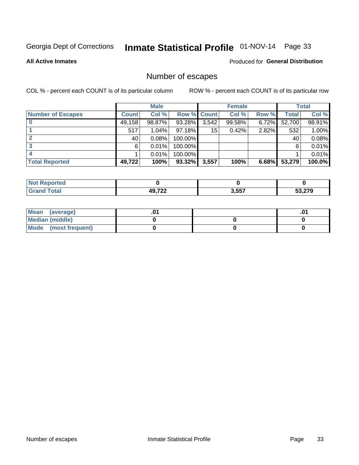# Inmate Statistical Profile 01-NOV-14 Page 33

**All Active Inmates** 

#### Produced for General Distribution

# Number of escapes

COL % - percent each COUNT is of its particular column

|                          | <b>Male</b>  |        | <b>Female</b> |       |        | <b>Total</b> |        |        |
|--------------------------|--------------|--------|---------------|-------|--------|--------------|--------|--------|
| <b>Number of Escapes</b> | <b>Count</b> | Col %  | Row % Count   |       | Col %  | Row %        | Total  | Col %  |
|                          | 49,158       | 98.87% | 93.28%        | 3,542 | 99.58% | $6.72\%$     | 52,700 | 98.91% |
|                          | 517          | 1.04%  | 97.18%        | 15    | 0.42%  | 2.82%        | 532    | 1.00%  |
|                          | 40           | 0.08%  | 100.00%       |       |        |              | 40     | 0.08%  |
|                          | 6            | 0.01%  | 100.00%       |       |        |              | 6      | 0.01%  |
|                          |              | 0.01%  | 100.00%       |       |        |              |        | 0.01%  |
| <b>Total Reported</b>    | 49,722       | 100%   | $93.32\%$     | 3,557 | 100%   | 6.68%        | 53,279 | 100.0% |

| <b>orted</b> |                    |       |        |
|--------------|--------------------|-------|--------|
| <b>⊺otal</b> | <b>AQ 722</b><br>. | 3,557 | 53.279 |

| Mean (average)       |  | ו ש. |
|----------------------|--|------|
| Median (middle)      |  |      |
| Mode (most frequent) |  |      |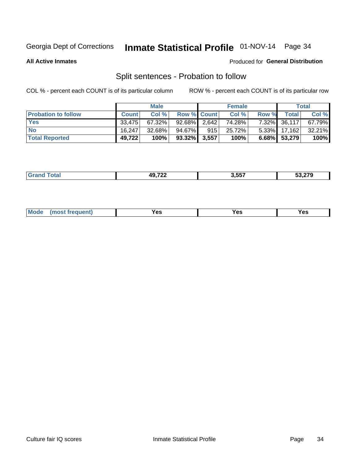# Inmate Statistical Profile 01-NOV-14 Page 34

**All Active Inmates** 

#### Produced for General Distribution

# Split sentences - Probation to follow

COL % - percent each COUNT is of its particular column

|                            | <b>Male</b>  |        | <b>Female</b>      |     |        | <b>Total</b> |                   |           |
|----------------------------|--------------|--------|--------------------|-----|--------|--------------|-------------------|-----------|
| <b>Probation to follow</b> | <b>Count</b> | Col %  | <b>Row % Count</b> |     | Col %  | Row %        | <b>Total</b>      | Col %     |
| <b>Yes</b>                 | 33.475       | 67.32% | $92.68\%$ 2.642    |     | 74.28% |              | 7.32% 36,117      | 67.79%    |
| <b>No</b>                  | 16.247       | 32.68% | 94.67%             | 915 | 25.72% |              | $5.33\%$   17,162 | $32.21\%$ |
| <b>Total Reported</b>      | 49,722       | 100%   | $93.32\%$ 3,557    |     | 100%   |              | 6.68% 53,279      | 100%      |

| ______ | 10 722<br>. | .<br>ר ה | $\sim$ $\sim$ |
|--------|-------------|----------|---------------|
|        |             |          |               |

| M<br>reauent)<br>/٥<br>$\sim$<br>v.,<br>.<br>$\ddotsc$<br>$\cdot$ - $\cdot$ |  |  |  |  |  |
|-----------------------------------------------------------------------------|--|--|--|--|--|
|-----------------------------------------------------------------------------|--|--|--|--|--|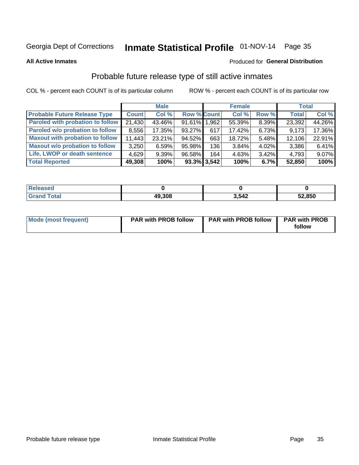# Inmate Statistical Profile 01-NOV-14 Page 35

**All Active Inmates** 

#### Produced for General Distribution

# Probable future release type of still active inmates

COL % - percent each COUNT is of its particular column

|                                         |              | <b>Male</b> |                    |                | <b>Female</b> |          | <b>Total</b> |        |
|-----------------------------------------|--------------|-------------|--------------------|----------------|---------------|----------|--------------|--------|
| <b>Probable Future Release Type</b>     | <b>Count</b> | Col %       | <b>Row % Count</b> |                | Col %         | Row %    | <b>Total</b> | Col %  |
| <b>Paroled with probation to follow</b> | 21,430       | 43.46%      | 91.61% 1.962       |                | 55.39%        | 8.39%    | 23,392       | 44.26% |
| Paroled w/o probation to follow         | 8,556        | 17.35%      | 93.27%             | 617            | 17.42%        | 6.73%    | 9,173        | 17.36% |
| <b>Maxout with probation to follow</b>  | 11,443       | 23.21%      | 94.52%             | 663            | 18.72%        | 5.48%    | 12,106       | 22.91% |
| <b>Maxout w/o probation to follow</b>   | 3,250        | 6.59%       | 95.98%             | 136            | 3.84%         | $4.02\%$ | 3,386        | 6.41%  |
| Life, LWOP or death sentence            | 4,629        | 9.39%       | 96.58%             | 164            | 4.63%         | $3.42\%$ | 4,793        | 9.07%  |
| <b>Total Reported</b>                   | 49,308       | 100%        |                    | $93.3\%$ 3,542 | 100%          | $6.7\%$  | 52,850       | 100%   |

| 456U                  |        |       |        |
|-----------------------|--------|-------|--------|
| $f \wedge f \wedge f$ | 49,308 | 3 512 | 52,850 |

| <b>Mode (most frequent)</b> | <b>PAR with PROB follow</b> | <b>PAR with PROB follow</b> | <b>PAR with PROB</b> |
|-----------------------------|-----------------------------|-----------------------------|----------------------|
|                             |                             |                             | follow               |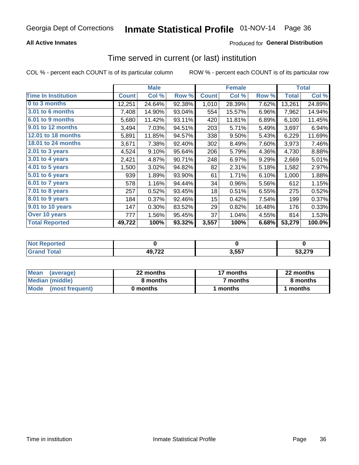### **All Active Inmates**

### Produced for General Distribution

### Time served in current (or last) institution

COL % - percent each COUNT is of its particular column

|                            |              | <b>Male</b> |        |              | <b>Female</b> |        |              | <b>Total</b> |
|----------------------------|--------------|-------------|--------|--------------|---------------|--------|--------------|--------------|
| <b>Time In Institution</b> | <b>Count</b> | Col %       | Row %  | <b>Count</b> | Col %         | Row %  | <b>Total</b> | Col %        |
| 0 to 3 months              | 12,251       | 24.64%      | 92.38% | 1,010        | 28.39%        | 7.62%  | 13,261       | 24.89%       |
| 3.01 to 6 months           | 7,408        | 14.90%      | 93.04% | 554          | 15.57%        | 6.96%  | 7,962        | 14.94%       |
| 6.01 to 9 months           | 5,680        | 11.42%      | 93.11% | 420          | 11.81%        | 6.89%  | 6,100        | 11.45%       |
| 9.01 to 12 months          | 3,494        | 7.03%       | 94.51% | 203          | 5.71%         | 5.49%  | 3,697        | 6.94%        |
| 12.01 to 18 months         | 5,891        | 11.85%      | 94.57% | 338          | 9.50%         | 5.43%  | 6,229        | 11.69%       |
| <b>18.01 to 24 months</b>  | 3,671        | 7.38%       | 92.40% | 302          | 8.49%         | 7.60%  | 3,973        | 7.46%        |
| $2.01$ to 3 years          | 4,524        | 9.10%       | 95.64% | 206          | 5.79%         | 4.36%  | 4,730        | 8.88%        |
| $3.01$ to 4 years          | 2,421        | 4.87%       | 90.71% | 248          | 6.97%         | 9.29%  | 2,669        | 5.01%        |
| 4.01 to 5 years            | 1,500        | 3.02%       | 94.82% | 82           | 2.31%         | 5.18%  | 1,582        | 2.97%        |
| 5.01 to 6 years            | 939          | 1.89%       | 93.90% | 61           | 1.71%         | 6.10%  | 1,000        | 1.88%        |
| 6.01 to 7 years            | 578          | 1.16%       | 94.44% | 34           | 0.96%         | 5.56%  | 612          | 1.15%        |
| 7.01 to 8 years            | 257          | 0.52%       | 93.45% | 18           | 0.51%         | 6.55%  | 275          | 0.52%        |
| 8.01 to 9 years            | 184          | 0.37%       | 92.46% | 15           | 0.42%         | 7.54%  | 199          | 0.37%        |
| 9.01 to 10 years           | 147          | 0.30%       | 83.52% | 29           | 0.82%         | 16.48% | 176          | 0.33%        |
| Over 10 years              | 777          | 1.56%       | 95.45% | 37           | 1.04%         | 4.55%  | 814          | 1.53%        |
| <b>Total Reported</b>      | 49,722       | 100%        | 93.32% | 3,557        | 100%          | 6.68%  | 53,279       | 100.0%       |

| onred |                                             |      |        |
|-------|---------------------------------------------|------|--------|
| nta.  | 49,722<br>the company of the company of the | 2557 | 53 270 |

| <b>Mean</b><br>(average) | 22 months | 17 months           | 22 months |
|--------------------------|-----------|---------------------|-----------|
| Median (middle)          | 8 months  | <sup>7</sup> months | 8 months  |
| Mode<br>(most frequent)  | 0 months  | months              | ∖ months  |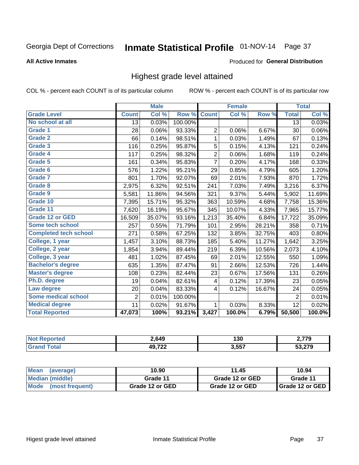# Inmate Statistical Profile 01-NOV-14 Page 37

#### **All Active Inmates**

#### Produced for General Distribution

### Highest grade level attained

COL % - percent each COUNT is of its particular column

|                              |                 | <b>Male</b> |         |                | <b>Female</b> |        |                | <b>Total</b> |
|------------------------------|-----------------|-------------|---------|----------------|---------------|--------|----------------|--------------|
| <b>Grade Level</b>           | <b>Count</b>    | Col %       | Row %   | <b>Count</b>   | Col %         | Row %  | <b>Total</b>   | Col %        |
| No school at all             | $\overline{13}$ | 0.03%       | 100.00% |                |               |        | 13             | 0.03%        |
| Grade 1                      | 28              | 0.06%       | 93.33%  | $\overline{2}$ | 0.06%         | 6.67%  | 30             | 0.06%        |
| <b>Grade 2</b>               | 66              | 0.14%       | 98.51%  | $\mathbf 1$    | 0.03%         | 1.49%  | 67             | 0.13%        |
| <b>Grade 3</b>               | 116             | 0.25%       | 95.87%  | 5              | 0.15%         | 4.13%  | 121            | 0.24%        |
| Grade 4                      | 117             | 0.25%       | 98.32%  | $\overline{2}$ | 0.06%         | 1.68%  | 119            | 0.24%        |
| Grade 5                      | 161             | 0.34%       | 95.83%  | $\overline{7}$ | 0.20%         | 4.17%  | 168            | 0.33%        |
| <b>Grade 6</b>               | 576             | 1.22%       | 95.21%  | 29             | 0.85%         | 4.79%  | 605            | 1.20%        |
| Grade 7                      | 801             | 1.70%       | 92.07%  | 69             | 2.01%         | 7.93%  | 870            | 1.72%        |
| Grade 8                      | 2,975           | 6.32%       | 92.51%  | 241            | 7.03%         | 7.49%  | 3,216          | 6.37%        |
| Grade 9                      | 5,581           | 11.86%      | 94.56%  | 321            | 9.37%         | 5.44%  | 5,902          | 11.69%       |
| Grade 10                     | 7,395           | 15.71%      | 95.32%  | 363            | 10.59%        | 4.68%  | 7,758          | 15.36%       |
| Grade 11                     | 7,620           | 16.19%      | 95.67%  | 345            | 10.07%        | 4.33%  | 7,965          | 15.77%       |
| <b>Grade 12 or GED</b>       | 16,509          | 35.07%      | 93.16%  | 1,213          | 35.40%        | 6.84%  | 17,722         | 35.09%       |
| Some tech school             | 257             | 0.55%       | 71.79%  | 101            | 2.95%         | 28.21% | 358            | 0.71%        |
| <b>Completed tech school</b> | 271             | 0.58%       | 67.25%  | 132            | 3.85%         | 32.75% | 403            | 0.80%        |
| College, 1 year              | 1,457           | 3.10%       | 88.73%  | 185            | 5.40%         | 11.27% | 1,642          | 3.25%        |
| College, 2 year              | 1,854           | 3.94%       | 89.44%  | 219            | 6.39%         | 10.56% | 2,073          | 4.10%        |
| College, 3 year              | 481             | 1.02%       | 87.45%  | 69             | 2.01%         | 12.55% | 550            | 1.09%        |
| <b>Bachelor's degree</b>     | 635             | 1.35%       | 87.47%  | 91             | 2.66%         | 12.53% | 726            | 1.44%        |
| <b>Master's degree</b>       | 108             | 0.23%       | 82.44%  | 23             | 0.67%         | 17.56% | 131            | 0.26%        |
| Ph.D. degree                 | 19              | 0.04%       | 82.61%  | 4              | 0.12%         | 17.39% | 23             | 0.05%        |
| Law degree                   | 20              | 0.04%       | 83.33%  | 4              | 0.12%         | 16.67% | 24             | 0.05%        |
| <b>Some medical school</b>   | $\overline{2}$  | 0.01%       | 100.00% |                |               |        | $\overline{2}$ | 0.01%        |
| <b>Medical degree</b>        | 11              | 0.02%       | 91.67%  | 1              | 0.03%         | 8.33%  | 12             | 0.02%        |
| <b>Total Reported</b>        | 47,073          | 100%        | 93.21%  | 3,427          | 100.0%        | 6.79%  | 50,500         | 100.0%       |

| 2,649       | 130       | 770 י  |
|-------------|-----------|--------|
| AOZ22<br>-- | 3557<br>ີ | 53.270 |

| <b>Mean</b><br>(average)       | 10.90           | 11.45           | 10.94           |
|--------------------------------|-----------------|-----------------|-----------------|
| Median (middle)                | Grade 11        | Grade 12 or GED | Grade 11        |
| <b>Mode</b><br>(most frequent) | Grade 12 or GED | Grade 12 or GED | Grade 12 or GED |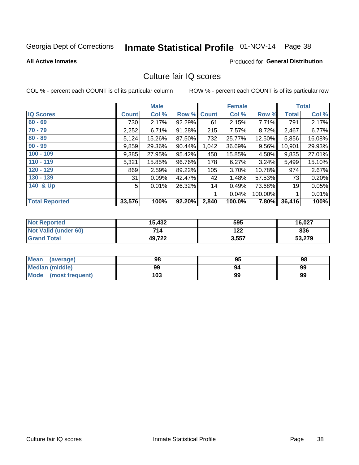# Inmate Statistical Profile 01-NOV-14 Page 38

#### **All Active Inmates**

#### **Produced for General Distribution**

### Culture fair IQ scores

COL % - percent each COUNT is of its particular column

|                       |              | <b>Male</b> |        |              | <b>Female</b> |         |              | <b>Total</b> |
|-----------------------|--------------|-------------|--------|--------------|---------------|---------|--------------|--------------|
| <b>IQ Scores</b>      | <b>Count</b> | Col %       | Row %  | <b>Count</b> | Col %         | Row %   | <b>Total</b> | Col %        |
| $60 - 69$             | 730          | 2.17%       | 92.29% | 61           | 2.15%         | 7.71%   | 791          | 2.17%        |
| $70 - 79$             | 2,252        | 6.71%       | 91.28% | 215          | 7.57%         | 8.72%   | 2,467        | 6.77%        |
| $80 - 89$             | 5,124        | 15.26%      | 87.50% | 732          | 25.77%        | 12.50%  | 5,856        | 16.08%       |
| $90 - 99$             | 9,859        | 29.36%      | 90.44% | 1,042        | 36.69%        | 9.56%   | 10,901       | 29.93%       |
| $100 - 109$           | 9,385        | 27.95%      | 95.42% | 450          | 15.85%        | 4.58%   | 9,835        | 27.01%       |
| $110 - 119$           | 5,321        | 15.85%      | 96.76% | 178          | 6.27%         | 3.24%   | 5,499        | 15.10%       |
| 120 - 129             | 869          | 2.59%       | 89.22% | 105          | 3.70%         | 10.78%  | 974          | 2.67%        |
| 130 - 139             | 31           | 0.09%       | 42.47% | 42           | 1.48%         | 57.53%  | 73           | 0.20%        |
| 140 & Up              | 5            | 0.01%       | 26.32% | 14           | 0.49%         | 73.68%  | 19           | 0.05%        |
|                       |              |             |        | 1            | 0.04%         | 100.00% |              | 0.01%        |
| <b>Total Reported</b> | 33,576       | 100%        | 92.20% | 2,840        | 100.0%        | 7.80%   | 36,416       | 100%         |

| <b>Not Reported</b>  | 15,432 | 595   | 16,027 |
|----------------------|--------|-------|--------|
| Not Valid (under 60) | 714    | 122   | 836    |
| <b>Grand Total</b>   | 49,722 | 3,557 | 53,279 |

| Mean<br>(average)       | 98  | 95 | 98 |
|-------------------------|-----|----|----|
| <b>Median (middle)</b>  | 99  |    | 99 |
| Mode<br>(most frequent) | 103 | 99 | 99 |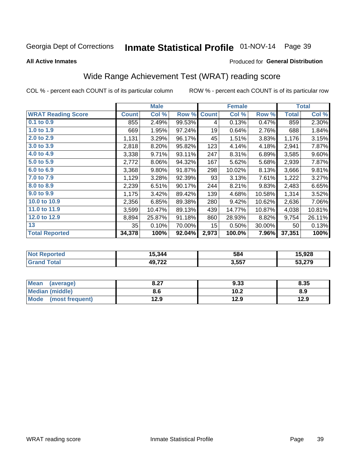# Inmate Statistical Profile 01-NOV-14 Page 39

**All Active Inmates** 

#### Produced for General Distribution

### Wide Range Achievement Test (WRAT) reading score

COL % - percent each COUNT is of its particular column

|                           |                 | <b>Male</b> |        |                  | <b>Female</b> |        |              | <b>Total</b> |
|---------------------------|-----------------|-------------|--------|------------------|---------------|--------|--------------|--------------|
| <b>WRAT Reading Score</b> | <b>Count</b>    | Col %       | Row %  | <b>Count</b>     | Col %         | Row %  | <b>Total</b> | Col %        |
| 0.1 to 0.9                | 855             | 2.49%       | 99.53% | 4                | 0.13%         | 0.47%  | 859          | 2.30%        |
| 1.0 to 1.9                | 669             | 1.95%       | 97.24% | 19               | 0.64%         | 2.76%  | 688          | 1.84%        |
| 2.0 to 2.9                | 1,131           | 3.29%       | 96.17% | 45               | 1.51%         | 3.83%  | 1,176        | 3.15%        |
| 3.0 to 3.9                | 2,818           | 8.20%       | 95.82% | 123              | 4.14%         | 4.18%  | 2,941        | 7.87%        |
| 4.0 to 4.9                | 3,338           | 9.71%       | 93.11% | 247              | 8.31%         | 6.89%  | 3,585        | 9.60%        |
| 5.0 to 5.9                | 2,772           | 8.06%       | 94.32% | 167              | 5.62%         | 5.68%  | 2,939        | 7.87%        |
| 6.0 to 6.9                | 3,368           | 9.80%       | 91.87% | 298              | 10.02%        | 8.13%  | 3,666        | 9.81%        |
| 7.0 to 7.9                | 1,129           | 3.28%       | 92.39% | 93               | 3.13%         | 7.61%  | 1,222        | 3.27%        |
| 8.0 to 8.9                | 2,239           | 6.51%       | 90.17% | 244              | 8.21%         | 9.83%  | 2,483        | 6.65%        |
| 9.0 to 9.9                | 1,175           | 3.42%       | 89.42% | 139              | 4.68%         | 10.58% | 1,314        | 3.52%        |
| 10.0 to 10.9              | 2,356           | 6.85%       | 89.38% | 280              | 9.42%         | 10.62% | 2,636        | 7.06%        |
| 11.0 to 11.9              | 3,599           | 10.47%      | 89.13% | 439              | 14.77%        | 10.87% | 4,038        | 10.81%       |
| 12.0 to 12.9              | 8,894           | 25.87%      | 91.18% | 860              | 28.93%        | 8.82%  | 9,754        | 26.11%       |
| 13                        | 35 <sub>1</sub> | 0.10%       | 70.00% | 15 <sub>15</sub> | 0.50%         | 30.00% | 50           | 0.13%        |
| <b>Total Reported</b>     | 34,378          | 100%        | 92.04% | 2,973            | 100.0%        | 7.96%  | 37,351       | 100%         |

| Reported<br><b>NOT</b> | 15,344               | 584   | 15,928 |
|------------------------|----------------------|-------|--------|
| <b>cotal</b>           | <b>49722</b><br>I LL | 3,557 | 53,279 |

| <b>Mean</b><br>(average) | דר ס<br>o.z1 | 9.33 | 8.35 |
|--------------------------|--------------|------|------|
| <b>Median (middle)</b>   | 8.6          | 10.2 | 8.9  |
| Mode<br>(most frequent)  | l2.9         | 12.9 | 12.9 |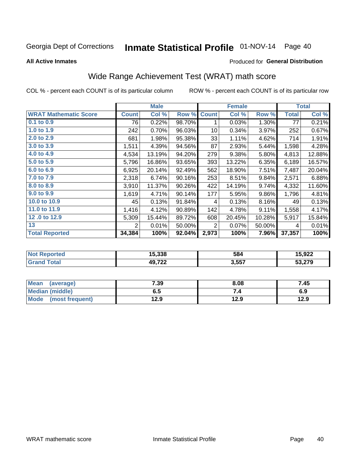# Inmate Statistical Profile 01-NOV-14 Page 40

**All Active Inmates** 

#### Produced for General Distribution

## Wide Range Achievement Test (WRAT) math score

COL % - percent each COUNT is of its particular column

|                              |                | <b>Male</b> |        |              | <b>Female</b> |        |              | <b>Total</b> |
|------------------------------|----------------|-------------|--------|--------------|---------------|--------|--------------|--------------|
| <b>WRAT Mathematic Score</b> | <b>Count</b>   | Col %       | Row %  | <b>Count</b> | Col %         | Row %  | <b>Total</b> | Col %        |
| 0.1 to 0.9                   | 76             | 0.22%       | 98.70% | 1            | 0.03%         | 1.30%  | 77           | 0.21%        |
| 1.0 to 1.9                   | 242            | 0.70%       | 96.03% | 10           | 0.34%         | 3.97%  | 252          | 0.67%        |
| 2.0 to 2.9                   | 681            | 1.98%       | 95.38% | 33           | 1.11%         | 4.62%  | 714          | 1.91%        |
| 3.0 to 3.9                   | 1,511          | 4.39%       | 94.56% | 87           | 2.93%         | 5.44%  | 1,598        | 4.28%        |
| 4.0 to 4.9                   | 4,534          | 13.19%      | 94.20% | 279          | 9.38%         | 5.80%  | 4,813        | 12.88%       |
| 5.0 to 5.9                   | 5,796          | 16.86%      | 93.65% | 393          | 13.22%        | 6.35%  | 6,189        | 16.57%       |
| 6.0 to 6.9                   | 6,925          | 20.14%      | 92.49% | 562          | 18.90%        | 7.51%  | 7,487        | 20.04%       |
| 7.0 to 7.9                   | 2,318          | 6.74%       | 90.16% | 253          | 8.51%         | 9.84%  | 2,571        | 6.88%        |
| 8.0 to 8.9                   | 3,910          | 11.37%      | 90.26% | 422          | 14.19%        | 9.74%  | 4,332        | 11.60%       |
| 9.0 to 9.9                   | 1,619          | 4.71%       | 90.14% | 177          | 5.95%         | 9.86%  | 1,796        | 4.81%        |
| 10.0 to 10.9                 | 45             | 0.13%       | 91.84% | 4            | 0.13%         | 8.16%  | 49           | 0.13%        |
| 11.0 to 11.9                 | 1,416          | 4.12%       | 90.89% | 142          | 4.78%         | 9.11%  | 1,558        | 4.17%        |
| 12.0 to 12.9                 | 5,309          | 15.44%      | 89.72% | 608          | 20.45%        | 10.28% | 5,917        | 15.84%       |
| 13                           | $\overline{2}$ | 0.01%       | 50.00% | 2            | 0.07%         | 50.00% | 4            | 0.01%        |
| <b>Total Reported</b>        | 34,384         | 100%        | 92.04% | 2,973        | 100%          | 7.96%  | 37,357       | 100%         |

| <b>Not</b><br><b>Reported</b> | 15,338        | 584   | 15,922 |
|-------------------------------|---------------|-------|--------|
| <b>c</b> otal                 | AQ 722<br>144 | 3,557 | 53,279 |

| Mean (average)         | 7.39 | 8.08 | 7.45 |
|------------------------|------|------|------|
| <b>Median (middle)</b> | כ.ס  | 74   | 6.9  |
| Mode (most frequent)   | 12.9 | 12.9 | 12.9 |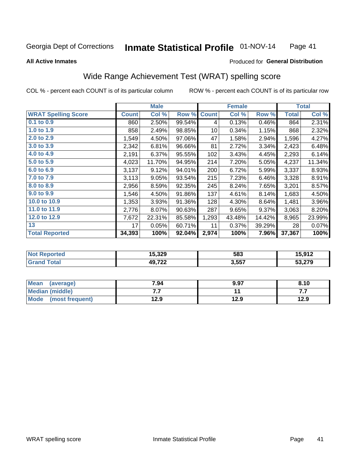#### Inmate Statistical Profile 01-NOV-14 Page 41

#### **All Active Inmates**

### Produced for General Distribution

### Wide Range Achievement Test (WRAT) spelling score

COL % - percent each COUNT is of its particular column

|                            |              | <b>Male</b> |        |              | <b>Female</b> |        |              | <b>Total</b> |
|----------------------------|--------------|-------------|--------|--------------|---------------|--------|--------------|--------------|
| <b>WRAT Spelling Score</b> | <b>Count</b> | Col %       | Row %  | <b>Count</b> | Col %         | Row %  | <b>Total</b> | Col %        |
| 0.1 to 0.9                 | 860          | 2.50%       | 99.54% | 4            | 0.13%         | 0.46%  | 864          | 2.31%        |
| 1.0 to 1.9                 | 858          | 2.49%       | 98.85% | 10           | 0.34%         | 1.15%  | 868          | 2.32%        |
| 2.0 to 2.9                 | 1,549        | 4.50%       | 97.06% | 47           | 1.58%         | 2.94%  | 1,596        | 4.27%        |
| 3.0 to 3.9                 | 2,342        | 6.81%       | 96.66% | 81           | 2.72%         | 3.34%  | 2,423        | 6.48%        |
| 4.0 to 4.9                 | 2,191        | 6.37%       | 95.55% | 102          | 3.43%         | 4.45%  | 2,293        | 6.14%        |
| 5.0 to 5.9                 | 4,023        | 11.70%      | 94.95% | 214          | 7.20%         | 5.05%  | 4,237        | 11.34%       |
| 6.0 to 6.9                 | 3,137        | 9.12%       | 94.01% | 200          | 6.72%         | 5.99%  | 3,337        | 8.93%        |
| 7.0 to 7.9                 | 3,113        | 9.05%       | 93.54% | 215          | 7.23%         | 6.46%  | 3,328        | 8.91%        |
| 8.0 to 8.9                 | 2,956        | 8.59%       | 92.35% | 245          | 8.24%         | 7.65%  | 3,201        | 8.57%        |
| 9.0 to 9.9                 | 1,546        | 4.50%       | 91.86% | 137          | 4.61%         | 8.14%  | 1,683        | 4.50%        |
| 10.0 to 10.9               | 1,353        | 3.93%       | 91.36% | 128          | 4.30%         | 8.64%  | 1,481        | 3.96%        |
| 11.0 to 11.9               | 2,776        | 8.07%       | 90.63% | 287          | 9.65%         | 9.37%  | 3,063        | 8.20%        |
| 12.0 to 12.9               | 7,672        | 22.31%      | 85.58% | 1,293        | 43.48%        | 14.42% | 8,965        | 23.99%       |
| 13                         | 17           | 0.05%       | 60.71% | 11           | 0.37%         | 39.29% | 28           | 0.07%        |
| <b>Total Reported</b>      | 34,393       | 100%        | 92.04% | 2,974        | 100%          | 7.96%  | 37,367       | 100%         |

| -тес<br>NO | 15,329           | 583   | 45.042 |
|------------|------------------|-------|--------|
|            | AOZ22<br>49.I ZZ | 3,557 | 53,279 |

| <b>Mean</b><br>(average) | 7.94 | 9.97 | 8.10 |
|--------------------------|------|------|------|
| <b>Median (middle)</b>   | .    |      | .    |
| Mode (most frequent)     | 12.9 | 12.9 | 12.9 |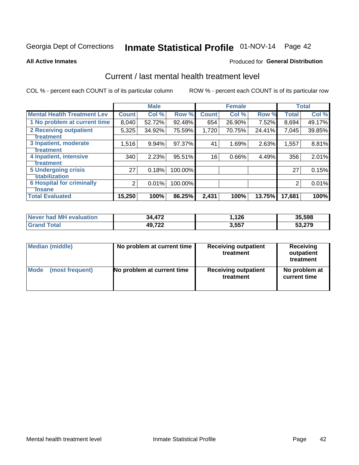# Inmate Statistical Profile 01-NOV-14 Page 42

#### **All Active Inmates**

### **Produced for General Distribution**

### Current / last mental health treatment level

COL % - percent each COUNT is of its particular column

|                                    |                | <b>Male</b> |         |              | <b>Female</b> |        |              | <b>Total</b> |
|------------------------------------|----------------|-------------|---------|--------------|---------------|--------|--------------|--------------|
| <b>Mental Health Treatment Lev</b> | <b>Count</b>   | Col%        | Row %   | <b>Count</b> | Col %         | Row %  | <b>Total</b> | Col %        |
| 1 No problem at current time       | 8,040          | 52.72%      | 92.48%  | 654          | 26.90%        | 7.52%  | 8,694        | 49.17%       |
| 2 Receiving outpatient             | 5,325          | 34.92%      | 75.59%  | 1,720        | 70.75%        | 24.41% | 7,045        | 39.85%       |
| <b>Treatment</b>                   |                |             |         |              |               |        |              |              |
| 3 Inpatient, moderate              | 1,516          | 9.94%       | 97.37%  | 41           | 1.69%         | 2.63%  | 1,557        | 8.81%        |
| Treatment                          |                |             |         |              |               |        |              |              |
| 4 Inpatient, intensive             | 340            | 2.23%       | 95.51%  | 16           | 0.66%         | 4.49%  | 356          | 2.01%        |
| <b>Treatment</b>                   |                |             |         |              |               |        |              |              |
| 5 Undergoing crisis                | 27             | 0.18%       | 100.00% |              |               |        | 27           | 0.15%        |
| <b>stabilization</b>               |                |             |         |              |               |        |              |              |
| <b>6 Hospital for criminally</b>   | $\overline{2}$ | 0.01%       | 100.00% |              |               |        | 2            | 0.01%        |
| <b>Tinsane</b>                     |                |             |         |              |               |        |              |              |
| <b>Total Evaluated</b>             | 15,250         | 100%        | 86.25%  | 2,431        | 100%          | 13.75% | 17,681       | 100%         |

| Never had MH evaluation | 34,472 | 1.126 | 35,598 |
|-------------------------|--------|-------|--------|
| <b>Grand Total</b>      | 49,722 | 3,557 | 53,279 |

| Median (middle) | No problem at current time | <b>Receiving outpatient</b><br>treatment | <b>Receiving</b><br>outpatient<br>treatment |
|-----------------|----------------------------|------------------------------------------|---------------------------------------------|
| <b>Mode</b>     | No problem at current time | <b>Receiving outpatient</b>              | No problem at                               |
| (most frequent) |                            | treatment                                | current time                                |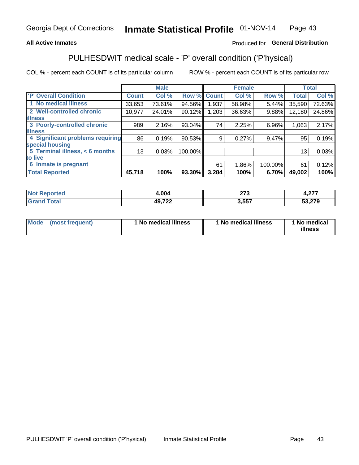#### **All Active Inmates**

### Produced for General Distribution

## PULHESDWIT medical scale - 'P' overall condition ('P'hysical)

COL % - percent each COUNT is of its particular column

|                                  |                 | <b>Male</b> |         |              | <b>Female</b> |         |              | <b>Total</b> |
|----------------------------------|-----------------|-------------|---------|--------------|---------------|---------|--------------|--------------|
| <b>'P' Overall Condition</b>     | <b>Count</b>    | Col %       | Row %   | <b>Count</b> | Col %         | Row %   | <b>Total</b> | Col %        |
| 1 No medical illness             | 33,653          | 73.61%      | 94.56%  | 1,937        | 58.98%        | 5.44%   | 35,590       | 72.63%       |
| 2 Well-controlled chronic        | 10,977          | 24.01%      | 90.12%  | 1,203        | 36.63%        | 9.88%   | 12,180       | 24.86%       |
| <b>lillness</b>                  |                 |             |         |              |               |         |              |              |
| 3 Poorly-controlled chronic      | 989             | 2.16%       | 93.04%  | 74           | 2.25%         | 6.96%   | 1,063        | 2.17%        |
| <b>illness</b>                   |                 |             |         |              |               |         |              |              |
| 4 Significant problems requiring | 86 <sup>1</sup> | 0.19%       | 90.53%  | 9            | 0.27%         | 9.47%   | 95           | 0.19%        |
| special housing                  |                 |             |         |              |               |         |              |              |
| 5 Terminal illness, < 6 months   | 13              | 0.03%       | 100.00% |              |               |         | 13           | 0.03%        |
| to live                          |                 |             |         |              |               |         |              |              |
| Inmate is pregnant<br>6          |                 |             |         | 61           | 1.86%         | 100.00% | 61           | 0.12%        |
| <b>Total Reported</b>            | 45,718          | 100%        | 93.30%  | 3,284        | 100%          | 6.70%   | 49,002       | 100%         |

| . | .004        | $\sim$<br>41 J | $\sim$<br>. <i>.</i> |
|---|-------------|----------------|----------------------|
|   | AOZ22<br>-- | 557            | 52 27Q<br>Ju         |

| Mode | (most frequent) | 1 No medical illness | 1 No medical illness | 1 No medical<br>illness |
|------|-----------------|----------------------|----------------------|-------------------------|
|------|-----------------|----------------------|----------------------|-------------------------|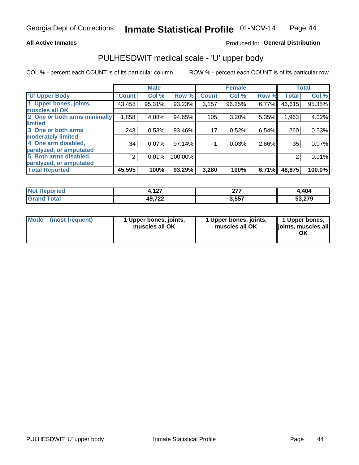#### **All Active Inmates**

### Produced for General Distribution

## PULHESDWIT medical scale - 'U' upper body

COL % - percent each COUNT is of its particular column

|                              |               | <b>Male</b> |           |              | <b>Female</b> |       |              | <b>Total</b> |
|------------------------------|---------------|-------------|-----------|--------------|---------------|-------|--------------|--------------|
| <b>U' Upper Body</b>         | <b>Count!</b> | Col %       | Row %     | <b>Count</b> | Col %         | Row % | <b>Total</b> | Col %        |
| 1 Upper bones, joints,       | 43,458        | 95.31%      | 93.23%    | 3,157        | 96.25%        | 6.77% | 46,615       | 95.38%       |
| muscles all OK               |               |             |           |              |               |       |              |              |
| 2 One or both arms minimally | 1,858         | 4.08%       | 94.65%    | 105          | $3.20\%$      | 5.35% | 1,963        | 4.02%        |
| limited                      |               |             |           |              |               |       |              |              |
| 3 One or both arms           | 243           | 0.53%       | 93.46%    | 17           | 0.52%         | 6.54% | 260          | 0.53%        |
| moderately limited           |               |             |           |              |               |       |              |              |
| 4 One arm disabled,          | 34            | 0.07%       | $97.14\%$ |              | 0.03%         | 2.86% | 35           | 0.07%        |
| paralyzed, or amputated      |               |             |           |              |               |       |              |              |
| 5 Both arms disabled,        | 2             | 0.01%       | 100.00%   |              |               |       | 2            | 0.01%        |
| paralyzed, or amputated      |               |             |           |              |               |       |              |              |
| <b>Total Reported</b>        | 45,595        | 100%        | 93.29%    | 3,280        | 100%          | 6.71% | 48,875       | 100.0%       |

| <b>Not Reported</b>   | 107<br>4. I 47 | 277<br>. | 404,ا  |
|-----------------------|----------------|----------|--------|
| <b>Total</b><br>Grand | 49,722         | 3,557    | 53,279 |

| Mode (most frequent) | 1 Upper bones, joints,<br>muscles all OK | 1 Upper bones, joints,<br>muscles all OK | 1 Upper bones,<br>joints, muscles all<br>ΟK |
|----------------------|------------------------------------------|------------------------------------------|---------------------------------------------|
|----------------------|------------------------------------------|------------------------------------------|---------------------------------------------|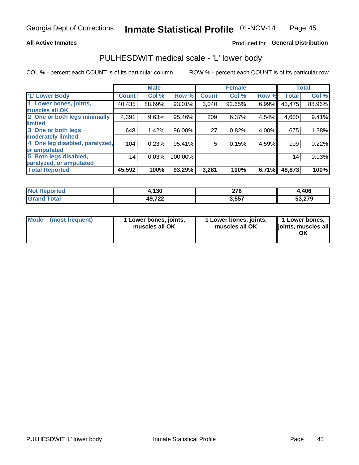#### **All Active Inmates**

### Produced for General Distribution

### PULHESDWIT medical scale - 'L' lower body

COL % - percent each COUNT is of its particular column

|                                |              | <b>Male</b> |         |              | <b>Female</b> |       |              | <b>Total</b> |
|--------------------------------|--------------|-------------|---------|--------------|---------------|-------|--------------|--------------|
| 'L' Lower Body                 | <b>Count</b> | Col %       | Row %   | <b>Count</b> | Col %         | Row % | <b>Total</b> | Col %        |
| 1 Lower bones, joints,         | 40,435       | 88.69%      | 93.01%  | 3,040        | 92.65%        | 6.99% | 43,475       | 88.96%       |
| muscles all OK                 |              |             |         |              |               |       |              |              |
| 2 One or both legs minimally   | 4,391        | 9.63%       | 95.46%  | 209          | 6.37%         | 4.54% | 4,600        | 9.41%        |
| limited                        |              |             |         |              |               |       |              |              |
| 3 One or both legs             | 648          | 1.42%       | 96.00%  | 27           | 0.82%         | 4.00% | 675          | 1.38%        |
| moderately limited             |              |             |         |              |               |       |              |              |
| 4 One leg disabled, paralyzed, | 104          | 0.23%       | 95.41%  | 5            | 0.15%         | 4.59% | 109          | 0.22%        |
| or amputated                   |              |             |         |              |               |       |              |              |
| 5 Both legs disabled,          | 14           | 0.03%       | 100.00% |              |               |       | 14           | 0.03%        |
| paralyzed, or amputated        |              |             |         |              |               |       |              |              |
| <b>Total Reported</b>          | 45,592       | 100%        | 93.29%  | 3,281        | 100%          | 6.71% | 48,873       | 100%         |

| <b>Not Reported</b>          | 4,130  | 276   | ,406   |
|------------------------------|--------|-------|--------|
| <b>Total</b><br><b>Grand</b> | 49,722 | 3,557 | 53,279 |

|  | Mode (most frequent) | 1 Lower bones, joints,<br>muscles all OK | 1 Lower bones, joints,<br>muscles all OK | 1 Lower bones,<br>joints, muscles all<br>ΟK |
|--|----------------------|------------------------------------------|------------------------------------------|---------------------------------------------|
|--|----------------------|------------------------------------------|------------------------------------------|---------------------------------------------|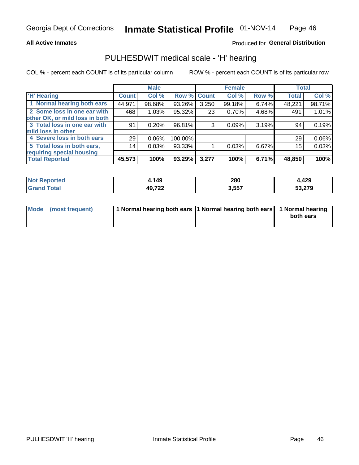#### **All Active Inmates**

### Produced for General Distribution

### PULHESDWIT medical scale - 'H' hearing

COL % - percent each COUNT is of its particular column

|                                |              | <b>Male</b> |                    |       | <b>Female</b> |       | <b>Total</b> |          |
|--------------------------------|--------------|-------------|--------------------|-------|---------------|-------|--------------|----------|
| <b>H'</b> Hearing              | <b>Count</b> | Col %       | <b>Row % Count</b> |       | Col %         | Row % | <b>Total</b> | Col %    |
| 1 Normal hearing both ears     | 44,971       | 98.68%      | 93.26%             | 3,250 | 99.18%        | 6.74% | 48,221       | 98.71%   |
| 2 Some loss in one ear with    | 468          | 1.03%       | 95.32%             | 23    | 0.70%         | 4.68% | 491          | 1.01%    |
| other OK, or mild loss in both |              |             |                    |       |               |       |              |          |
| 3 Total loss in one ear with   | 91           | 0.20%       | 96.81%             | 3     | 0.09%         | 3.19% | 94           | 0.19%    |
| mild loss in other             |              |             |                    |       |               |       |              |          |
| 4 Severe loss in both ears     | 29           | 0.06%       | 100.00%            |       |               |       | 29           | $0.06\%$ |
| 5 Total loss in both ears,     | 14           | 0.03%       | 93.33%             |       | 0.03%         | 6.67% | 15           | 0.03%    |
| requiring special housing      |              |             |                    |       |               |       |              |          |
| <b>Total Reported</b>          | 45,573       | 100%        | 93.29%             | 3,277 | 100%          | 6.71% | 48,850       | 100%     |

| <b>Not</b><br>orted | ,149                   | 280   | 4,429  |
|---------------------|------------------------|-------|--------|
|                     | <b>49722</b><br>70.ILL | 3,557 | 53,279 |

| Mode (most frequent) | 1 Normal hearing both ears 11 Normal hearing both ears 1 Normal hearing | both ears |
|----------------------|-------------------------------------------------------------------------|-----------|
|                      |                                                                         |           |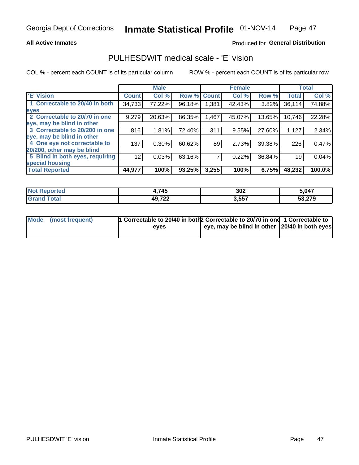#### **All Active Inmates**

### Produced for General Distribution

### PULHESDWIT medical scale - 'E' vision

COL % - percent each COUNT is of its particular column

|                                 |                    | <b>Male</b> |        |              | <b>Female</b> |        |              | <b>Total</b> |
|---------------------------------|--------------------|-------------|--------|--------------|---------------|--------|--------------|--------------|
| 'E' Vision                      | Count <sup>'</sup> | Col %       | Row %  | <b>Count</b> | Col %         | Row %  | <b>Total</b> | Col %        |
| 1 Correctable to 20/40 in both  | 34,733             | 77.22%      | 96.18% | .381         | 42.43%        | 3.82%  | 36,114       | 74.88%       |
| eyes                            |                    |             |        |              |               |        |              |              |
| 2 Correctable to 20/70 in one   | 9,279              | 20.63%      | 86.35% | .467         | 45.07%        | 13.65% | 10,746       | 22.28%       |
| eye, may be blind in other      |                    |             |        |              |               |        |              |              |
| 3 Correctable to 20/200 in one  | 816                | 1.81%       | 72.40% | 311          | 9.55%         | 27.60% | 1,127        | 2.34%        |
| leye, may be blind in other     |                    |             |        |              |               |        |              |              |
| 4 One eye not correctable to    | 137                | $0.30\%$    | 60.62% | 89           | 2.73%         | 39.38% | 226          | 0.47%        |
| 20/200, other may be blind      |                    |             |        |              |               |        |              |              |
| 5 Blind in both eyes, requiring | 12                 | 0.03%       | 63.16% |              | 0.22%         | 36.84% | 19           | 0.04%        |
| special housing                 |                    |             |        |              |               |        |              |              |
| <b>Total Reported</b>           | 44,977             | 100%        | 93.25% | 3,255        | 100%          | 6.75%  | 48,232       | 100.0%       |

| <b>Not Reported</b> | .745   | 302   | 5,047  |
|---------------------|--------|-------|--------|
| <b>Total</b>        | 49,722 | 3,557 | 53,279 |

| Mode (most frequent) | 1 Correctable to 20/40 in both 2 Correctable to 20/70 in one 1 Correctable to |                                                |  |
|----------------------|-------------------------------------------------------------------------------|------------------------------------------------|--|
|                      | eves                                                                          | eye, may be blind in other 120/40 in both eyes |  |
|                      |                                                                               |                                                |  |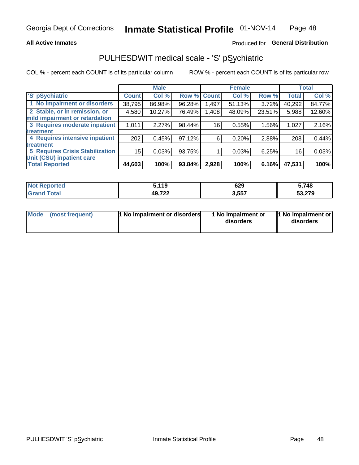#### **All Active Inmates**

### Produced for General Distribution

## PULHESDWIT medical scale - 'S' pSychiatric

COL % - percent each COUNT is of its particular column

|                                        |              | <b>Male</b> |        |              | <b>Female</b> |        |              | <b>Total</b> |
|----------------------------------------|--------------|-------------|--------|--------------|---------------|--------|--------------|--------------|
| 'S' pSychiatric                        | <b>Count</b> | Col %       | Row %  | <b>Count</b> | Col %         | Row %  | <b>Total</b> | Col %        |
| 1 No impairment or disorders           | 38,795       | 86.98%      | 96.28% | .497         | 51.13%        | 3.72%  | 40,292       | 84.77%       |
| 2 Stable, or in remission, or          | 4,580        | 10.27%      | 76.49% | 1,408        | 48.09%        | 23.51% | 5,988        | 12.60%       |
| mild impairment or retardation         |              |             |        |              |               |        |              |              |
| 3 Requires moderate inpatient          | 1,011        | 2.27%       | 98.44% | 16           | 0.55%         | 1.56%  | 1,027        | 2.16%        |
| <b>treatment</b>                       |              |             |        |              |               |        |              |              |
| 4 Requires intensive inpatient         | 202          | 0.45%       | 97.12% | 6            | 0.20%         | 2.88%  | 208          | 0.44%        |
| <b>treatment</b>                       |              |             |        |              |               |        |              |              |
| <b>5 Requires Crisis Stabilization</b> | 15           | 0.03%       | 93.75% |              | 0.03%         | 6.25%  | 16           | 0.03%        |
| Unit (CSU) inpatient care              |              |             |        |              |               |        |              |              |
| <b>Total Reported</b>                  | 44,603       | 100%        | 93.84% | 2,928        | 100%          | 6.16%  | 47,531       | 100%         |

| <b>Not Reported</b>   | 5.119  | 629   | 5,748  |
|-----------------------|--------|-------|--------|
| Total<br><b>Grand</b> | 49,722 | 3,557 | 53,279 |

| Mode<br>1 No impairment or disorders<br>(most frequent) | 1 No impairment or<br>disorders | 1 No impairment or<br>disorders |
|---------------------------------------------------------|---------------------------------|---------------------------------|
|---------------------------------------------------------|---------------------------------|---------------------------------|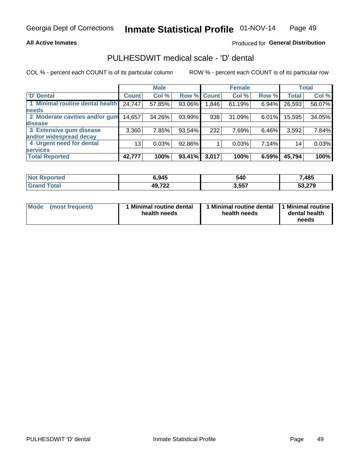#### **All Active Inmates**

### Produced for General Distribution

## PULHESDWIT medical scale - 'D' dental

COL % - percent each COUNT is of its particular column

|                                 |              | <b>Male</b> |        |              | <b>Female</b> |          |              | <b>Total</b> |
|---------------------------------|--------------|-------------|--------|--------------|---------------|----------|--------------|--------------|
| <b>D'</b> Dental                | <b>Count</b> | Col %       | Row %  | <b>Count</b> | Col %         | Row %    | <b>Total</b> | Col %        |
| 1 Minimal routine dental health | 24,747       | 57.85%      | 93.06% | 1,846        | 61.19%        | $6.94\%$ | 26,593       | 58.07%       |
| <b>needs</b>                    |              |             |        |              |               |          |              |              |
| 2 Moderate cavities and/or gum  | 14,657       | 34.26%      | 93.99% | 938          | 31.09%        | 6.01%    | 15,595       | 34.05%       |
| disease                         |              |             |        |              |               |          |              |              |
| 3 Extensive gum disease         | 3,360        | 7.85%       | 93.54% | 232          | 7.69%         | 6.46%    | 3,592        | 7.84%        |
| and/or widespread decay         |              |             |        |              |               |          |              |              |
| 4 Urgent need for dental        | 13           | 0.03%       | 92.86% |              | 0.03%         | 7.14%    | 14           | 0.03%        |
| <b>services</b>                 |              |             |        |              |               |          |              |              |
| <b>Total Reported</b>           | 42,777       | 100%        | 93.41% | 3,017        | 100%          | 6.59%    | 45,794       | 100%         |

| <b>orted</b><br>NOT. | ,945                  | 540   | 7,485  |
|----------------------|-----------------------|-------|--------|
| <b>Total</b>         | 49722<br>. <i>.</i> . | 3,557 | 53,279 |

| <b>Mode</b> | (most frequent) | Minimal routine dental<br>health needs | 1 Minimal routine dental 11 Minimal routine<br>health needs | dental health<br>needs |
|-------------|-----------------|----------------------------------------|-------------------------------------------------------------|------------------------|
|-------------|-----------------|----------------------------------------|-------------------------------------------------------------|------------------------|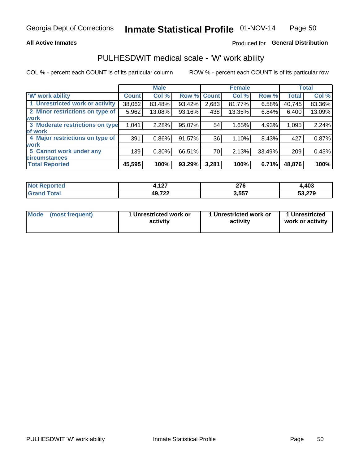#### **All Active Inmates**

### Produced for General Distribution

### PULHESDWIT medical scale - 'W' work ability

COL % - percent each COUNT is of its particular column

|                                 |              | <b>Male</b> |        |             | <b>Female</b> |        |              | <b>Total</b> |
|---------------------------------|--------------|-------------|--------|-------------|---------------|--------|--------------|--------------|
| 'W' work ability                | <b>Count</b> | Col %       |        | Row % Count | Col %         | Row %  | <b>Total</b> | Col %        |
| 1 Unrestricted work or activity | 38,062       | 83.48%      | 93.42% | 2,683       | 81.77%        | 6.58%  | 40,745       | 83.36%       |
| 2 Minor restrictions on type of | 5,962        | 13.08%      | 93.16% | 438         | 13.35%        | 6.84%  | 6,400        | 13.09%       |
| <b>work</b>                     |              |             |        |             |               |        |              |              |
| 3 Moderate restrictions on type | 1,041        | 2.28%       | 95.07% | 54          | 1.65%         | 4.93%  | 1,095        | 2.24%        |
| lof work                        |              |             |        |             |               |        |              |              |
| 4 Major restrictions on type of | 391          | $0.86\%$    | 91.57% | 36          | 1.10%         | 8.43%  | 427          | 0.87%        |
| <b>work</b>                     |              |             |        |             |               |        |              |              |
| 5 Cannot work under any         | 139          | $0.30\%$    | 66.51% | 70          | 2.13%         | 33.49% | 209          | 0.43%        |
| <b>circumstances</b>            |              |             |        |             |               |        |              |              |
| <b>Total Reported</b>           | 45,595       | 100%        | 93.29% | 3,281       | 100%          | 6.71%  | 48,876       | 100%         |

| <b>Not Reported</b> | 107<br>t, I 4 I | 27c<br>2 I V | 4,403  |
|---------------------|-----------------|--------------|--------|
| Total<br>Grand      | 49,722          | 3,557        | 53,279 |

| Mode            | 1 Unrestricted work or | 1 Unrestricted work or | 1 Unrestricted   |
|-----------------|------------------------|------------------------|------------------|
| (most frequent) | activity               | activity               | work or activity |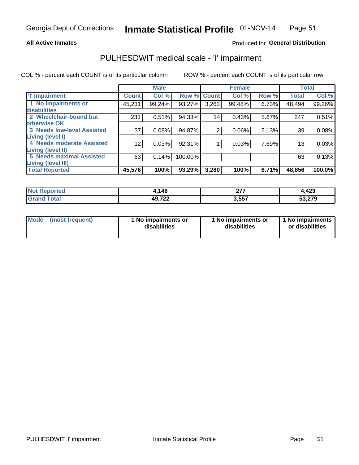#### **All Active Inmates**

### Produced for General Distribution

## PULHESDWIT medical scale - 'I' impairment

COL % - percent each COUNT is of its particular column ROW % - percent each COUNT is of its particular row

|                                   |              | <b>Male</b> |             |                 | <b>Female</b> |       |              | <b>Total</b> |
|-----------------------------------|--------------|-------------|-------------|-----------------|---------------|-------|--------------|--------------|
| <b>T</b> Impairment               | <b>Count</b> | Col %       | Row % Count |                 | Col %         | Row % | <b>Total</b> | Col %        |
| 1 No impairments or               | 45,231       | 99.24%      | 93.27%      | 3,263           | 99.48%        | 6.73% | 48,494       | 99.26%       |
| disabilities                      |              |             |             |                 |               |       |              |              |
| 2 Wheelchair-bound but            | 233          | 0.51%       | 94.33%      | 14 <sub>1</sub> | 0.43%         | 5.67% | 247          | 0.51%        |
| otherwise OK                      |              |             |             |                 |               |       |              |              |
| <b>3 Needs low-level Assisted</b> | 37           | 0.08%       | 94.87%      | 2               | 0.06%         | 5.13% | 39           | 0.08%        |
| Living (level I)                  |              |             |             |                 |               |       |              |              |
| 4 Needs moderate Assisted         | 12           | 0.03%       | 92.31%      |                 | 0.03%         | 7.69% | 13           | 0.03%        |
| Living (level II)                 |              |             |             |                 |               |       |              |              |
| <b>5 Needs maximal Assisted</b>   | 63           | 0.14%       | 100.00%     |                 |               |       | 63           | 0.13%        |
| <b>Living (level III)</b>         |              |             |             |                 |               |       |              |              |
| <b>Total Reported</b>             | 45,576       | 100%        | 93.29%      | 3,280           | 100%          | 6.71% | 48,856       | 100.0%       |

| <b>nteo</b><br>-NG | ,146   | $\sim$<br>. | 4,423                 |
|--------------------|--------|-------------|-----------------------|
|                    | 49,722 | 3,557       | <b>270</b><br>JJ,41 J |

| Mode | (most frequent) | 1 No impairments or<br>disabilities | 1 No impairments or<br>disabilities | 1 No impairments<br>or disabilities |
|------|-----------------|-------------------------------------|-------------------------------------|-------------------------------------|
|------|-----------------|-------------------------------------|-------------------------------------|-------------------------------------|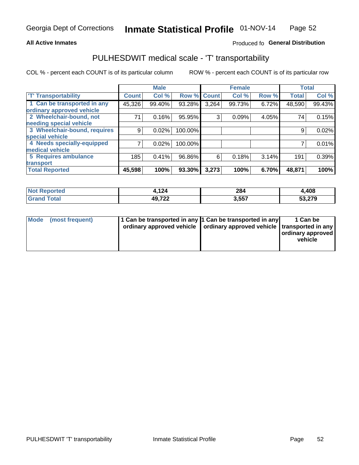#### **All Active Inmates**

### Produced fo General Distribution

### PULHESDWIT medical scale - 'T' transportability

COL % - percent each COUNT is of its particular column

|                              |              | <b>Male</b> |         |              | <b>Female</b> |       |              | <b>Total</b> |
|------------------------------|--------------|-------------|---------|--------------|---------------|-------|--------------|--------------|
| <b>T' Transportability</b>   | <b>Count</b> | Col %       | Row %   | <b>Count</b> | Col %         | Row % | <b>Total</b> | Col %        |
| 1 Can be transported in any  | 45,326       | 99.40%      | 93.28%  | 3,264        | 99.73%        | 6.72% | 48,590       | 99.43%       |
| ordinary approved vehicle    |              |             |         |              |               |       |              |              |
| 2 Wheelchair-bound, not      | 71           | 0.16%       | 95.95%  | 3            | 0.09%         | 4.05% | 74           | 0.15%        |
| needing special vehicle      |              |             |         |              |               |       |              |              |
| 3 Wheelchair-bound, requires | 9            | 0.02%       | 100.00% |              |               |       | 9            | 0.02%        |
| special vehicle              |              |             |         |              |               |       |              |              |
| 4 Needs specially-equipped   |              | 0.02%       | 100.00% |              |               |       |              | 0.01%        |
| medical vehicle              |              |             |         |              |               |       |              |              |
| <b>5 Requires ambulance</b>  | 185          | 0.41%       | 96.86%  | 6            | 0.18%         | 3.14% | 191          | 0.39%        |
| transport                    |              |             |         |              |               |       |              |              |
| <b>Total Reported</b>        | 45,598       | 100%        | 93.30%  | 3,273        | 100%          | 6.70% | 48,871       | 100%         |

| orted      | 1,124           | 284<br>$\sim$ $\sim$ $\sim$ | 4,408  |
|------------|-----------------|-----------------------------|--------|
| <b>ota</b> | 49,722<br>1 L.L | 557<br>J.JJ                 | 53 27Q |

|  | Mode (most frequent) | 1 Can be transported in any 1 Can be transported in any<br>ordinary approved vehicle   ordinary approved vehicle   transported in any |  | 1 Can be<br>  ordinary approved  <br>vehicle |
|--|----------------------|---------------------------------------------------------------------------------------------------------------------------------------|--|----------------------------------------------|
|--|----------------------|---------------------------------------------------------------------------------------------------------------------------------------|--|----------------------------------------------|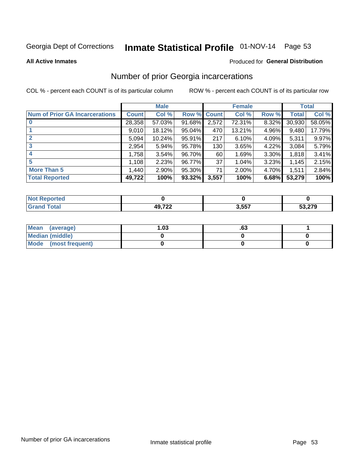# Inmate Statistical Profile 01-NOV-14 Page 53

#### **All Active Inmates**

#### **Produced for General Distribution**

### Number of prior Georgia incarcerations

COL % - percent each COUNT is of its particular column

|                                       |              | <b>Male</b> |             |       | <b>Female</b> |       |        | <b>Total</b> |
|---------------------------------------|--------------|-------------|-------------|-------|---------------|-------|--------|--------------|
| <b>Num of Prior GA Incarcerations</b> | <b>Count</b> | Col %       | Row % Count |       | Col %         | Row % | Total  | Col %        |
|                                       | 28,358       | 57.03%      | 91.68%      | 2,572 | 72.31%        | 8.32% | 30,930 | 58.05%       |
|                                       | 9,010        | 18.12%      | $95.04\%$   | 470   | 13.21%        | 4.96% | 9,480  | 17.79%       |
| $\overline{2}$                        | 5,094        | 10.24%      | 95.91%      | 217   | 6.10%         | 4.09% | 5,311  | 9.97%        |
| 3                                     | 2,954        | 5.94%       | 95.78%      | 130   | 3.65%         | 4.22% | 3,084  | 5.79%        |
| $\boldsymbol{4}$                      | 1,758        | 3.54%       | 96.70%      | 60    | 1.69%         | 3.30% | 1,818  | 3.41%        |
| 5                                     | 1,108        | 2.23%       | 96.77%      | 37    | 1.04%         | 3.23% | 1,145  | 2.15%        |
| <b>More Than 5</b>                    | 1,440        | 2.90%       | 95.30%      | 71    | 2.00%         | 4.70% | 1,511  | 2.84%        |
| <b>Total Reported</b>                 | 49,722       | 100%        | 93.32%      | 3,557 | 100%          | 6.68% | 53,279 | 100%         |

| orted<br>'NI |       |       |        |
|--------------|-------|-------|--------|
| <b>Car</b>   | AOZ22 | 3,557 | 53,279 |

| Mean (average)       | ∣.03 | .o. |  |
|----------------------|------|-----|--|
| Median (middle)      |      |     |  |
| Mode (most frequent) |      |     |  |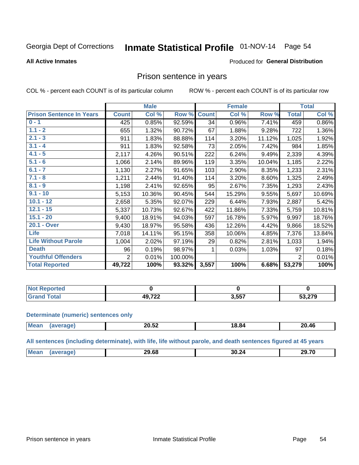# Inmate Statistical Profile 01-NOV-14 Page 54

#### **All Active Inmates**

#### Produced for General Distribution

### Prison sentence in years

COL % - percent each COUNT is of its particular column

ROW % - percent each COUNT is of its particular row

|                                 | <b>Male</b>  |        |         |              | <b>Female</b> | <b>Total</b> |                |        |
|---------------------------------|--------------|--------|---------|--------------|---------------|--------------|----------------|--------|
| <b>Prison Sentence In Years</b> | <b>Count</b> | Col %  | Row %   | <b>Count</b> | Col %         | Row %        | <b>Total</b>   | Col %  |
| $0 - 1$                         | 425          | 0.85%  | 92.59%  | 34           | 0.96%         | 7.41%        | 459            | 0.86%  |
| $1.1 - 2$                       | 655          | 1.32%  | 90.72%  | 67           | 1.88%         | 9.28%        | 722            | 1.36%  |
| $2.1 - 3$                       | 911          | 1.83%  | 88.88%  | 114          | 3.20%         | 11.12%       | 1,025          | 1.92%  |
| $3.1 - 4$                       | 911          | 1.83%  | 92.58%  | 73           | 2.05%         | 7.42%        | 984            | 1.85%  |
| $4.1 - 5$                       | 2,117        | 4.26%  | 90.51%  | 222          | 6.24%         | 9.49%        | 2,339          | 4.39%  |
| $5.1 - 6$                       | 1,066        | 2.14%  | 89.96%  | 119          | 3.35%         | 10.04%       | 1,185          | 2.22%  |
| $6.1 - 7$                       | 1,130        | 2.27%  | 91.65%  | 103          | 2.90%         | 8.35%        | 1,233          | 2.31%  |
| $7.1 - 8$                       | 1,211        | 2.44%  | 91.40%  | 114          | 3.20%         | 8.60%        | 1,325          | 2.49%  |
| $8.1 - 9$                       | 1,198        | 2.41%  | 92.65%  | 95           | 2.67%         | 7.35%        | 1,293          | 2.43%  |
| $9.1 - 10$                      | 5,153        | 10.36% | 90.45%  | 544          | 15.29%        | 9.55%        | 5,697          | 10.69% |
| $10.1 - 12$                     | 2,658        | 5.35%  | 92.07%  | 229          | 6.44%         | 7.93%        | 2,887          | 5.42%  |
| $12.1 - 15$                     | 5,337        | 10.73% | 92.67%  | 422          | 11.86%        | 7.33%        | 5,759          | 10.81% |
| $15.1 - 20$                     | 9,400        | 18.91% | 94.03%  | 597          | 16.78%        | 5.97%        | 9,997          | 18.76% |
| 20.1 - Over                     | 9,430        | 18.97% | 95.58%  | 436          | 12.26%        | 4.42%        | 9,866          | 18.52% |
| <b>Life</b>                     | 7,018        | 14.11% | 95.15%  | 358          | 10.06%        | 4.85%        | 7,376          | 13.84% |
| <b>Life Without Parole</b>      | 1,004        | 2.02%  | 97.19%  | 29           | 0.82%         | 2.81%        | 1,033          | 1.94%  |
| <b>Death</b>                    | 96           | 0.19%  | 98.97%  |              | 0.03%         | 1.03%        | 97             | 0.18%  |
| <b>Youthful Offenders</b>       | 2            | 0.01%  | 100.00% |              |               |              | $\overline{2}$ | 0.01%  |
| <b>Total Reported</b>           | 49,722       | 100%   | 93.32%  | 3,557        | 100%          | 6.68%        | 53,279         | 100%   |

| <b>NOT</b><br><b>portea</b> |                    |       |     |
|-----------------------------|--------------------|-------|-----|
|                             | רכד הו<br>▗▃▃<br>. | 3,557 | הדה |

#### **Determinate (numeric) sentences only**

| <b>Mean</b> | 88 FA<br>20.52 | 18.84 | 0.46∠∠ |
|-------------|----------------|-------|--------|
|             |                |       |        |

All sentences (including determinate), with life, life without parole, and death sentences figured at 45 years

| <b>Me</b> | 29.68 | .<br>30.<br>,.za<br>$ -$ | 29. ZC<br>1 L |
|-----------|-------|--------------------------|---------------|
|           |       |                          |               |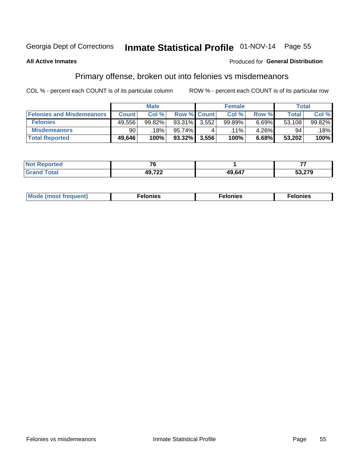## Inmate Statistical Profile 01-NOV-14 Page 55

#### **All Active Inmates**

#### **Produced for General Distribution**

### Primary offense, broken out into felonies vs misdemeanors

COL % - percent each COUNT is of its particular column

|                                  | <b>Male</b>  |        |           |                    | <b>Female</b> | Total |        |        |
|----------------------------------|--------------|--------|-----------|--------------------|---------------|-------|--------|--------|
| <b>Felonies and Misdemeanors</b> | <b>Count</b> | Col%   |           | <b>Row % Count</b> | Col%          | Row % | Total, | Col %  |
| <b>Felonies</b>                  | 49,556       | 99.82% | 93.31%    | 3,552              | 99.89%        | 6.69% | 53,108 | 99.82% |
| <b>Misdemeanors</b>              | 90           | 18%    | 95.74%    |                    | $.11\%$       | 4.26% | 94     | .18%   |
| <b>Total Reported</b>            | 49,646       | 100%   | $93.32\%$ | 3,556              | 100%          | 6.68% | 53,202 | 100%   |

| <b>Not</b><br>rted. | $\sim$ $\sim$ |        |        |
|---------------------|---------------|--------|--------|
| Grar<br>™otaı       | 10 722        | 49,647 | 53,279 |

| Mo | ____ | 11 C.S<br>. | onies<br>. |
|----|------|-------------|------------|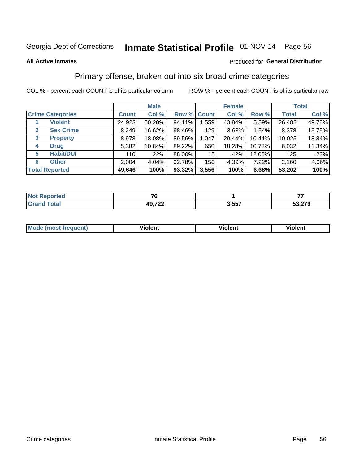## Inmate Statistical Profile 01-NOV-14 Page 56

#### **All Active Inmates**

### **Produced for General Distribution**

### Primary offense, broken out into six broad crime categories

COL % - percent each COUNT is of its particular column

|                                  | <b>Male</b>  |        |        |             | <b>Female</b> | <b>Total</b> |              |        |
|----------------------------------|--------------|--------|--------|-------------|---------------|--------------|--------------|--------|
| <b>Crime Categories</b>          | <b>Count</b> | Col %  |        | Row % Count | Col %         | Row %        | <b>Total</b> | Col %  |
| <b>Violent</b>                   | 24,923       | 50.20% | 94.11% | 1,559       | 43.84%        | 5.89%        | 26,482       | 49.78% |
| <b>Sex Crime</b><br>$\mathbf{2}$ | 8,249        | 16.62% | 98.46% | 129         | 3.63%         | $1.54\%$     | 8,378        | 15.75% |
| 3<br><b>Property</b>             | 8,978        | 18.08% | 89.56% | 1,047       | 29.44%        | 10.44%       | 10,025       | 18.84% |
| <b>Drug</b><br>4                 | 5,382        | 10.84% | 89.22% | 650         | 18.28%        | 10.78%       | 6,032        | 11.34% |
| <b>Habit/DUI</b><br>5            | 110          | .22%   | 88.00% | 15          | .42%          | 12.00%       | 125          | .23%   |
| <b>Other</b><br>6                | 2,004        | 4.04%  | 92.78% | 156         | 4.39%         | 7.22%        | 2,160        | 4.06%  |
| <b>Total Reported</b>            | 49,646       | 100%   | 93.32% | 3,556       | 100%          | 6.68%        | 53,202       | 100%   |

| <b>Reported</b><br><b>NO</b> t | --     |       | --     |
|--------------------------------|--------|-------|--------|
| <b>cotal</b>                   | 49,722 | 3,557 | 33,279 |

| Mo<br>uent)<br>nos | .<br>/iolent | <br>Violent | - --<br><b>Tiolent</b> |
|--------------------|--------------|-------------|------------------------|
|                    |              |             |                        |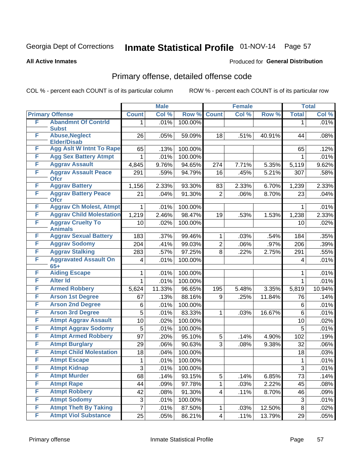## Inmate Statistical Profile 01-NOV-14 Page 57

#### **All Active Inmates**

#### **Produced for General Distribution**

## Primary offense, detailed offense code

COL % - percent each COUNT is of its particular column

|        |                                             | <b>Male</b>    |        |         | <b>Female</b>   | <b>Total</b> |        |                |        |
|--------|---------------------------------------------|----------------|--------|---------|-----------------|--------------|--------|----------------|--------|
|        | <b>Primary Offense</b>                      | <b>Count</b>   | Col %  | Row %   | <b>Count</b>    | Col %        | Row %  | <b>Total</b>   | Col %  |
| F      | <b>Abandmnt Of Contrld</b>                  | $\mathbf{1}$   | .01%   | 100.00% |                 |              |        | $\mathbf{1}$   | .01%   |
|        | <b>Subst</b>                                |                |        |         |                 |              |        |                |        |
| F      | <b>Abuse, Neglect</b><br><b>Elder/Disab</b> | 26             | .05%   | 59.09%  | 18              | .51%         | 40.91% | 44             | .08%   |
| F      | <b>Agg Aslt W Intnt To Rape</b>             | 65             | .13%   | 100.00% |                 |              |        | 65             | .12%   |
| F      | <b>Agg Sex Battery Atmpt</b>                | 1              | .01%   | 100.00% |                 |              |        | 1              | .01%   |
| F      | <b>Aggrav Assault</b>                       | 4,845          | 9.76%  | 94.65%  | 274             | 7.71%        | 5.35%  | 5,119          | 9.62%  |
| F      | <b>Aggrav Assault Peace</b>                 | 291            | .59%   | 94.79%  | 16              | .45%         | 5.21%  | 307            | .58%   |
|        | <b>Ofcr</b>                                 |                |        |         |                 |              |        |                |        |
| F      | <b>Aggrav Battery</b>                       | 1,156          | 2.33%  | 93.30%  | 83              | 2.33%        | 6.70%  | 1,239          | 2.33%  |
| F      | <b>Aggrav Battery Peace</b><br><b>Ofcr</b>  | 21             | .04%   | 91.30%  | $\overline{2}$  | .06%         | 8.70%  | 23             | .04%   |
| F      | <b>Aggrav Ch Molest, Atmpt</b>              | 1              | .01%   | 100.00% |                 |              |        | 1              | .01%   |
| F      | <b>Aggrav Child Molestation</b>             | 1,219          | 2.46%  | 98.47%  | 19              | .53%         | 1.53%  | 1,238          | 2.33%  |
| F      | <b>Aggrav Cruelty To</b>                    | 10             | .02%   | 100.00% |                 |              |        | 10             | .02%   |
|        | <b>Animals</b>                              |                |        |         |                 |              |        |                |        |
| F      | <b>Aggrav Sexual Battery</b>                | 183            | .37%   | 99.46%  | $\mathbf 1$     | .03%         | .54%   | 184            | .35%   |
| F      | <b>Aggrav Sodomy</b>                        | 204            | .41%   | 99.03%  | $\overline{2}$  | .06%         | .97%   | 206            | .39%   |
| F      | <b>Aggrav Stalking</b>                      | 283            | .57%   | 97.25%  | 8               | .22%         | 2.75%  | 291            | .55%   |
| F      | <b>Aggravated Assault On</b>                | $\overline{4}$ | .01%   | 100.00% |                 |              |        | $\overline{4}$ | .01%   |
|        | $65+$                                       |                |        |         |                 |              |        |                |        |
| F<br>F | <b>Aiding Escape</b><br><b>Alter Id</b>     | 1              | .01%   | 100.00% |                 |              |        | 1              | .01%   |
|        |                                             | $\mathbf 1$    | .01%   | 100.00% |                 |              |        | $\mathbf 1$    | .01%   |
| F      | <b>Armed Robbery</b>                        | 5,624          | 11.33% | 96.65%  | 195             | 5.48%        | 3.35%  | 5,819          | 10.94% |
| F      | <b>Arson 1st Degree</b>                     | 67             | .13%   | 88.16%  | 9               | .25%         | 11.84% | 76             | .14%   |
| F      | <b>Arson 2nd Degree</b>                     | 6              | .01%   | 100.00% |                 |              |        | 6              | .01%   |
| F      | <b>Arson 3rd Degree</b>                     | 5              | .01%   | 83.33%  | $\mathbf{1}$    | .03%         | 16.67% | 6              | .01%   |
| F      | <b>Atmpt Aggrav Assault</b>                 | 10             | .02%   | 100.00% |                 |              |        | 10             | .02%   |
| F      | <b>Atmpt Aggrav Sodomy</b>                  | 5              | .01%   | 100.00% |                 |              |        | 5              | .01%   |
| F      | <b>Atmpt Armed Robbery</b>                  | 97             | .20%   | 95.10%  | 5               | .14%         | 4.90%  | 102            | .19%   |
| F      | <b>Atmpt Burglary</b>                       | 29             | .06%   | 90.63%  | 3               | .08%         | 9.38%  | 32             | .06%   |
| F      | <b>Atmpt Child Molestation</b>              | 18             | .04%   | 100.00% |                 |              |        | 18             | .03%   |
| F      | <b>Atmpt Escape</b>                         | 1              | .01%   | 100.00% |                 |              |        | 1              | .01%   |
| F      | <b>Atmpt Kidnap</b>                         | 3              | .01%   | 100.00% |                 |              |        | 3              | .01%   |
| F      | <b>Atmpt Murder</b>                         | 68             | .14%   | 93.15%  | 5               | .14%         | 6.85%  | 73             | .14%   |
| F      | <b>Atmpt Rape</b>                           | 44             | .09%   | 97.78%  | $\mathbf{1}$    | .03%         | 2.22%  | 45             | .08%   |
| F      | <b>Atmpt Robbery</b>                        | 42             | .08%   | 91.30%  | $\overline{4}$  | .11%         | 8.70%  | 46             | .09%   |
| F      | <b>Atmpt Sodomy</b>                         | $\sqrt{3}$     | .01%   | 100.00% |                 |              |        | 3              | .01%   |
| F      | <b>Atmpt Theft By Taking</b>                | $\overline{7}$ | .01%   | 87.50%  | $\mathbf{1}$    | .03%         | 12.50% | 8              | .02%   |
| F      | <b>Atmpt Viol Substance</b>                 | 25             | .05%   | 86.21%  | $\vert 4 \vert$ | .11%         | 13.79% | 29             | .05%   |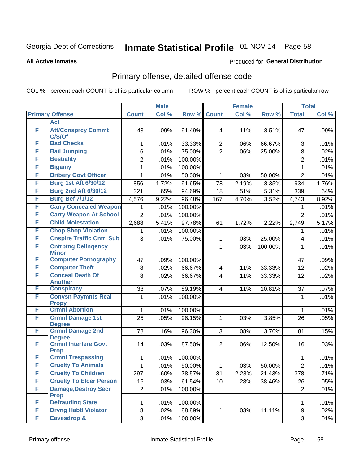## Inmate Statistical Profile 01-NOV-14 Page 58

#### **All Active Inmates**

#### **Produced for General Distribution**

## Primary offense, detailed offense code

COL % - percent each COUNT is of its particular column

|   |                                            | <b>Male</b>    |       |         | <b>Female</b>           | <b>Total</b> |         |                |       |
|---|--------------------------------------------|----------------|-------|---------|-------------------------|--------------|---------|----------------|-------|
|   | <b>Primary Offense</b>                     | <b>Count</b>   | Col % | Row %   | <b>Count</b>            | Col %        | Row %   | <b>Total</b>   | Col % |
|   | <b>Act</b>                                 |                |       |         |                         |              |         |                |       |
| F | <b>Att/Consprcy Commt</b><br>C/S/Of        | 43             | .09%  | 91.49%  | $\overline{\mathbf{4}}$ | .11%         | 8.51%   | 47             | .09%  |
| F | <b>Bad Checks</b>                          | 1              | .01%  | 33.33%  | $\overline{2}$          | .06%         | 66.67%  | 3              | .01%  |
| F | <b>Bail Jumping</b>                        | 6              | .01%  | 75.00%  | $\overline{2}$          | .06%         | 25.00%  | 8              | .02%  |
| F | <b>Bestiality</b>                          | $\overline{2}$ | .01%  | 100.00% |                         |              |         | $\overline{2}$ | .01%  |
| F | <b>Bigamy</b>                              | 1              | .01%  | 100.00% |                         |              |         | 1              | .01%  |
| F | <b>Bribery Govt Officer</b>                | 1              | .01%  | 50.00%  | 1                       | .03%         | 50.00%  | $\overline{2}$ | .01%  |
| F | <b>Burg 1st Aft 6/30/12</b>                | 856            | 1.72% | 91.65%  | 78                      | 2.19%        | 8.35%   | 934            | 1.76% |
| F | <b>Burg 2nd Aft 6/30/12</b>                | 321            | .65%  | 94.69%  | 18                      | .51%         | 5.31%   | 339            | .64%  |
| F | <b>Burg Bef 7/1/12</b>                     | 4,576          | 9.22% | 96.48%  | 167                     | 4.70%        | 3.52%   | 4,743          | 8.92% |
| F | <b>Carry Concealed Weapon</b>              |                | .01%  | 100.00% |                         |              |         | 1              | .01%  |
| F | <b>Carry Weapon At School</b>              | $\overline{2}$ | .01%  | 100.00% |                         |              |         | $\overline{2}$ | .01%  |
| F | <b>Child Molestation</b>                   | 2,688          | 5.41% | 97.78%  | 61                      | 1.72%        | 2.22%   | 2,749          | 5.17% |
| F | <b>Chop Shop Violation</b>                 | 1              | .01%  | 100.00% |                         |              |         | 1              | .01%  |
| F | <b>Cnspire Traffic Cntrl Sub</b>           | 3              | .01%  | 75.00%  | 1                       | .03%         | 25.00%  | 4              | .01%  |
| F | <b>Cntrbtng Delingency</b>                 |                |       |         | $\mathbf{1}$            | .03%         | 100.00% | 1              | .01%  |
|   | <b>Minor</b>                               |                |       |         |                         |              |         |                |       |
| F | <b>Computer Pornography</b>                | 47             | .09%  | 100.00% |                         |              |         | 47             | .09%  |
| F | <b>Computer Theft</b>                      | 8              | .02%  | 66.67%  | $\overline{\mathbf{4}}$ | .11%         | 33.33%  | 12             | .02%  |
| F | <b>Conceal Death Of</b><br><b>Another</b>  | 8              | .02%  | 66.67%  | $\overline{4}$          | .11%         | 33.33%  | 12             | .02%  |
| F | <b>Conspiracy</b>                          | 33             | .07%  | 89.19%  | 4                       | .11%         | 10.81%  | 37             | .07%  |
| F | <b>Convsn Paymnts Real</b>                 | 1              | .01%  | 100.00% |                         |              |         | 1              | .01%  |
|   | <b>Propy</b>                               |                |       |         |                         |              |         |                |       |
| F | <b>Crmnl Abortion</b>                      | 1              | .01%  | 100.00% |                         |              |         | 1              | .01%  |
| F | <b>Crmnl Damage 1st</b>                    | 25             | .05%  | 96.15%  | 1                       | .03%         | 3.85%   | 26             | .05%  |
| F | <b>Degree</b>                              |                |       |         |                         |              |         |                |       |
|   | <b>Crmnl Damage 2nd</b><br><b>Degree</b>   | 78             | .16%  | 96.30%  | 3                       | .08%         | 3.70%   | 81             | .15%  |
| F | <b>Crmnl Interfere Govt</b>                | 14             | .03%  | 87.50%  | $\overline{2}$          | .06%         | 12.50%  | 16             | .03%  |
|   | <b>Prop</b>                                |                |       |         |                         |              |         |                |       |
| F | <b>Crmnl Trespassing</b>                   | 1              | .01%  | 100.00% |                         |              |         | 1              | .01%  |
| F | <b>Cruelty To Animals</b>                  | 1              | .01%  | 50.00%  | $\mathbf{1}$            | .03%         | 50.00%  | $\overline{2}$ | .01%  |
| F | <b>Cruelty To Children</b>                 | 297            | .60%  | 78.57%  | 81                      | 2.28%        | 21.43%  | 378            | .71%  |
| F | <b>Cruelty To Elder Person</b>             | 16             | .03%  | 61.54%  | 10                      | .28%         | 38.46%  | 26             | .05%  |
| F | <b>Damage, Destroy Secr</b><br><b>Prop</b> | $\overline{2}$ | .01%  | 100.00% |                         |              |         | $\overline{2}$ | .01%  |
| F | <b>Defrauding State</b>                    | 1              | .01%  | 100.00% |                         |              |         | 1              | .01%  |
| F | <b>Drvng Habtl Violator</b>                | 8              | .02%  | 88.89%  | $\mathbf 1$             | .03%         | 11.11%  | 9              | .02%  |
| F | Eavesdrop &                                | 3              | .01%  | 100.00% |                         |              |         | 3              | .01%  |
|   |                                            |                |       |         |                         |              |         |                |       |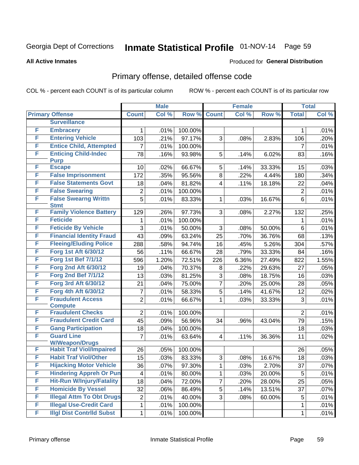## Inmate Statistical Profile 01-NOV-14 Page 59

#### **All Active Inmates**

#### **Produced for General Distribution**

## Primary offense, detailed offense code

COL % - percent each COUNT is of its particular column

|   |                                                          |                 | <b>Male</b> |         |                | <b>Female</b> |        |                 | <b>Total</b> |
|---|----------------------------------------------------------|-----------------|-------------|---------|----------------|---------------|--------|-----------------|--------------|
|   | <b>Primary Offense</b>                                   | <b>Count</b>    | Col %       | Row %   | <b>Count</b>   | Col %         | Row %  | <b>Total</b>    | Col %        |
|   | <b>Surveillance</b>                                      |                 |             |         |                |               |        |                 |              |
| F | <b>Embracery</b>                                         | 1               | .01%        | 100.00% |                |               |        | 1               | .01%         |
| F | <b>Entering Vehicle</b>                                  | 103             | .21%        | 97.17%  | 3              | .08%          | 2.83%  | 106             | .20%         |
| F | <b>Entice Child, Attempted</b>                           | 7               | .01%        | 100.00% |                |               |        | $\overline{7}$  | .01%         |
| F | <b>Enticing Child-Indec</b>                              | 78              | .16%        | 93.98%  | 5              | .14%          | 6.02%  | 83              | .16%         |
|   | <b>Purp</b>                                              |                 |             |         |                |               |        |                 |              |
| F | <b>Escape</b>                                            | 10              | .02%        | 66.67%  | 5              | .14%          | 33.33% | 15              | .03%         |
| F | <b>False Imprisonment</b>                                | 172             | .35%        | 95.56%  | 8              | .22%          | 4.44%  | 180             | .34%         |
| F | <b>False Statements Govt</b>                             | 18              | .04%        | 81.82%  | 4              | .11%          | 18.18% | 22              | .04%         |
| F | <b>False Swearing</b>                                    | 2               | .01%        | 100.00% |                |               |        | $\overline{2}$  | .01%         |
| F | <b>False Swearng Writtn</b><br><b>Stmt</b>               | 5               | .01%        | 83.33%  | 1              | .03%          | 16.67% | 6               | .01%         |
| F | <b>Family Violence Battery</b>                           | 129             | .26%        | 97.73%  | 3              | .08%          | 2.27%  | 132             | .25%         |
| F | <b>Feticide</b>                                          | 1               | .01%        | 100.00% |                |               |        | 1               | .01%         |
| F | <b>Feticide By Vehicle</b>                               | 3               | .01%        | 50.00%  | 3              | .08%          | 50.00% | 6               | .01%         |
| F | <b>Financial Identity Fraud</b>                          | 43              | .09%        | 63.24%  | 25             | .70%          | 36.76% | 68              | .13%         |
| F | <b>Fleeing/Eluding Police</b>                            | 288             | .58%        | 94.74%  | 16             | .45%          | 5.26%  | 304             | .57%         |
| F | <b>Forg 1st Aft 6/30/12</b>                              | 56              | .11%        | 66.67%  | 28             | .79%          | 33.33% | 84              | .16%         |
| F | <b>Forg 1st Bef 7/1/12</b>                               | 596             | 1.20%       | 72.51%  | 226            | 6.36%         | 27.49% | 822             | 1.55%        |
| F | <b>Forg 2nd Aft 6/30/12</b>                              | 19              | .04%        | 70.37%  | 8              | .22%          | 29.63% | 27              | .05%         |
| F | <b>Forg 2nd Bef 7/1/12</b>                               | 13              | .03%        | 81.25%  | 3              | .08%          | 18.75% | 16              | .03%         |
| F | <b>Forg 3rd Aft 6/30/12</b>                              | 21              | .04%        | 75.00%  | $\overline{7}$ | .20%          | 25.00% | 28              | .05%         |
| F | Forg 4th Aft 6/30/12                                     | 7               | .01%        | 58.33%  | 5              | .14%          | 41.67% | 12              | .02%         |
| F | <b>Fraudulent Access</b>                                 | $\overline{2}$  | .01%        | 66.67%  | $\mathbf{1}$   | .03%          | 33.33% | 3               | .01%         |
|   | <b>Compute</b>                                           |                 |             |         |                |               |        |                 |              |
| F | <b>Fraudulent Checks</b>                                 | $\overline{2}$  | .01%        | 100.00% |                |               |        | $\overline{2}$  | .01%         |
| F | <b>Fraudulent Credit Card</b>                            | 45              | .09%        | 56.96%  | 34             | .96%          | 43.04% | 79              | .15%         |
| F | <b>Gang Participation</b>                                | 18              | .04%        | 100.00% |                |               |        | 18              | .03%         |
| F | <b>Guard Line</b>                                        | 7               | .01%        | 63.64%  | $\overline{4}$ | .11%          | 36.36% | 11              | .02%         |
| F | <b>W/Weapon/Drugs</b><br><b>Habit Traf Viol/Impaired</b> | 26              | .05%        | 100.00% |                |               |        | 26              | .05%         |
| F | <b>Habit Traf Viol/Other</b>                             | 15              | .03%        | 83.33%  | 3              | .08%          | 16.67% | 18              | .03%         |
| F | <b>Hijacking Motor Vehicle</b>                           | $\overline{36}$ | .07%        | 97.30%  | $\mathbf 1$    | .03%          | 2.70%  | $\overline{37}$ | .07%         |
| F | <b>Hindering Appreh Or Pun</b>                           | 4               | .01%        | 80.00%  | 1              | .03%          | 20.00% | 5               | .01%         |
| F | <b>Hit-Run W/Injury/Fatality</b>                         | 18              | .04%        | 72.00%  | $\overline{7}$ | .20%          | 28.00% | 25              | .05%         |
| F | <b>Homicide By Vessel</b>                                | 32              | .06%        | 86.49%  | 5              | .14%          | 13.51% | 37              | .07%         |
| F | <b>Illegal Attm To Obt Drugs</b>                         | $\overline{c}$  | .01%        | 40.00%  | 3              | .08%          | 60.00% | 5               | .01%         |
| F | <b>Illegal Use-Credit Card</b>                           | 1               | .01%        | 100.00% |                |               |        | $\mathbf 1$     | .01%         |
| F | <b>Illgl Dist Contrild Subst</b>                         | 1               | .01%        | 100.00% |                |               |        | $\mathbf 1$     | .01%         |
|   |                                                          |                 |             |         |                |               |        |                 |              |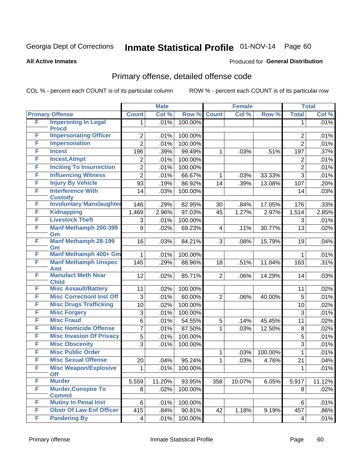# Inmate Statistical Profile 01-NOV-14 Page 60

#### **All Active Inmates**

#### **Produced for General Distribution**

## Primary offense, detailed offense code

COL % - percent each COUNT is of its particular column

|   |                                              |                | <b>Male</b> |         |                | <b>Female</b> |         |                | <b>Total</b> |
|---|----------------------------------------------|----------------|-------------|---------|----------------|---------------|---------|----------------|--------------|
|   | <b>Primary Offense</b>                       | <b>Count</b>   | Col %       | Row %   | <b>Count</b>   | Col %         | Row %   | <b>Total</b>   | Col %        |
| F | <b>Impersntng In Legal</b>                   | $\mathbf{1}$   | .01%        | 100.00% |                |               |         | 1              | .01%         |
| F | <b>Procd</b><br><b>Impersonating Officer</b> | $\overline{2}$ | .01%        | 100.00% |                |               |         | $\overline{2}$ | .01%         |
| F | <b>Impersonation</b>                         | $\overline{2}$ | .01%        | 100.00% |                |               |         | $\overline{2}$ | .01%         |
| F | <b>Incest</b>                                | 196            | .39%        | 99.49%  | 1              | .03%          | .51%    | 197            | .37%         |
| F | <b>Incest, Atmpt</b>                         | $\overline{c}$ | .01%        | 100.00% |                |               |         | 2              | .01%         |
| F | <b>Inciting To Insurrection</b>              | $\overline{2}$ | .01%        | 100.00% |                |               |         | $\overline{2}$ | .01%         |
| F | <b>Influencing Witness</b>                   | $\overline{2}$ | .01%        | 66.67%  | 1              | .03%          | 33.33%  | $\overline{3}$ | .01%         |
| F | <b>Injury By Vehicle</b>                     | 93             | .19%        | 86.92%  | 14             | .39%          | 13.08%  | 107            | .20%         |
| F | <b>Interference With</b>                     | 14             | .03%        | 100.00% |                |               |         | 14             | .03%         |
|   | <b>Custody</b>                               |                |             |         |                |               |         |                |              |
| F | <b>Involuntary Manslaughter</b>              | 146            | .29%        | 82.95%  | 30             | .84%          | 17.05%  | 176            | .33%         |
| F | <b>Kidnapping</b>                            | 1,469          | 2.96%       | 97.03%  | 45             | 1.27%         | 2.97%   | 1,514          | 2.85%        |
| F | <b>Livestock Theft</b>                       | 3              | .01%        | 100.00% |                |               |         | 3              | .01%         |
| F | <b>Manf Methamph 200-399</b>                 | 9              | .02%        | 69.23%  | 4              | .11%          | 30.77%  | 13             | .02%         |
| F | Gm<br><b>Manf Methamph 28-199</b>            | 16             | .03%        | 84.21%  | 3              | .08%          | 15.79%  | 19             | .04%         |
|   | Gm                                           |                |             |         |                |               |         |                |              |
| F | Manf Methamph 400+ Gm                        | 1              | .01%        | 100.00% |                |               |         | 1              | .01%         |
| F | <b>Manf Methamph Unspec</b><br>Amt           | 145            | .29%        | 88.96%  | 18             | .51%          | 11.04%  | 163            | .31%         |
| F | <b>Manufact Meth Near</b>                    | 12             | .02%        | 85.71%  | $\overline{2}$ | .06%          | 14.29%  | 14             | .03%         |
|   | <b>Child</b>                                 |                |             |         |                |               |         |                |              |
| F | <b>Misc Assault/Battery</b>                  | 11             | .02%        | 100.00% |                |               |         | 11             | .02%         |
| F | <b>Misc CorrectionI Inst Off</b>             | 3              | .01%        | 60.00%  | $\overline{2}$ | .06%          | 40.00%  | 5              | .01%         |
| F | <b>Misc Drugs Trafficking</b>                | 10             | .02%        | 100.00% |                |               |         | 10             | .02%         |
| F | <b>Misc Forgery</b>                          | 3              | .01%        | 100.00% |                |               |         | 3              | .01%         |
| F | <b>Misc Fraud</b>                            | 6              | .01%        | 54.55%  | 5              | .14%          | 45.45%  | 11             | .02%         |
| F | <b>Misc Homicide Offense</b>                 | $\overline{7}$ | .01%        | 87.50%  | 1              | .03%          | 12.50%  | 8              | .02%         |
| F | <b>Misc Invasion Of Privacy</b>              | 5              | .01%        | 100.00% |                |               |         | $\overline{5}$ | .01%         |
| F | <b>Misc Obscenity</b>                        | 3              | .01%        | 100.00% |                |               |         | $\overline{3}$ | .01%         |
| F | <b>Misc Public Order</b>                     |                |             |         | 1              | .03%          | 100.00% | $\mathbf{1}$   | .01%         |
| F | <b>Misc Sexual Offense</b>                   | 20             | .04%        | 95.24%  | 1              | .03%          | 4.76%   | 21             | .04%         |
| F | <b>Misc Weapon/Explosive</b><br>Off          | 1              | .01%        | 100.00% |                |               |         | 1              | .01%         |
| F | <b>Murder</b>                                | 5,559          | 11.20%      | 93.95%  | 358            | 10.07%        | 6.05%   | 5,917          | 11.12%       |
| F | <b>Murder, Conspire To</b><br><b>Commit</b>  | 8              | .02%        | 100.00% |                |               |         | 8              | .02%         |
| F | <b>Mutiny In Penal Inst</b>                  | 6              | .01%        | 100.00% |                |               |         | 6              | .01%         |
| F | <b>Obstr Of Law Enf Officer</b>              | 415            | .84%        | 90.81%  | 42             | 1.18%         | 9.19%   | 457            | .86%         |
| F | <b>Pandering By</b>                          | $\overline{4}$ | .01%        | 100.00% |                |               |         | 4              | .01%         |
|   |                                              |                |             |         |                |               |         |                |              |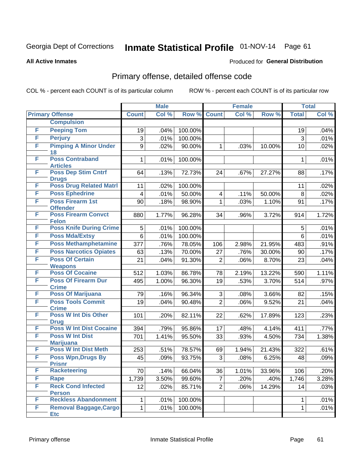## Inmate Statistical Profile 01-NOV-14 Page 61

**All Active Inmates** 

#### **Produced for General Distribution**

### Primary offense, detailed offense code

COL % - percent each COUNT is of its particular column

|   |                                               |                | <b>Male</b> |         |                         | <b>Female</b> |        |              | <b>Total</b> |
|---|-----------------------------------------------|----------------|-------------|---------|-------------------------|---------------|--------|--------------|--------------|
|   | <b>Primary Offense</b>                        | <b>Count</b>   | Col %       | Row %   | <b>Count</b>            | Col %         | Row %  | <b>Total</b> | Col %        |
|   | <b>Compulsion</b>                             |                |             |         |                         |               |        |              |              |
| F | <b>Peeping Tom</b>                            | 19             | .04%        | 100.00% |                         |               |        | 19           | .04%         |
| F | <b>Perjury</b>                                | 3              | .01%        | 100.00% |                         |               |        | 3            | .01%         |
| F | <b>Pimping A Minor Under</b>                  | 9              | .02%        | 90.00%  | 1                       | .03%          | 10.00% | 10           | .02%         |
|   | 18                                            |                |             |         |                         |               |        |              |              |
| F | <b>Poss Contraband</b><br><b>Articles</b>     | $\mathbf{1}$   | .01%        | 100.00% |                         |               |        | 1            | .01%         |
| F | <b>Poss Dep Stim Cntrf</b>                    | 64             | .13%        | 72.73%  | 24                      | .67%          | 27.27% | 88           | .17%         |
|   | <b>Drugs</b>                                  |                |             |         |                         |               |        |              |              |
| F | <b>Poss Drug Related Matri</b>                | 11             | .02%        | 100.00% |                         |               |        | 11           | .02%         |
| F | <b>Poss Ephedrine</b>                         | 4              | .01%        | 50.00%  | $\overline{\mathbf{4}}$ | .11%          | 50.00% | 8            | .02%         |
| F | <b>Poss Firearm 1st</b><br><b>Offender</b>    | 90             | .18%        | 98.90%  | 1                       | .03%          | 1.10%  | 91           | .17%         |
| F | <b>Poss Firearm Convct</b>                    | 880            | 1.77%       | 96.28%  | 34                      | .96%          | 3.72%  | 914          | 1.72%        |
|   | <b>Felon</b>                                  |                |             |         |                         |               |        |              |              |
| F | <b>Poss Knife During Crime</b>                | 5              | .01%        | 100.00% |                         |               |        | 5            | .01%         |
| F | <b>Poss Mda/Extsy</b>                         | $6\phantom{a}$ | .01%        | 100.00% |                         |               |        | 6            | .01%         |
| F | <b>Poss Methamphetamine</b>                   | 377            | .76%        | 78.05%  | 106                     | 2.98%         | 21.95% | 483          | .91%         |
| F | <b>Poss Narcotics Opiates</b>                 | 63             | .13%        | 70.00%  | 27                      | .76%          | 30.00% | 90           | .17%         |
| F | <b>Poss Of Certain</b>                        | 21             | .04%        | 91.30%  | $\overline{2}$          | .06%          | 8.70%  | 23           | .04%         |
|   | <b>Weapons</b>                                |                |             |         |                         |               |        |              |              |
| F | <b>Poss Of Cocaine</b>                        | 512            | 1.03%       | 86.78%  | 78                      | 2.19%         | 13.22% | 590          | 1.11%        |
| F | <b>Poss Of Firearm Dur</b><br><b>Crime</b>    | 495            | 1.00%       | 96.30%  | 19                      | .53%          | 3.70%  | 514          | .97%         |
| F | <b>Poss Of Marijuana</b>                      | 79             | .16%        | 96.34%  | 3                       | .08%          | 3.66%  | 82           | .15%         |
| F | <b>Poss Tools Commit</b>                      | 19             | .04%        | 90.48%  | $\overline{2}$          | .06%          | 9.52%  | 21           | .04%         |
|   | <b>Crime</b>                                  |                |             |         |                         |               |        |              |              |
| F | <b>Poss W Int Dis Other</b>                   | 101            | .20%        | 82.11%  | 22                      | .62%          | 17.89% | 123          | .23%         |
| F | <b>Drug</b><br><b>Poss W Int Dist Cocaine</b> | 394            | .79%        | 95.86%  | 17                      | .48%          | 4.14%  | 411          | .77%         |
| F | <b>Poss W Int Dist</b>                        | 701            | 1.41%       | 95.50%  | 33                      | .93%          | 4.50%  | 734          | 1.38%        |
|   | <b>Marijuana</b>                              |                |             |         |                         |               |        |              |              |
| F | <b>Poss W Int Dist Meth</b>                   | 253            | .51%        | 78.57%  | 69                      | 1.94%         | 21.43% | 322          | .61%         |
| F | <b>Poss Wpn, Drugs By</b>                     | 45             | .09%        | 93.75%  | 3                       | .08%          | 6.25%  | 48           | .09%         |
|   | <b>Prisnr</b>                                 |                |             |         |                         |               |        |              |              |
| F | <b>Racketeering</b>                           | 70             | .14%        | 66.04%  | 36                      | 1.01%         | 33.96% | 106          | .20%         |
| F | <b>Rape</b>                                   | 1,739          | 3.50%       | 99.60%  | $\overline{7}$          | .20%          | .40%   | 1,746        | 3.28%        |
| F | <b>Reck Cond Infected</b><br><b>Person</b>    | 12             | .02%        | 85.71%  | $\overline{2}$          | .06%          | 14.29% | 14           | .03%         |
| F | <b>Reckless Abandonment</b>                   | $\mathbf{1}$   | .01%        | 100.00% |                         |               |        | 1            | .01%         |
| F | <b>Removal Baggage, Cargo</b>                 | $\mathbf 1$    | .01%        | 100.00% |                         |               |        | $\mathbf{1}$ | .01%         |
|   | <b>Etc</b>                                    |                |             |         |                         |               |        |              |              |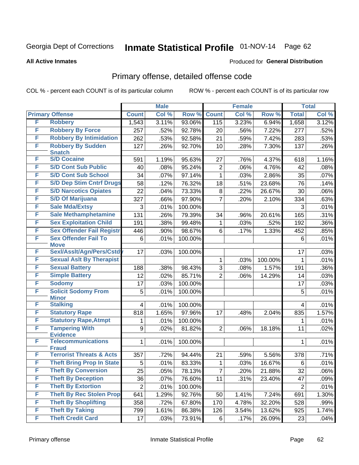# Inmate Statistical Profile 01-NOV-14 Page 62

#### **All Active Inmates**

#### **Produced for General Distribution**

## Primary offense, detailed offense code

COL % - percent each COUNT is of its particular column

|   |                                     | <b>Male</b>      |       |         | <b>Female</b>  | <b>Total</b> |         |                |       |
|---|-------------------------------------|------------------|-------|---------|----------------|--------------|---------|----------------|-------|
|   | <b>Primary Offense</b>              | <b>Count</b>     | Col % | Row %   | <b>Count</b>   | Col %        | Row %   | <b>Total</b>   | Col % |
| F | <b>Robbery</b>                      | 1,543            | 3.11% | 93.06%  | 115            | 3.23%        | 6.94%   | 1,658          | 3.12% |
| F | <b>Robbery By Force</b>             | 257              | .52%  | 92.78%  | 20             | .56%         | 7.22%   | 277            | .52%  |
| F | <b>Robbery By Intimidation</b>      | 262              | .53%  | 92.58%  | 21             | .59%         | 7.42%   | 283            | .53%  |
| F | <b>Robbery By Sudden</b>            | 127              | .26%  | 92.70%  | 10             | .28%         | 7.30%   | 137            | .26%  |
|   | <b>Snatch</b>                       |                  |       |         |                |              |         |                |       |
| F | <b>S/D Cocaine</b>                  | 591              | 1.19% | 95.63%  | 27             | .76%         | 4.37%   | 618            | 1.16% |
| F | <b>S/D Cont Sub Public</b>          | 40               | .08%  | 95.24%  | $\overline{2}$ | .06%         | 4.76%   | 42             | .08%  |
| F | <b>S/D Cont Sub School</b>          | 34               | .07%  | 97.14%  | $\mathbf{1}$   | .03%         | 2.86%   | 35             | .07%  |
| F | <b>S/D Dep Stim Cntrf Drugs</b>     | 58               | .12%  | 76.32%  | 18             | .51%         | 23.68%  | 76             | .14%  |
| F | <b>S/D Narcotics Opiates</b>        | 22               | .04%  | 73.33%  | 8              | .22%         | 26.67%  | 30             | .06%  |
| F | <b>S/D Of Marijuana</b>             | 327              | .66%  | 97.90%  | $\overline{7}$ | .20%         | 2.10%   | 334            | .63%  |
| F | <b>Sale Mda/Extsy</b>               | 3                | .01%  | 100.00% |                |              |         | 3              | .01%  |
| F | <b>Sale Methamphetamine</b>         | 131              | .26%  | 79.39%  | 34             | .96%         | 20.61%  | 165            | .31%  |
| F | <b>Sex Exploitation Child</b>       | 191              | .38%  | 99.48%  | 1              | .03%         | .52%    | 192            | .36%  |
| F | <b>Sex Offender Fail Registr</b>    | 446              | .90%  | 98.67%  | 6              | .17%         | 1.33%   | 452            | .85%  |
| F | <b>Sex Offender Fail To</b>         | 6                | .01%  | 100.00% |                |              |         | 6              | .01%  |
|   | <b>Move</b>                         |                  |       |         |                |              |         |                |       |
| F | Sexl/Asslt/Agn/Pers/Cstd            | 17               | .03%  | 100.00% |                |              |         | 17             | .03%  |
| F | <b>Sexual Aslt By Therapist</b>     |                  |       |         | 1              | .03%         | 100.00% | $\mathbf{1}$   | .01%  |
| F | <b>Sexual Battery</b>               | 188              | .38%  | 98.43%  | 3              | .08%         | 1.57%   | 191            | .36%  |
| F | <b>Simple Battery</b>               | 12               | .02%  | 85.71%  | $\overline{2}$ | .06%         | 14.29%  | 14             | .03%  |
| F | <b>Sodomy</b>                       | 17               | .03%  | 100.00% |                |              |         | 17             | .03%  |
| F | <b>Solicit Sodomy From</b>          | 5                | .01%  | 100.00% |                |              |         | 5              | .01%  |
| F | <b>Minor</b><br><b>Stalking</b>     | $\overline{4}$   | .01%  | 100.00% |                |              |         | $\overline{4}$ | .01%  |
| F | <b>Statutory Rape</b>               | 818              | 1.65% | 97.96%  | 17             | .48%         | 2.04%   | 835            | 1.57% |
| F | <b>Statutory Rape, Atmpt</b>        |                  | .01%  | 100.00% |                |              |         | 1              | .01%  |
| F | <b>Tampering With</b>               | 1                | .02%  | 81.82%  | $\overline{2}$ | .06%         | 18.18%  | 11             | .02%  |
|   | <b>Evidence</b>                     | 9                |       |         |                |              |         |                |       |
| F | <b>Telecommunications</b>           | 1                | .01%  | 100.00% |                |              |         | 1              | .01%  |
|   | <b>Fraud</b>                        |                  |       |         |                |              |         |                |       |
| F | <b>Terrorist Threats &amp; Acts</b> | 357              | .72%  | 94.44%  | 21             | .59%         | 5.56%   | 378            | .71%  |
| F | <b>Theft Bring Prop In State</b>    | 5                | .01%  | 83.33%  | 1              | .03%         | 16.67%  | 6              | .01%  |
| F | <b>Theft By Conversion</b>          | 25               | .05%  | 78.13%  | 7              | .20%         | 21.88%  | 32             | .06%  |
| F | <b>Theft By Deception</b>           | 36               | .07%  | 76.60%  | 11             | .31%         | 23.40%  | 47             | .09%  |
| F | <b>Theft By Extortion</b>           | $\boldsymbol{2}$ | .01%  | 100.00% |                |              |         | $\overline{2}$ | .01%  |
| F | <b>Theft By Rec Stolen Prop</b>     | 641              | 1.29% | 92.76%  | 50             | 1.41%        | 7.24%   | 691            | 1.30% |
| F | <b>Theft By Shoplifting</b>         | 358              | .72%  | 67.80%  | 170            | 4.78%        | 32.20%  | 528            | .99%  |
| F | <b>Theft By Taking</b>              | 799              | 1.61% | 86.38%  | 126            | 3.54%        | 13.62%  | 925            | 1.74% |
| F | <b>Theft Credit Card</b>            | 17               | .03%  | 73.91%  | 6              | .17%         | 26.09%  | 23             | .04%  |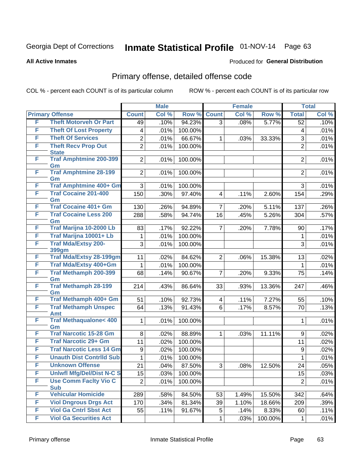# Inmate Statistical Profile 01-NOV-14 Page 63

#### **All Active Inmates**

#### **Produced for General Distribution**

## Primary offense, detailed offense code

COL % - percent each COUNT is of its particular column

|   |                                               |                | <b>Male</b> |         |                         | <b>Female</b> |         |                 | <b>Total</b> |
|---|-----------------------------------------------|----------------|-------------|---------|-------------------------|---------------|---------|-----------------|--------------|
|   | <b>Primary Offense</b>                        | <b>Count</b>   | Col %       | Row %   | <b>Count</b>            | Col %         | Row %   | <b>Total</b>    | Col %        |
| F | <b>Theft Motorveh Or Part</b>                 | 49             | .10%        | 94.23%  | $\overline{3}$          | .08%          | 5.77%   | $\overline{52}$ | .10%         |
| F | <b>Theft Of Lost Property</b>                 | 4              | .01%        | 100.00% |                         |               |         | 4               | .01%         |
| F | <b>Theft Of Services</b>                      | $\mathbf 2$    | .01%        | 66.67%  | 1                       | .03%          | 33.33%  | 3               | .01%         |
| F | <b>Theft Recv Prop Out</b>                    | $\overline{2}$ | .01%        | 100.00% |                         |               |         | $\overline{2}$  | .01%         |
| F | <b>State</b><br><b>Traf Amphtmine 200-399</b> |                |             |         |                         |               |         |                 |              |
|   | Gm                                            | $\overline{2}$ | .01%        | 100.00% |                         |               |         | $\overline{2}$  | .01%         |
| F | <b>Traf Amphtmine 28-199</b>                  | $\overline{2}$ | .01%        | 100.00% |                         |               |         | $\overline{2}$  | .01%         |
|   | Gm                                            |                |             |         |                         |               |         |                 |              |
| F | Traf Amphtmine 400+ Gm                        | 3              | .01%        | 100.00% |                         |               |         | 3               | .01%         |
| F | <b>Traf Cocaine 201-400</b>                   | 150            | .30%        | 97.40%  | $\overline{\mathbf{4}}$ | .11%          | 2.60%   | 154             | .29%         |
| F | Gm<br><b>Traf Cocaine 401+ Gm</b>             | 130            | .26%        | 94.89%  | $\overline{7}$          | .20%          | 5.11%   | 137             | .26%         |
| F | <b>Traf Cocaine Less 200</b>                  | 288            | .58%        | 94.74%  | 16                      | .45%          | 5.26%   | 304             | .57%         |
|   | Gm                                            |                |             |         |                         |               |         |                 |              |
| F | Traf Marijna 10-2000 Lb                       | 83             | .17%        | 92.22%  | $\overline{7}$          | .20%          | 7.78%   | 90              | .17%         |
| F | Traf Marijna 10001+ Lb                        | 1              | .01%        | 100.00% |                         |               |         | 1               | .01%         |
| F | <b>Traf Mda/Extsy 200-</b>                    | 3              | .01%        | 100.00% |                         |               |         | 3               | .01%         |
|   | <b>399gm</b>                                  |                |             |         |                         |               |         |                 |              |
| F | <b>Traf Mda/Extsy 28-199gm</b>                | 11             | .02%        | 84.62%  | $\overline{2}$          | .06%          | 15.38%  | 13              | .02%         |
| F | Traf Mda/Extsy 400+Gm                         | 1              | .01%        | 100.00% |                         |               |         | 1               | .01%         |
| F | <b>Traf Methamph 200-399</b><br>Gm            | 68             | .14%        | 90.67%  | $\overline{7}$          | .20%          | 9.33%   | 75              | .14%         |
| F | <b>Traf Methamph 28-199</b>                   | 214            | .43%        | 86.64%  | 33                      | .93%          | 13.36%  | 247             | .46%         |
|   | Gm                                            |                |             |         |                         |               |         |                 |              |
| F | Traf Methamph 400+ Gm                         | 51             | .10%        | 92.73%  | $\overline{\mathbf{4}}$ | .11%          | 7.27%   | 55              | .10%         |
| F | <b>Traf Methamph Unspec</b>                   | 64             | .13%        | 91.43%  | 6                       | .17%          | 8.57%   | 70              | .13%         |
| F | Amt<br><b>Traf Methaqualone&lt; 400</b>       | 1              |             | 100.00% |                         |               |         | $\mathbf{1}$    | .01%         |
|   | Gm                                            |                | .01%        |         |                         |               |         |                 |              |
| F | <b>Traf Narcotic 15-28 Gm</b>                 | 8              | .02%        | 88.89%  | 1                       | .03%          | 11.11%  | 9               | .02%         |
| F | <b>Traf Narcotic 29+ Gm</b>                   | 11             | .02%        | 100.00% |                         |               |         | 11              | .02%         |
| F | <b>Traf Narcotic Less 14 Gm</b>               | 9              | .02%        | 100.00% |                         |               |         | 9               | .02%         |
| F | <b>Unauth Dist Contrild Sub</b>               | 1              | .01%        | 100.00% |                         |               |         | 1               | .01%         |
| F | <b>Unknown Offense</b>                        | 21             | .04%        | 87.50%  | 3                       | .08%          | 12.50%  | 24              | .05%         |
| F | <b>Uniwfl Mfg/Del/Dist N-C S</b>              | 15             | .03%        | 100.00% |                         |               |         | 15              | .03%         |
| F | <b>Use Comm Facity Vio C</b>                  | $\overline{2}$ | .01%        | 100.00% |                         |               |         | $\overline{2}$  | .01%         |
|   | <b>Sub</b>                                    |                |             |         |                         |               |         |                 |              |
| F | <b>Vehicular Homicide</b>                     | 289            | .58%        | 84.50%  | 53                      | 1.49%         | 15.50%  | 342             | .64%         |
| F | <b>Viol Dngrous Drgs Act</b>                  | 170            | .34%        | 81.34%  | 39                      | 1.10%         | 18.66%  | 209             | .39%         |
| F | <b>Viol Ga Cntrl Sbst Act</b>                 | 55             | .11%        | 91.67%  | 5                       | .14%          | 8.33%   | 60              | .11%         |
| F | <b>Viol Ga Securities Act</b>                 |                |             |         | 1                       | .03%          | 100.00% | $\mathbf 1$     | .01%         |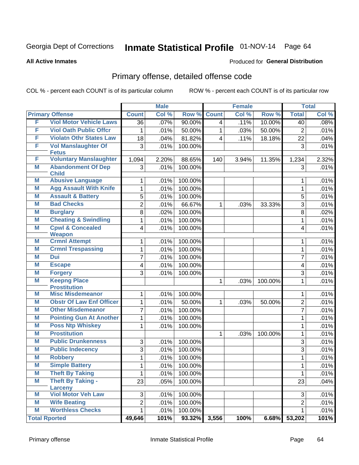# Inmate Statistical Profile 01-NOV-14 Page 64

#### **All Active Inmates**

#### **Produced for General Distribution**

## Primary offense, detailed offense code

COL % - percent each COUNT is of its particular column

|   |                                               | <b>Male</b>    |       |           |                | <b>Female</b> | <b>Total</b> |                |       |
|---|-----------------------------------------------|----------------|-------|-----------|----------------|---------------|--------------|----------------|-------|
|   | <b>Primary Offense</b>                        | <b>Count</b>   | Col % | Row %     | <b>Count</b>   | Col %         | Row %        | <b>Total</b>   | Col % |
| F | <b>Viol Motor Vehicle Laws</b>                | 36             | .07%  | $90.00\%$ | $\overline{4}$ | .11%          | 10.00%       | 40             | .08%  |
| F | <b>Viol Oath Public Offcr</b>                 | 1              | .01%  | 50.00%    | 1              | .03%          | 50.00%       | $\overline{2}$ | .01%  |
| F | <b>Violatn Othr States Law</b>                | 18             | .04%  | 81.82%    | 4              | .11%          | 18.18%       | 22             | .04%  |
| F | <b>Vol Manslaughter Of</b>                    | 3              | .01%  | 100.00%   |                |               |              | 3              | .01%  |
| F | <b>Fetus</b><br><b>Voluntary Manslaughter</b> | 1,094          | 2.20% | 88.65%    | 140            | 3.94%         | 11.35%       | 1,234          | 2.32% |
| M | <b>Abandonment Of Dep</b>                     | 3              | .01%  | 100.00%   |                |               |              | 3              | .01%  |
|   | <b>Child</b>                                  |                |       |           |                |               |              |                |       |
| М | <b>Abusive Language</b>                       | 1              | .01%  | 100.00%   |                |               |              | 1              | .01%  |
| M | <b>Agg Assault With Knife</b>                 | 1              | .01%  | 100.00%   |                |               |              | 1              | .01%  |
| M | <b>Assault &amp; Battery</b>                  | 5              | .01%  | 100.00%   |                |               |              | 5              | .01%  |
| M | <b>Bad Checks</b>                             | $\overline{2}$ | .01%  | 66.67%    | 1              | .03%          | 33.33%       | 3              | .01%  |
| Μ | <b>Burglary</b>                               | 8              | .02%  | 100.00%   |                |               |              | 8              | .02%  |
| M | <b>Cheating &amp; Swindling</b>               | 1              | .01%  | 100.00%   |                |               |              | 1              | .01%  |
| M | <b>Cpwl &amp; Concealed</b><br><b>Weapon</b>  | 4              | .01%  | 100.00%   |                |               |              | 4              | .01%  |
| M | <b>Crmnl Attempt</b>                          | 1              | .01%  | 100.00%   |                |               |              | 1              | .01%  |
| M | <b>Crmnl Trespassing</b>                      | 1              | .01%  | 100.00%   |                |               |              | 1              | .01%  |
| M | <b>Dui</b>                                    | 7              | .01%  | 100.00%   |                |               |              | $\overline{7}$ | .01%  |
| M | <b>Escape</b>                                 | 4              | .01%  | 100.00%   |                |               |              | 4              | .01%  |
| M | <b>Forgery</b>                                | 3              | .01%  | 100.00%   |                |               |              | 3              | .01%  |
| M | <b>Keepng Place</b>                           |                |       |           | 1              | .03%          | 100.00%      | 1              | .01%  |
|   | <b>Prostitution</b>                           |                |       |           |                |               |              |                |       |
| M | <b>Misc Misdemeanor</b>                       | 1              | .01%  | 100.00%   |                |               |              | 1              | .01%  |
| M | <b>Obstr Of Law Enf Officer</b>               | 1              | .01%  | 50.00%    | 1              | .03%          | 50.00%       | $\overline{2}$ | .01%  |
| M | <b>Other Misdemeanor</b>                      | 7              | .01%  | 100.00%   |                |               |              | $\overline{7}$ | .01%  |
| Μ | <b>Pointing Gun At Another</b>                | 1              | .01%  | 100.00%   |                |               |              | 1              | .01%  |
| M | <b>Poss Ntp Whiskey</b>                       | 1              | .01%  | 100.00%   |                |               |              | 1              | .01%  |
| Μ | <b>Prostitution</b>                           |                |       |           | 1              | .03%          | 100.00%      | 1              | .01%  |
| M | <b>Public Drunkenness</b>                     | 3              | .01%  | 100.00%   |                |               |              | 3              | .01%  |
| Μ | <b>Public Indecency</b>                       | 3              | .01%  | 100.00%   |                |               |              | 3              | .01%  |
| M | <b>Robbery</b>                                | 1              | .01%  | 100.00%   |                |               |              | 1              | .01%  |
| M | <b>Simple Battery</b>                         | $\mathbf 1$    | .01%  | 100.00%   |                |               |              | $\mathbf{1}$   | .01%  |
| M | <b>Theft By Taking</b>                        | 1              | .01%  | 100.00%   |                |               |              | 1              | .01%  |
| M | <b>Theft By Taking -</b><br>Larceny           | 23             | .05%  | 100.00%   |                |               |              | 23             | .04%  |
| M | <b>Viol Motor Veh Law</b>                     | 3              | .01%  | 100.00%   |                |               |              | 3              | .01%  |
| Μ | <b>Wife Beating</b>                           | $\overline{2}$ | .01%  | 100.00%   |                |               |              | 2              | .01%  |
| M | <b>Worthless Checks</b>                       | 1              | .01%  | 100.00%   |                |               |              | $\mathbf 1$    | .01%  |
|   | <b>Total Rported</b>                          | 49,646         | 101%  | 93.32%    | 3,556          | 100%          | 6.68%        | 53,202         | 101%  |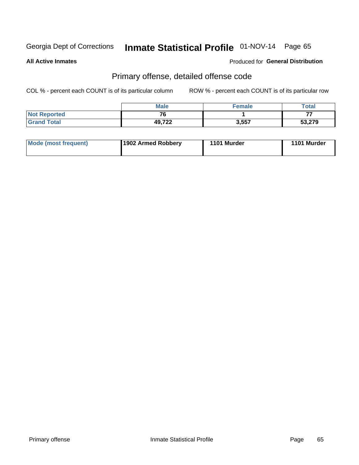# Inmate Statistical Profile 01-NOV-14 Page 65

**All Active Inmates** 

#### **Produced for General Distribution**

## Primary offense, detailed offense code

COL % - percent each COUNT is of its particular column

|                     | <b>Male</b>  | <b>Female</b> | Total  |
|---------------------|--------------|---------------|--------|
| <b>Not Reported</b> | $\mathbf{z}$ |               | --     |
| <b>Grand Total</b>  | 49,722       | 3,557         | 53,279 |

| <b>Mode (most frequent)</b> | 1902 Armed Robbery | 1101 Murder | 1101 Murder |
|-----------------------------|--------------------|-------------|-------------|
|                             |                    |             |             |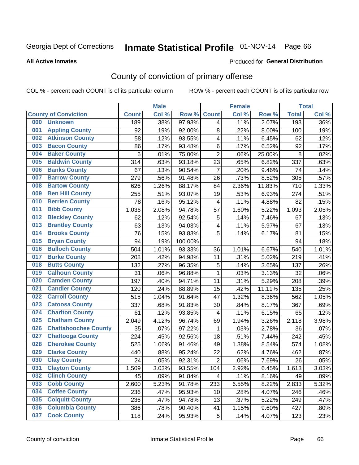# Inmate Statistical Profile 01-NOV-14 Page 66

#### **All Active Inmates**

#### Produced for General Distribution

## County of conviction of primary offense

COL % - percent each COUNT is of its particular column

|     |                             |              | <b>Male</b> |         | <b>Female</b>           |       |        | <b>Total</b> |       |
|-----|-----------------------------|--------------|-------------|---------|-------------------------|-------|--------|--------------|-------|
|     | <b>County of Conviction</b> | <b>Count</b> | Col %       | Row %   | <b>Count</b>            | Col % | Row %  | <b>Total</b> | Col % |
| 000 | <b>Unknown</b>              | 189          | .38%        | 97.93%  | 4                       | .11%  | 2.07%  | 193          | .36%  |
| 001 | <b>Appling County</b>       | 92           | .19%        | 92.00%  | 8                       | .22%  | 8.00%  | 100          | .19%  |
| 002 | <b>Atkinson County</b>      | 58           | .12%        | 93.55%  | 4                       | .11%  | 6.45%  | 62           | .12%  |
| 003 | <b>Bacon County</b>         | 86           | .17%        | 93.48%  | 6                       | .17%  | 6.52%  | 92           | .17%  |
| 004 | <b>Baker County</b>         | 6            | .01%        | 75.00%  | $\overline{2}$          | .06%  | 25.00% | 8            | .02%  |
| 005 | <b>Baldwin County</b>       | 314          | .63%        | 93.18%  | 23                      | .65%  | 6.82%  | 337          | .63%  |
| 006 | <b>Banks County</b>         | 67           | .13%        | 90.54%  | $\overline{7}$          | .20%  | 9.46%  | 74           | .14%  |
| 007 | <b>Barrow County</b>        | 279          | .56%        | 91.48%  | 26                      | .73%  | 8.52%  | 305          | .57%  |
| 008 | <b>Bartow County</b>        | 626          | 1.26%       | 88.17%  | 84                      | 2.36% | 11.83% | 710          | 1.33% |
| 009 | <b>Ben Hill County</b>      | 255          | .51%        | 93.07%  | 19                      | .53%  | 6.93%  | 274          | .51%  |
| 010 | <b>Berrien County</b>       | 78           | .16%        | 95.12%  | $\overline{\mathbf{4}}$ | .11%  | 4.88%  | 82           | .15%  |
| 011 | <b>Bibb County</b>          | 1,036        | 2.08%       | 94.78%  | 57                      | 1.60% | 5.22%  | 1,093        | 2.05% |
| 012 | <b>Bleckley County</b>      | 62           | .12%        | 92.54%  | 5                       | .14%  | 7.46%  | 67           | .13%  |
| 013 | <b>Brantley County</b>      | 63           | .13%        | 94.03%  | 4                       | .11%  | 5.97%  | 67           | .13%  |
| 014 | <b>Brooks County</b>        | 76           | .15%        | 93.83%  | 5                       | .14%  | 6.17%  | 81           | .15%  |
| 015 | <b>Bryan County</b>         | 94           | .19%        | 100.00% |                         |       |        | 94           | .18%  |
| 016 | <b>Bulloch County</b>       | 504          | 1.01%       | 93.33%  | 36                      | 1.01% | 6.67%  | 540          | 1.01% |
| 017 | <b>Burke County</b>         | 208          | .42%        | 94.98%  | 11                      | .31%  | 5.02%  | 219          | .41%  |
| 018 | <b>Butts County</b>         | 132          | .27%        | 96.35%  | $\mathbf 5$             | .14%  | 3.65%  | 137          | .26%  |
| 019 | <b>Calhoun County</b>       | 31           | .06%        | 96.88%  | $\mathbf{1}$            | .03%  | 3.13%  | 32           | .06%  |
| 020 | <b>Camden County</b>        | 197          | .40%        | 94.71%  | 11                      | .31%  | 5.29%  | 208          | .39%  |
| 021 | <b>Candler County</b>       | 120          | .24%        | 88.89%  | 15                      | .42%  | 11.11% | 135          | .25%  |
| 022 | <b>Carroll County</b>       | 515          | 1.04%       | 91.64%  | 47                      | 1.32% | 8.36%  | 562          | 1.05% |
| 023 | <b>Catoosa County</b>       | 337          | .68%        | 91.83%  | 30                      | .84%  | 8.17%  | 367          | .69%  |
| 024 | <b>Charlton County</b>      | 61           | .12%        | 93.85%  | $\overline{\mathbf{4}}$ | .11%  | 6.15%  | 65           | .12%  |
| 025 | <b>Chatham County</b>       | 2,049        | 4.12%       | 96.74%  | 69                      | 1.94% | 3.26%  | 2,118        | 3.98% |
| 026 | <b>Chattahoochee County</b> | 35           | .07%        | 97.22%  | 1                       | .03%  | 2.78%  | 36           | .07%  |
| 027 | <b>Chattooga County</b>     | 224          | .45%        | 92.56%  | 18                      | .51%  | 7.44%  | 242          | .45%  |
| 028 | <b>Cherokee County</b>      | 525          | 1.06%       | 91.46%  | 49                      | 1.38% | 8.54%  | 574          | 1.08% |
| 029 | <b>Clarke County</b>        | 440          | .88%        | 95.24%  | 22                      | .62%  | 4.76%  | 462          | .87%  |
| 030 | <b>Clay County</b>          | 24           | .05%        | 92.31%  | $\overline{2}$          | .06%  | 7.69%  | 26           | .05%  |
| 031 | <b>Clayton County</b>       | 1,509        | 3.03%       | 93.55%  | 104                     | 2.92% | 6.45%  | 1,613        | 3.03% |
| 032 | <b>Clinch County</b>        | 45           | .09%        | 91.84%  | 4                       | .11%  | 8.16%  | 49           | .09%  |
| 033 | <b>Cobb County</b>          | 2,600        | 5.23%       | 91.78%  | 233                     | 6.55% | 8.22%  | 2,833        | 5.32% |
| 034 | <b>Coffee County</b>        | 236          | .47%        | 95.93%  | 10                      | .28%  | 4.07%  | 246          | .46%  |
| 035 | <b>Colquitt County</b>      | 236          | .47%        | 94.78%  | 13                      | .37%  | 5.22%  | 249          | .47%  |
| 036 | <b>Columbia County</b>      | 386          | .78%        | 90.40%  | 41                      | 1.15% | 9.60%  | 427          | .80%  |
| 037 | <b>Cook County</b>          | 118          | .24%        | 95.93%  | 5                       | .14%  | 4.07%  | 123          | .23%  |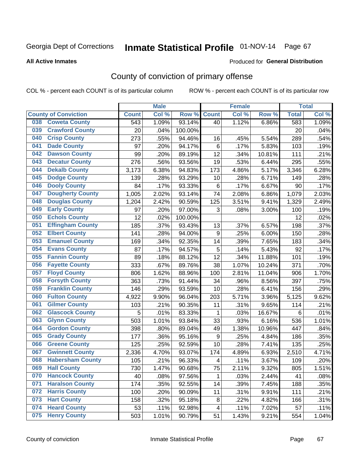# Inmate Statistical Profile 01-NOV-14 Page 67

#### **All Active Inmates**

#### Produced for General Distribution

## County of conviction of primary offense

COL % - percent each COUNT is of its particular column

|                             |                         |              | <b>Male</b> |         | <b>Female</b>    |       |        | <b>Total</b> |       |
|-----------------------------|-------------------------|--------------|-------------|---------|------------------|-------|--------|--------------|-------|
| <b>County of Conviction</b> |                         | <b>Count</b> | Col %       | Row %   | <b>Count</b>     | Col % | Row %  | <b>Total</b> | Col % |
| 038                         | <b>Coweta County</b>    | 543          | 1.09%       | 93.14%  | 40               | 1.12% | 6.86%  | 583          | 1.09% |
| 039                         | <b>Crawford County</b>  | 20           | .04%        | 100.00% |                  |       |        | 20           | .04%  |
| 040                         | <b>Crisp County</b>     | 273          | .55%        | 94.46%  | 16               | .45%  | 5.54%  | 289          | .54%  |
| 041                         | <b>Dade County</b>      | 97           | .20%        | 94.17%  | 6                | .17%  | 5.83%  | 103          | .19%  |
| 042                         | <b>Dawson County</b>    | 99           | .20%        | 89.19%  | 12               | .34%  | 10.81% | 111          | .21%  |
| 043                         | <b>Decatur County</b>   | 276          | .56%        | 93.56%  | 19               | .53%  | 6.44%  | 295          | .55%  |
| 044                         | <b>Dekalb County</b>    | 3,173        | 6.38%       | 94.83%  | 173              | 4.86% | 5.17%  | 3,346        | 6.28% |
| 045                         | <b>Dodge County</b>     | 139          | .28%        | 93.29%  | 10               | .28%  | 6.71%  | 149          | .28%  |
| 046                         | <b>Dooly County</b>     | 84           | .17%        | 93.33%  | 6                | .17%  | 6.67%  | 90           | .17%  |
| 047                         | <b>Dougherty County</b> | 1,005        | 2.02%       | 93.14%  | 74               | 2.08% | 6.86%  | 1,079        | 2.03% |
| 048                         | <b>Douglas County</b>   | 1,204        | 2.42%       | 90.59%  | 125              | 3.51% | 9.41%  | 1,329        | 2.49% |
| 049                         | <b>Early County</b>     | 97           | .20%        | 97.00%  | 3                | .08%  | 3.00%  | 100          | .19%  |
| 050                         | <b>Echols County</b>    | 12           | .02%        | 100.00% |                  |       |        | 12           | .02%  |
| 051                         | <b>Effingham County</b> | 185          | .37%        | 93.43%  | 13               | .37%  | 6.57%  | 198          | .37%  |
| 052                         | <b>Elbert County</b>    | 141          | .28%        | 94.00%  | $\boldsymbol{9}$ | .25%  | 6.00%  | 150          | .28%  |
| 053                         | <b>Emanuel County</b>   | 169          | .34%        | 92.35%  | 14               | .39%  | 7.65%  | 183          | .34%  |
| 054                         | <b>Evans County</b>     | 87           | .17%        | 94.57%  | 5                | .14%  | 5.43%  | 92           | .17%  |
| 055                         | <b>Fannin County</b>    | 89           | .18%        | 88.12%  | 12               | .34%  | 11.88% | 101          | .19%  |
| 056                         | <b>Fayette County</b>   | 333          | .67%        | 89.76%  | 38               | 1.07% | 10.24% | 371          | .70%  |
| 057                         | <b>Floyd County</b>     | 806          | 1.62%       | 88.96%  | 100              | 2.81% | 11.04% | 906          | 1.70% |
| 058                         | <b>Forsyth County</b>   | 363          | .73%        | 91.44%  | 34               | .96%  | 8.56%  | 397          | .75%  |
| 059                         | <b>Franklin County</b>  | 146          | .29%        | 93.59%  | 10               | .28%  | 6.41%  | 156          | .29%  |
| 060                         | <b>Fulton County</b>    | 4,922        | 9.90%       | 96.04%  | 203              | 5.71% | 3.96%  | 5,125        | 9.62% |
| 061                         | <b>Gilmer County</b>    | 103          | .21%        | 90.35%  | 11               | .31%  | 9.65%  | 114          | .21%  |
| 062                         | <b>Glascock County</b>  | 5            | .01%        | 83.33%  | 1                | .03%  | 16.67% | 6            | .01%  |
| 063                         | <b>Glynn County</b>     | 503          | 1.01%       | 93.84%  | 33               | .93%  | 6.16%  | 536          | 1.01% |
| 064                         | <b>Gordon County</b>    | 398          | .80%        | 89.04%  | 49               | 1.38% | 10.96% | 447          | .84%  |
| 065                         | <b>Grady County</b>     | 177          | .36%        | 95.16%  | 9                | .25%  | 4.84%  | 186          | .35%  |
| 066                         | <b>Greene County</b>    | 125          | .25%        | 92.59%  | 10               | .28%  | 7.41%  | 135          | .25%  |
| 067                         | <b>Gwinnett County</b>  | 2,336        | 4.70%       | 93.07%  | 174              | 4.89% | 6.93%  | 2,510        | 4.71% |
| 068                         | <b>Habersham County</b> | 105          | .21%        | 96.33%  | 4                | .11%  | 3.67%  | 109          | .20%  |
| 069                         | <b>Hall County</b>      | 730          | 1.47%       | 90.68%  | 75               | 2.11% | 9.32%  | 805          | 1.51% |
| 070                         | <b>Hancock County</b>   | 40           | .08%        | 97.56%  | 1                | .03%  | 2.44%  | 41           | .08%  |
| 071                         | <b>Haralson County</b>  | 174          | .35%        | 92.55%  | 14               | .39%  | 7.45%  | 188          | .35%  |
| 072                         | <b>Harris County</b>    | 100          | .20%        | 90.09%  | 11               | .31%  | 9.91%  | 111          | .21%  |
| 073                         | <b>Hart County</b>      | 158          | .32%        | 95.18%  | 8                | .22%  | 4.82%  | 166          | .31%  |
| 074                         | <b>Heard County</b>     | 53           | .11%        | 92.98%  | 4                | .11%  | 7.02%  | 57           | .11%  |
| 075                         | <b>Henry County</b>     | 503          | 1.01%       | 90.79%  | 51               | 1.43% | 9.21%  | 554          | 1.04% |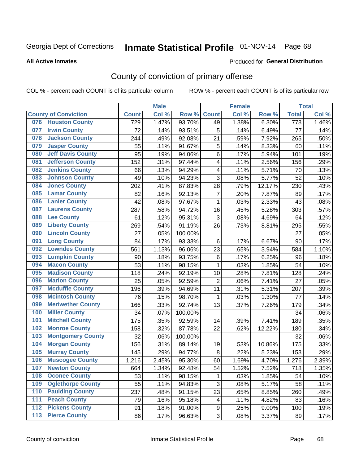# Inmate Statistical Profile 01-NOV-14 Page 68

#### **All Active Inmates**

#### Produced for General Distribution

## County of conviction of primary offense

COL % - percent each COUNT is of its particular column

|     |                             |              | <b>Male</b> |         |                         | <b>Female</b> |          |                    | <b>Total</b> |
|-----|-----------------------------|--------------|-------------|---------|-------------------------|---------------|----------|--------------------|--------------|
|     | <b>County of Conviction</b> | <b>Count</b> | Col %       | Row %   | <b>Count</b>            | Col %         | Row %    | <b>Total</b>       | Col %        |
| 076 | <b>Houston County</b>       | 729          | 1.47%       | 93.70%  | 49                      | 1.38%         | 6.30%    | 778                | 1.46%        |
| 077 | <b>Irwin County</b>         | 72           | .14%        | 93.51%  | 5                       | .14%          | 6.49%    | 77                 | .14%         |
| 078 | <b>Jackson County</b>       | 244          | .49%        | 92.08%  | 21                      | .59%          | 7.92%    | 265                | .50%         |
| 079 | <b>Jasper County</b>        | 55           | .11%        | 91.67%  | 5                       | .14%          | 8.33%    | 60                 | .11%         |
| 080 | <b>Jeff Davis County</b>    | 95           | .19%        | 94.06%  | 6                       | .17%          | 5.94%    | 101                | .19%         |
| 081 | <b>Jefferson County</b>     | 152          | .31%        | 97.44%  | 4                       | .11%          | 2.56%    | 156                | .29%         |
| 082 | <b>Jenkins County</b>       | 66           | .13%        | 94.29%  | $\overline{\mathbf{4}}$ | .11%          | 5.71%    | 70                 | .13%         |
| 083 | <b>Johnson County</b>       | 49           | .10%        | 94.23%  | 3                       | .08%          | 5.77%    | 52                 | .10%         |
| 084 | <b>Jones County</b>         | 202          | .41%        | 87.83%  | 28                      | .79%          | 12.17%   | 230                | .43%         |
| 085 | <b>Lamar County</b>         | 82           | .16%        | 92.13%  | $\overline{7}$          | .20%          | 7.87%    | 89                 | .17%         |
| 086 | <b>Lanier County</b>        | 42           | .08%        | 97.67%  | 1                       | .03%          | 2.33%    | 43                 | .08%         |
| 087 | <b>Laurens County</b>       | 287          | .58%        | 94.72%  | 16                      | .45%          | 5.28%    | 303                | .57%         |
| 088 | <b>Lee County</b>           | 61           | .12%        | 95.31%  | 3                       | .08%          | 4.69%    | 64                 | .12%         |
| 089 | <b>Liberty County</b>       | 269          | .54%        | 91.19%  | 26                      | .73%          | 8.81%    | 295                | .55%         |
| 090 | <b>Lincoln County</b>       | 27           | .05%        | 100.00% |                         |               |          | 27                 | .05%         |
| 091 | <b>Long County</b>          | 84           | .17%        | 93.33%  | 6                       | .17%          | 6.67%    | 90                 | .17%         |
| 092 | <b>Lowndes County</b>       | 561          | 1.13%       | 96.06%  | 23                      | .65%          | 3.94%    | 584                | 1.10%        |
| 093 | <b>Lumpkin County</b>       | 90           | .18%        | 93.75%  | $\,6$                   | .17%          | 6.25%    | 96                 | .18%         |
| 094 | <b>Macon County</b>         | 53           | .11%        | 98.15%  | $\mathbf{1}$            | .03%          | 1.85%    | 54                 | .10%         |
| 095 | <b>Madison County</b>       | 118          | .24%        | 92.19%  | 10                      | .28%          | 7.81%    | 128                | .24%         |
| 096 | <b>Marion County</b>        | 25           | .05%        | 92.59%  | $\overline{2}$          | .06%          | 7.41%    | 27                 | .05%         |
| 097 | <b>Mcduffie County</b>      | 196          | .39%        | 94.69%  | 11                      | .31%          | 5.31%    | 207                | .39%         |
| 098 | <b>Mcintosh County</b>      | 76           | .15%        | 98.70%  | 1                       | .03%          | 1.30%    | 77                 | .14%         |
| 099 | <b>Meriwether County</b>    | 166          | .33%        | 92.74%  | 13                      | .37%          | 7.26%    | 179                | .34%         |
| 100 | <b>Miller County</b>        | 34           | .07%        | 100.00% |                         |               |          | 34                 | .06%         |
| 101 | <b>Mitchell County</b>      | 175          | .35%        | 92.59%  | 14                      | .39%          | 7.41%    | 189                | .35%         |
| 102 | <b>Monroe County</b>        | 158          | .32%        | 87.78%  | 22                      | .62%          | 12.22%   | 180                | .34%         |
| 103 | <b>Montgomery County</b>    | 32           | .06%        | 100.00% |                         |               |          | 32                 | .06%         |
| 104 | <b>Morgan County</b>        | 156          | .31%        | 89.14%  | 19                      | .53%          | 10.86%   | 175                | .33%         |
| 105 | <b>Murray County</b>        | 145          | .29%        | 94.77%  | $\,8\,$                 | .22%          | 5.23%    | 153                | .29%         |
| 106 | <b>Muscogee County</b>      | 1,216        | 2.45%       | 95.30%  | 60                      | 1.69%         | 4.70%    | $\overline{1,276}$ | 2.39%        |
| 107 | <b>Newton County</b>        | 664          | 1.34%       | 92.48%  | 54                      | 1.52%         | 7.52%    | 718                | 1.35%        |
| 108 | <b>Oconee County</b>        | 53           | .11%        | 98.15%  | 1                       | .03%          | 1.85%    | 54                 | .10%         |
| 109 | <b>Oglethorpe County</b>    | 55           | .11%        | 94.83%  | 3                       | .08%          | 5.17%    | 58                 | .11%         |
| 110 | <b>Paulding County</b>      | 237          | .48%        | 91.15%  | 23                      | .65%          | 8.85%    | 260                | .49%         |
| 111 | <b>Peach County</b>         | 79           | .16%        | 95.18%  | 4                       | .11%          | 4.82%    | 83                 | .16%         |
| 112 | <b>Pickens County</b>       | 91           | .18%        | 91.00%  | 9                       | .25%          | $9.00\%$ | 100                | .19%         |
| 113 | <b>Pierce County</b>        | 86           | .17%        | 96.63%  | 3                       | .08%          | 3.37%    | 89                 | .17%         |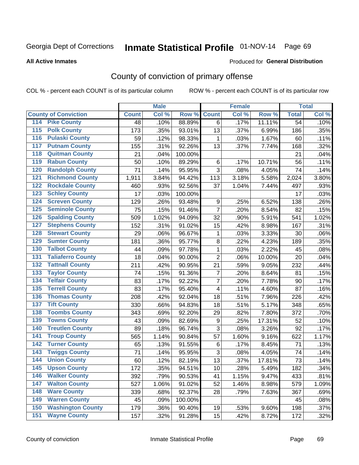# Inmate Statistical Profile 01-NOV-14 Page 69

**All Active Inmates** 

#### Produced for General Distribution

## County of conviction of primary offense

COL % - percent each COUNT is of its particular column

|                                        |              | <b>Male</b> |         |                | <b>Female</b> |        |                 | <b>Total</b> |
|----------------------------------------|--------------|-------------|---------|----------------|---------------|--------|-----------------|--------------|
| <b>County of Conviction</b>            | <b>Count</b> | Col %       | Row %   | <b>Count</b>   | Col %         | Row %  | <b>Total</b>    | Col %        |
| <b>Pike County</b><br>114              | 48           | .10%        | 88.89%  | 6              | .17%          | 11.11% | $\overline{54}$ | .10%         |
| <b>Polk County</b><br>$\overline{115}$ | 173          | .35%        | 93.01%  | 13             | .37%          | 6.99%  | 186             | .35%         |
| <b>Pulaski County</b><br>116           | 59           | .12%        | 98.33%  | 1              | .03%          | 1.67%  | 60              | .11%         |
| <b>Putnam County</b><br>117            | 155          | .31%        | 92.26%  | 13             | .37%          | 7.74%  | 168             | .32%         |
| 118<br><b>Quitman County</b>           | 21           | .04%        | 100.00% |                |               |        | 21              | .04%         |
| <b>Rabun County</b><br>119             | 50           | .10%        | 89.29%  | 6              | .17%          | 10.71% | 56              | .11%         |
| <b>Randolph County</b><br>120          | 71           | .14%        | 95.95%  | 3              | .08%          | 4.05%  | 74              | .14%         |
| <b>Richmond County</b><br>121          | 1,911        | 3.84%       | 94.42%  | 113            | 3.18%         | 5.58%  | 2,024           | 3.80%        |
| <b>Rockdale County</b><br>122          | 460          | .93%        | 92.56%  | 37             | 1.04%         | 7.44%  | 497             | .93%         |
| <b>Schley County</b><br>123            | 17           | .03%        | 100.00% |                |               |        | 17              | .03%         |
| <b>Screven County</b><br>124           | 129          | .26%        | 93.48%  | 9              | .25%          | 6.52%  | 138             | .26%         |
| <b>Seminole County</b><br>125          | 75           | .15%        | 91.46%  | $\overline{7}$ | .20%          | 8.54%  | 82              | .15%         |
| 126<br><b>Spalding County</b>          | 509          | 1.02%       | 94.09%  | 32             | .90%          | 5.91%  | 541             | 1.02%        |
| 127<br><b>Stephens County</b>          | 152          | .31%        | 91.02%  | 15             | .42%          | 8.98%  | 167             | .31%         |
| <b>Stewart County</b><br>128           | 29           | .06%        | 96.67%  | $\mathbf 1$    | .03%          | 3.33%  | 30              | .06%         |
| <b>Sumter County</b><br>129            | 181          | .36%        | 95.77%  | 8              | .22%          | 4.23%  | 189             | .35%         |
| <b>Talbot County</b><br>130            | 44           | .09%        | 97.78%  | $\mathbf{1}$   | .03%          | 2.22%  | 45              | .08%         |
| <b>Taliaferro County</b><br>131        | 18           | .04%        | 90.00%  | $\overline{2}$ | .06%          | 10.00% | 20              | .04%         |
| <b>Tattnall County</b><br>132          | 211          | .42%        | 90.95%  | 21             | .59%          | 9.05%  | 232             | .44%         |
| <b>Taylor County</b><br>133            | 74           | .15%        | 91.36%  | $\overline{7}$ | .20%          | 8.64%  | 81              | .15%         |
| <b>Telfair County</b><br>134           | 83           | .17%        | 92.22%  | $\overline{7}$ | .20%          | 7.78%  | 90              | .17%         |
| <b>Terrell County</b><br>135           | 83           | .17%        | 95.40%  | 4              | .11%          | 4.60%  | 87              | .16%         |
| <b>Thomas County</b><br>136            | 208          | .42%        | 92.04%  | 18             | .51%          | 7.96%  | 226             | .42%         |
| <b>Tift County</b><br>137              | 330          | .66%        | 94.83%  | 18             | .51%          | 5.17%  | 348             | .65%         |
| <b>Toombs County</b><br>138            | 343          | .69%        | 92.20%  | 29             | .82%          | 7.80%  | 372             | .70%         |
| <b>Towns County</b><br>139             | 43           | .09%        | 82.69%  | 9              | .25%          | 17.31% | 52              | .10%         |
| <b>Treutlen County</b><br>140          | 89           | .18%        | 96.74%  | 3              | .08%          | 3.26%  | 92              | .17%         |
| <b>Troup County</b><br>141             | 565          | 1.14%       | 90.84%  | 57             | 1.60%         | 9.16%  | 622             | 1.17%        |
| <b>Turner County</b><br>142            | 65           | .13%        | 91.55%  | 6              | .17%          | 8.45%  | 71              | .13%         |
| <b>Twiggs County</b><br>143            | 71           | .14%        | 95.95%  | 3              | .08%          | 4.05%  | 74              | .14%         |
| <b>Union County</b><br>144             | 60           | .12%        | 82.19%  | 13             | .37%          | 17.81% | 73              | .14%         |
| 145<br><b>Upson County</b>             | 172          | .35%        | 94.51%  | 10             | .28%          | 5.49%  | 182             | .34%         |
| <b>Walker County</b><br>146            | 392          | .79%        | 90.53%  | 41             | 1.15%         | 9.47%  | 433             | .81%         |
| <b>Walton County</b><br>147            | 527          | 1.06%       | 91.02%  | 52             | 1.46%         | 8.98%  | 579             | 1.09%        |
| <b>Ware County</b><br>148              | 339          | .68%        | 92.37%  | 28             | .79%          | 7.63%  | 367             | .69%         |
| <b>Warren County</b><br>149            | 45           | .09%        | 100.00% |                |               |        | 45              | .08%         |
| <b>Washington County</b><br>150        | 179          | .36%        | 90.40%  | 19             | .53%          | 9.60%  | 198             | .37%         |
| <b>Wayne County</b><br>151             | 157          | .32%        | 91.28%  | 15             | .42%          | 8.72%  | 172             | .32%         |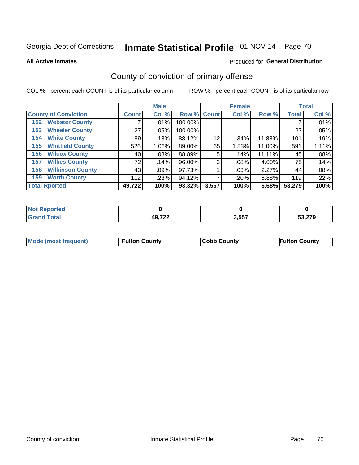# Inmate Statistical Profile 01-NOV-14 Page 70

**All Active Inmates** 

#### Produced for General Distribution

## County of conviction of primary offense

COL % - percent each COUNT is of its particular column

|                                |              | <b>Male</b> |             |       | <b>Female</b> |        |              | <b>Total</b> |
|--------------------------------|--------------|-------------|-------------|-------|---------------|--------|--------------|--------------|
| <b>County of Conviction</b>    | <b>Count</b> | Col %       | Row % Count |       | Col %         | Row %  | <b>Total</b> | Col %        |
| <b>Webster County</b><br>152   |              | $.01\%$     | 100.00%     |       |               |        |              | .01%         |
| <b>Wheeler County</b><br>153   | 27           | .05%        | 100.00%     |       |               |        | 27           | .05%         |
| <b>White County</b><br>154     | 89           | .18%        | 88.12%      | 12    | .34%          | 11.88% | 101          | .19%         |
| <b>Whitfield County</b><br>155 | 526          | $1.06\%$    | 89.00%      | 65    | 1.83%         | 11.00% | 591          | 1.11%        |
| <b>Wilcox County</b><br>156    | 40           | .08%        | 88.89%      | 5     | .14%          | 11.11% | 45           | .08%         |
| <b>Wilkes County</b><br>157    | 72           | .14%        | 96.00%      | 3     | $.08\%$       | 4.00%  | 75           | .14%         |
| <b>Wilkinson County</b><br>158 | 43           | .09%        | 97.73%      |       | .03%          | 2.27%  | 44           | .08%         |
| <b>Worth County</b><br>159     | 112          | .23%        | 94.12%      |       | .20%          | 5.88%  | 119          | .22%         |
| <b>Total Rported</b>           | 49,722       | 100%        | 93.32%      | 3,557 | 100%          | 6.68%  | 53,279       | 100%         |

| <b>Not Reported</b> |        |       |        |
|---------------------|--------|-------|--------|
| Total               | 49,722 | 3,557 | 53,279 |

| Mode (most frequent) | <b>Fulton County</b> | <b>Cobb County</b> | <b>Fulton County</b> |
|----------------------|----------------------|--------------------|----------------------|
|                      |                      |                    |                      |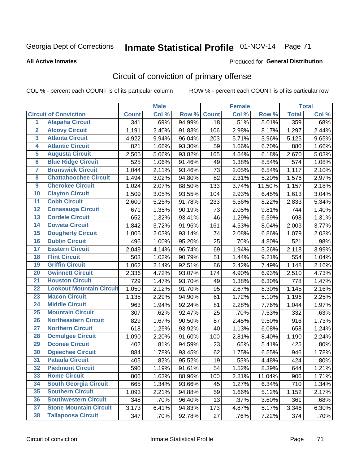# Inmate Statistical Profile 01-NOV-14 Page 71

#### **All Active Inmates**

#### Produced for General Distribution

## Circuit of conviction of primary offense

COL % - percent each COUNT is of its particular column

|                         |                                 |              | <b>Male</b> |        |              | <b>Female</b> |        |              | <b>Total</b> |
|-------------------------|---------------------------------|--------------|-------------|--------|--------------|---------------|--------|--------------|--------------|
|                         | <b>Circuit of Conviction</b>    | <b>Count</b> | Col %       | Row %  | <b>Count</b> | Col %         | Row %  | <b>Total</b> | Col %        |
| 1                       | <b>Alapaha Circuit</b>          | 341          | .69%        | 94.99% | 18           | .51%          | 5.01%  | 359          | .68%         |
| $\overline{2}$          | <b>Alcovy Circuit</b>           | 1,191        | 2.40%       | 91.83% | 106          | 2.98%         | 8.17%  | 1,297        | 2.44%        |
| $\overline{\mathbf{3}}$ | <b>Atlanta Circuit</b>          | 4,922        | 9.94%       | 96.04% | 203          | 5.71%         | 3.96%  | 5,125        | 9.65%        |
| 4                       | <b>Atlantic Circuit</b>         | 821          | 1.66%       | 93.30% | 59           | 1.66%         | 6.70%  | 880          | 1.66%        |
| 5                       | <b>Augusta Circuit</b>          | 2,505        | 5.06%       | 93.82% | 165          | 4.64%         | 6.18%  | 2,670        | 5.03%        |
| $\overline{\mathbf{6}}$ | <b>Blue Ridge Circuit</b>       | 525          | 1.06%       | 91.46% | 49           | 1.38%         | 8.54%  | 574          | 1.08%        |
| $\overline{\mathbf{7}}$ | <b>Brunswick Circuit</b>        | 1,044        | 2.11%       | 93.46% | 73           | 2.05%         | 6.54%  | 1,117        | 2.10%        |
| 8                       | <b>Chattahoochee Circuit</b>    | 1,494        | 3.02%       | 94.80% | 82           | 2.31%         | 5.20%  | 1,576        | 2.97%        |
| $\overline{9}$          | <b>Cherokee Circuit</b>         | 1,024        | 2.07%       | 88.50% | 133          | 3.74%         | 11.50% | 1,157        | 2.18%        |
| 10                      | <b>Clayton Circuit</b>          | 1,509        | 3.05%       | 93.55% | 104          | 2.93%         | 6.45%  | 1,613        | 3.04%        |
| $\overline{11}$         | <b>Cobb Circuit</b>             | 2,600        | 5.25%       | 91.78% | 233          | 6.56%         | 8.22%  | 2,833        | 5.34%        |
| $\overline{12}$         | <b>Conasauga Circuit</b>        | 671          | 1.35%       | 90.19% | 73           | 2.05%         | 9.81%  | 744          | 1.40%        |
| 13                      | <b>Cordele Circuit</b>          | 652          | 1.32%       | 93.41% | 46           | 1.29%         | 6.59%  | 698          | 1.31%        |
| 14                      | <b>Coweta Circuit</b>           | 1,842        | 3.72%       | 91.96% | 161          | 4.53%         | 8.04%  | 2,003        | 3.77%        |
| 15                      | <b>Dougherty Circuit</b>        | 1,005        | 2.03%       | 93.14% | 74           | 2.08%         | 6.86%  | 1,079        | 2.03%        |
| 16                      | <b>Dublin Circuit</b>           | 496          | 1.00%       | 95.20% | 25           | .70%          | 4.80%  | 521          | .98%         |
| 17                      | <b>Eastern Circuit</b>          | 2,049        | 4.14%       | 96.74% | 69           | 1.94%         | 3.26%  | 2,118        | 3.99%        |
| 18                      | <b>Flint Circuit</b>            | 503          | 1.02%       | 90.79% | 51           | 1.44%         | 9.21%  | 554          | 1.04%        |
| 19                      | <b>Griffin Circuit</b>          | 1,062        | 2.14%       | 92.51% | 86           | 2.42%         | 7.49%  | 1,148        | 2.16%        |
| 20                      | <b>Gwinnett Circuit</b>         | 2,336        | 4.72%       | 93.07% | 174          | 4.90%         | 6.93%  | 2,510        | 4.73%        |
| $\overline{21}$         | <b>Houston Circuit</b>          | 729          | 1.47%       | 93.70% | 49           | 1.38%         | 6.30%  | 778          | 1.47%        |
| $\overline{22}$         | <b>Lookout Mountain Circuit</b> | 1,050        | 2.12%       | 91.70% | 95           | 2.67%         | 8.30%  | 1,145        | 2.16%        |
| 23                      | <b>Macon Circuit</b>            | 1,135        | 2.29%       | 94.90% | 61           | 1.72%         | 5.10%  | 1,196        | 2.25%        |
| $\overline{24}$         | <b>Middle Circuit</b>           | 963          | 1.94%       | 92.24% | 81           | 2.28%         | 7.76%  | 1,044        | 1.97%        |
| 25                      | <b>Mountain Circuit</b>         | 307          | .62%        | 92.47% | 25           | .70%          | 7.53%  | 332          | .63%         |
| 26                      | <b>Northeastern Circuit</b>     | 829          | 1.67%       | 90.50% | 87           | 2.45%         | 9.50%  | 916          | 1.73%        |
| $\overline{27}$         | <b>Northern Circuit</b>         | 618          | 1.25%       | 93.92% | 40           | 1.13%         | 6.08%  | 658          | 1.24%        |
| 28                      | <b>Ocmulgee Circuit</b>         | 1,090        | 2.20%       | 91.60% | 100          | 2.81%         | 8.40%  | 1,190        | 2.24%        |
| 29                      | <b>Oconee Circuit</b>           | 402          | .81%        | 94.59% | 23           | .65%          | 5.41%  | 425          | .80%         |
| 30                      | <b>Ogeechee Circuit</b>         | 884          | 1.78%       | 93.45% | 62           | 1.75%         | 6.55%  | 946          | 1.78%        |
| $\overline{31}$         | <b>Pataula Circuit</b>          | 405          | .82%        | 95.52% | 19           | .53%          | 4.48%  | 424          | .80%         |
| 32                      | <b>Piedmont Circuit</b>         | 590          | 1.19%       | 91.61% | 54           | 1.52%         | 8.39%  | 644          | 1.21%        |
| 33                      | <b>Rome Circuit</b>             | 806          | 1.63%       | 88.96% | 100          | 2.81%         | 11.04% | 906          | 1.71%        |
| 34                      | <b>South Georgia Circuit</b>    | 665          | 1.34%       | 93.66% | 45           | 1.27%         | 6.34%  | 710          | 1.34%        |
| 35                      | <b>Southern Circuit</b>         | 1,093        | 2.21%       | 94.88% | 59           | 1.66%         | 5.12%  | 1,152        | 2.17%        |
| 36                      | <b>Southwestern Circuit</b>     | 348          | .70%        | 96.40% | 13           | .37%          | 3.60%  | 361          | .68%         |
| 37                      | <b>Stone Mountain Circuit</b>   | 3,173        | 6.41%       | 94.83% | 173          | 4.87%         | 5.17%  | 3,346        | 6.30%        |
| 38                      | <b>Tallapoosa Circuit</b>       | 347          | .70%        | 92.78% | 27           | .76%          | 7.22%  | 374          | .70%         |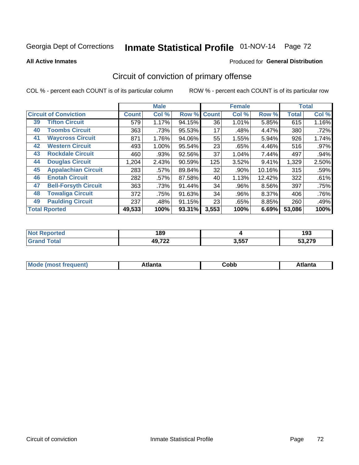# Inmate Statistical Profile 01-NOV-14 Page 72

#### **All Active Inmates**

#### **Produced for General Distribution**

## Circuit of conviction of primary offense

COL % - percent each COUNT is of its particular column

|    |                              |              | <b>Male</b> |        |              | <b>Female</b> |          |              | <b>Total</b> |
|----|------------------------------|--------------|-------------|--------|--------------|---------------|----------|--------------|--------------|
|    | <b>Circuit of Conviction</b> | <b>Count</b> | Col %       | Row %  | <b>Count</b> | Col %         | Row %    | <b>Total</b> | Col %        |
| 39 | <b>Tifton Circuit</b>        | 579          | 1.17%       | 94.15% | 36           | 1.01%         | 5.85%    | 615          | 1.16%        |
| 40 | <b>Toombs Circuit</b>        | 363          | .73%        | 95.53% | 17           | .48%          | 4.47%    | 380          | .72%         |
| 41 | <b>Waycross Circuit</b>      | 871          | 1.76%       | 94.06% | 55           | 1.55%         | 5.94%    | 926          | 1.74%        |
| 42 | <b>Western Circuit</b>       | 493          | 1.00%       | 95.54% | 23           | .65%          | 4.46%    | 516          | .97%         |
| 43 | <b>Rockdale Circuit</b>      | 460          | .93%        | 92.56% | 37           | 1.04%         | 7.44%    | 497          | .94%         |
| 44 | <b>Douglas Circuit</b>       | 1,204        | 2.43%       | 90.59% | 125          | 3.52%         | 9.41%    | 1,329        | 2.50%        |
| 45 | <b>Appalachian Circuit</b>   | 283          | .57%        | 89.84% | 32           | .90%          | 10.16%   | 315          | .59%         |
| 46 | <b>Enotah Circuit</b>        | 282          | .57%        | 87.58% | 40           | 1.13%         | 12.42%   | 322          | .61%         |
| 47 | <b>Bell-Forsyth Circuit</b>  | 363          | .73%        | 91.44% | 34           | .96%          | 8.56%    | 397          | .75%         |
| 48 | <b>Towaliga Circuit</b>      | 372          | .75%        | 91.63% | 34           | .96%          | $8.37\%$ | 406          | .76%         |
| 49 | <b>Paulding Circuit</b>      | 237          | .48%        | 91.15% | 23           | .65%          | 8.85%    | 260          | .49%         |
|    | <b>Total Rported</b>         | 49,533       | 100%        | 93.31% | 3,553        | 100%          | 6.69%    | 53,086       | 100%         |

| e | 189                          |       | ---<br><br>. .<br>193<br>__ |
|---|------------------------------|-------|-----------------------------|
|   | <b>10 722</b><br>1 L.L<br>т. | 3,557 | $\sim$ 0.70 $\sim$          |

| M | . | -----<br>oг | ----<br>пLс |
|---|---|-------------|-------------|
|   |   | <b>OUNN</b> |             |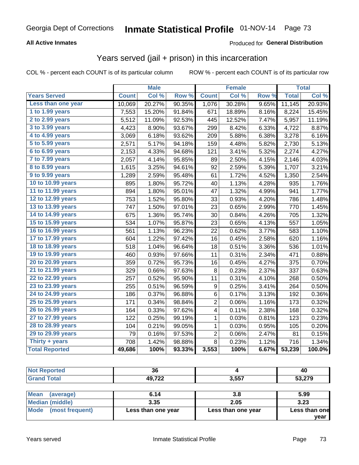## Georgia Dept of Corrections **Inmate Statistical Profile** 01-NOV-14 Page 73

### **All Active Inmates**

#### Produced for **General Distribution**

### Years served (jail + prison) in this incarceration

COL % - percent each COUNT is of its particular column ROW % - percent each COUNT is of its particular row

|                              |              | <b>Male</b> |        |                         | <b>Female</b> |       |              | <b>Total</b> |
|------------------------------|--------------|-------------|--------|-------------------------|---------------|-------|--------------|--------------|
| <b>Years Served</b>          | <b>Count</b> | Col %       | Row %  | <b>Count</b>            | Col %         | Row % | <b>Total</b> | Col %        |
| Less than one year           | 10,069       | 20.27%      | 90.35% | 1,076                   | 30.28%        | 9.65% | 11,145       | 20.93%       |
| 1 to 1.99 years              | 7,553        | 15.20%      | 91.84% | 671                     | 18.89%        | 8.16% | 8,224        | 15.45%       |
| 2 to 2.99 years              | 5,512        | 11.09%      | 92.53% | 445                     | 12.52%        | 7.47% | 5,957        | 11.19%       |
| $3$ to $3.99$ years          | 4,423        | 8.90%       | 93.67% | 299                     | 8.42%         | 6.33% | 4,722        | 8.87%        |
| $\overline{4}$ to 4.99 years | 3,069        | 6.18%       | 93.62% | 209                     | 5.88%         | 6.38% | 3,278        | 6.16%        |
| $\overline{5}$ to 5.99 years | 2,571        | 5.17%       | 94.18% | 159                     | 4.48%         | 5.82% | 2,730        | 5.13%        |
| $6$ to $6.99$ years          | 2,153        | 4.33%       | 94.68% | 121                     | 3.41%         | 5.32% | 2,274        | 4.27%        |
| 7 to 7.99 years              | 2,057        | 4.14%       | 95.85% | 89                      | 2.50%         | 4.15% | 2,146        | 4.03%        |
| 8 to 8.99 years              | 1,615        | 3.25%       | 94.61% | 92                      | 2.59%         | 5.39% | 1,707        | 3.21%        |
| 9 to 9.99 years              | 1,289        | 2.59%       | 95.48% | 61                      | 1.72%         | 4.52% | 1,350        | 2.54%        |
| 10 to 10.99 years            | 895          | 1.80%       | 95.72% | 40                      | 1.13%         | 4.28% | 935          | 1.76%        |
| 11 to 11.99 years            | 894          | 1.80%       | 95.01% | 47                      | 1.32%         | 4.99% | 941          | 1.77%        |
| 12 to 12.99 years            | 753          | 1.52%       | 95.80% | 33                      | 0.93%         | 4.20% | 786          | 1.48%        |
| 13 to 13.99 years            | 747          | 1.50%       | 97.01% | 23                      | 0.65%         | 2.99% | 770          | 1.45%        |
| 14 to 14.99 years            | 675          | 1.36%       | 95.74% | 30                      | 0.84%         | 4.26% | 705          | 1.32%        |
| 15 to 15.99 years            | 534          | 1.07%       | 95.87% | 23                      | 0.65%         | 4.13% | 557          | 1.05%        |
| 16 to 16.99 years            | 561          | 1.13%       | 96.23% | 22                      | 0.62%         | 3.77% | 583          | 1.10%        |
| 17 to 17.99 years            | 604          | 1.22%       | 97.42% | 16                      | 0.45%         | 2.58% | 620          | 1.16%        |
| 18 to 18.99 years            | 518          | 1.04%       | 96.64% | 18                      | 0.51%         | 3.36% | 536          | 1.01%        |
| 19 to 19.99 years            | 460          | 0.93%       | 97.66% | 11                      | 0.31%         | 2.34% | 471          | 0.88%        |
| 20 to 20.99 years            | 359          | 0.72%       | 95.73% | 16                      | 0.45%         | 4.27% | 375          | 0.70%        |
| 21 to 21.99 years            | 329          | 0.66%       | 97.63% | 8                       | 0.23%         | 2.37% | 337          | 0.63%        |
| 22 to 22.99 years            | 257          | 0.52%       | 95.90% | 11                      | 0.31%         | 4.10% | 268          | 0.50%        |
| 23 to 23.99 years            | 255          | 0.51%       | 96.59% | 9                       | 0.25%         | 3.41% | 264          | 0.50%        |
| 24 to 24.99 years            | 186          | 0.37%       | 96.88% | 6                       | 0.17%         | 3.13% | 192          | 0.36%        |
| 25 to 25.99 years            | 171          | 0.34%       | 98.84% | $\overline{\mathbf{c}}$ | 0.06%         | 1.16% | 173          | 0.32%        |
| 26 to 26.99 years            | 164          | 0.33%       | 97.62% | 4                       | 0.11%         | 2.38% | 168          | 0.32%        |
| 27 to 27.99 years            | 122          | 0.25%       | 99.19% | 1                       | 0.03%         | 0.81% | 123          | 0.23%        |
| 28 to 28.99 years            | 104          | 0.21%       | 99.05% | 1                       | 0.03%         | 0.95% | 105          | 0.20%        |
| 29 to 29.99 years            | 79           | 0.16%       | 97.53% | $\overline{c}$          | 0.06%         | 2.47% | 81           | 0.15%        |
| Thirty + years               | 708          | 1.42%       | 98.88% | 8                       | 0.23%         | 1.12% | 716          | 1.34%        |
| <b>Total Reported</b>        | 49,686       | 100%        | 93.33% | 3,553                   | 100%          | 6.67% | 53,239       | 100.0%       |

| $\sim$<br>vv              |                 | "<br>n,<br>᠇៴ |
|---------------------------|-----------------|---------------|
| 10.700<br>4ч<br>---<br>-- | 2F <sub>5</sub> | 0.070         |

| <b>Mean</b><br>(average) | 6.14               | 3.8                | 5.99          |
|--------------------------|--------------------|--------------------|---------------|
| Median (middle)          | 3.35               | 2.05               | 3.23          |
| Mode<br>(most frequent)  | Less than one year | Less than one year | Less than one |
|                          |                    |                    | year          |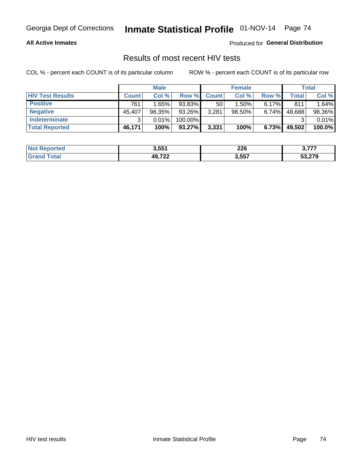#### **All Active Inmates**

Produced for **General Distribution**

## Results of most recent HIV tests

|                         | <b>Male</b>  |        |           | <b>Female</b> |        |          | Total  |        |
|-------------------------|--------------|--------|-----------|---------------|--------|----------|--------|--------|
| <b>HIV Test Results</b> | <b>Count</b> | Col %  | Row %I    | <b>Count</b>  | Col %  | Row %    | Total  | Col %  |
| <b>Positive</b>         | 761          | 1.65%  | 93.83%    | 50            | 1.50%  | $6.17\%$ | 811    | 1.64%  |
| <b>Negative</b>         | 45,407       | 98.35% | 93.26%    | 3,281         | 98.50% | $6.74\%$ | 48,688 | 98.36% |
| <b>Indeterminate</b>    |              | 0.01%  | 100.00%   |               |        |          |        | 0.01%  |
| <b>Total Reported</b>   | 46,171       | 100%   | $93.27\%$ | 3,331         | 100%   | 6.73%    | 49,502 | 100.0% |

| <b>Not Reported</b> | 3,551  | 226   | - 277<br>. . |
|---------------------|--------|-------|--------------|
| Total               | 49,722 | 3,557 | 53,279       |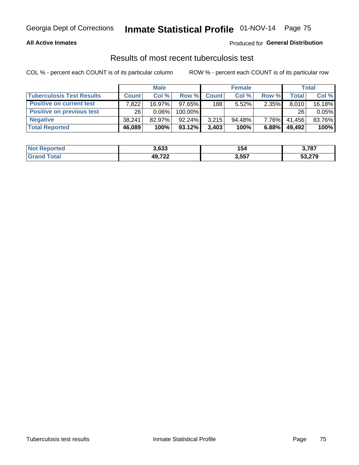#### **All Active Inmates**

### Produced for **General Distribution**

### Results of most recent tuberculosis test

|                                  | <b>Male</b>  |          |           | <b>Female</b> |           |          | Total        |        |
|----------------------------------|--------------|----------|-----------|---------------|-----------|----------|--------------|--------|
| <b>Tuberculosis Test Results</b> | <b>Count</b> | Col%     | Row %     | <b>Count</b>  | Col %     | Row %    | <b>Total</b> | Col %  |
| <b>Positive on current test</b>  | .822         | 16.97%   | $97.65\%$ | 188           | 5.52%     | 2.35%    | 8,010        | 16.18% |
| <b>Positive on previous test</b> | 26           | $0.06\%$ | 100.00%   |               |           |          | 26           | 0.05%  |
| <b>Negative</b>                  | 38.241       | 82.97%   | $92.24\%$ | 3.215         | $94.48\%$ | $7.76\%$ | 41,456       | 83.76% |
| <b>Total Reported</b>            | 46,089       | 100%     | $93.12\%$ | 3,403         | 100%      | 6.88%    | 49,492       | 100%   |

| <b>Not Reported</b> | 3,633  | 154   | 3,787  |
|---------------------|--------|-------|--------|
| ™otai               | 49,727 | 3,557 | 53,279 |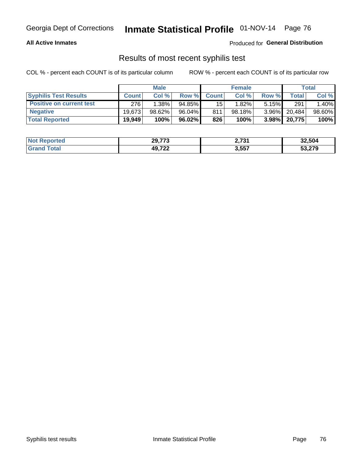#### **All Active Inmates**

Produced for **General Distribution**

## Results of most recent syphilis test

|                                 | <b>Male</b>  |           |           | <b>Female</b> |           |          | Total  |        |
|---------------------------------|--------------|-----------|-----------|---------------|-----------|----------|--------|--------|
| <b>Syphilis Test Results</b>    | <b>Count</b> | Col%      | Row %     | <b>Count</b>  | Col %     | Row %    | Total  | Col %  |
| <b>Positive on current test</b> | 276          | $1.38\%$  | $94.85\%$ | 15            | 1.82%     | $5.15\%$ | 291    | 1.40%  |
| <b>Negative</b>                 | 19.6731      | $98.62\%$ | 96.04%    | 811           | $98.18\%$ | $3.96\%$ | 20.484 | 98.60% |
| <b>Total Reported</b>           | 19,949       | 100%      | $96.02\%$ | 826           | 100%      | $3.98\%$ | 20,775 | 100%   |

| <b>Not Reported</b> | 29,773 | ימד ה<br>2,731 | 32,504 |
|---------------------|--------|----------------|--------|
| <b>Grand Total</b>  | 49,722 | 3,557          | 53,279 |